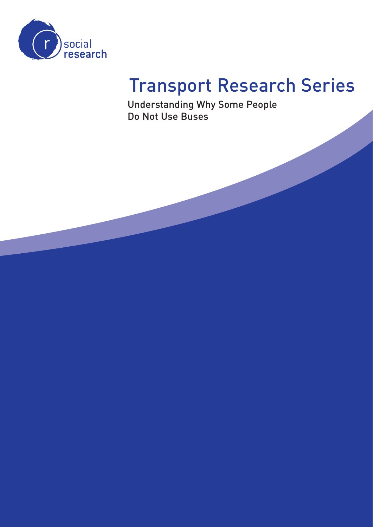

# Transport Research Series

Understanding Why Some People Do Not Use Buses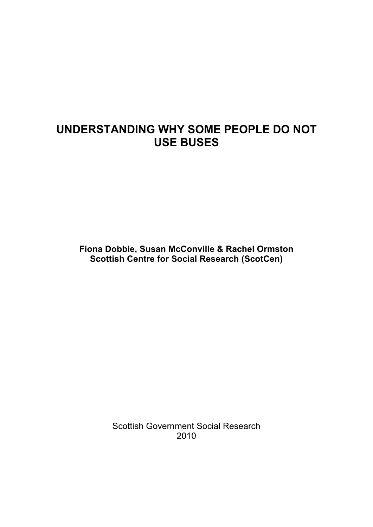## **UNDERSTANDING WHY SOME PEOPLE DO NOT USE BUSES**

**Fiona Dobbie, Susan McConville & Rachel Ormston Scottish Centre for Social Research (ScotCen)** 

> Scottish Government Social Research 2010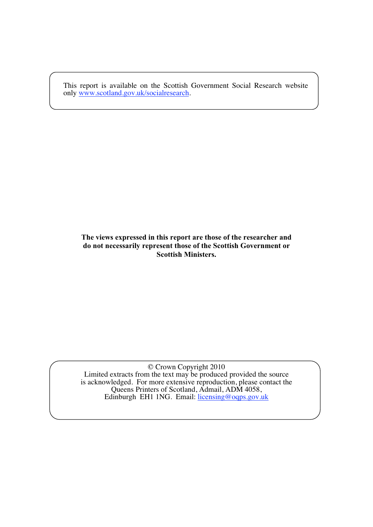This report is available on the Scottish Government Social Research website only www.scotland.gov.uk/socialresearch.

#### **The views expressed in this report are those of the researcher and do not necessarily represent those of the Scottish Government or Scottish Ministers.**

© Crown Copyright 2010 Limited extracts from the text may be produced provided the source is acknowledged. For more extensive reproduction, please contact the Queens Printers of Scotland, Admail, ADM 4058, Edinburgh EH1 1NG. Email: licensing@oqps.gov.uk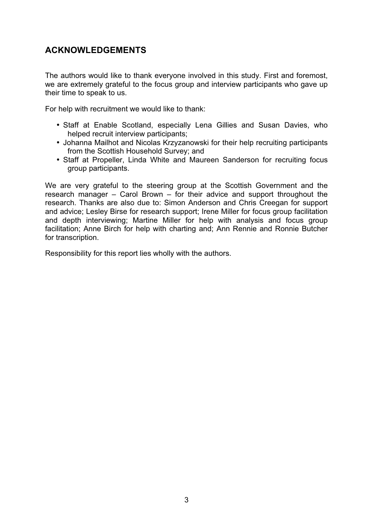## **ACKNOWLEDGEMENTS**

The authors would like to thank everyone involved in this study. First and foremost, we are extremely grateful to the focus group and interview participants who gave up their time to speak to us.

For help with recruitment we would like to thank:

- Staff at Enable Scotland, especially Lena Gillies and Susan Davies, who helped recruit interview participants;
- Johanna Mailhot and Nicolas Krzyzanowski for their help recruiting participants from the Scottish Household Survey; and
- Staff at Propeller, Linda White and Maureen Sanderson for recruiting focus group participants.

We are very grateful to the steering group at the Scottish Government and the research manager – Carol Brown – for their advice and support throughout the research. Thanks are also due to: Simon Anderson and Chris Creegan for support and advice; Lesley Birse for research support; Irene Miller for focus group facilitation and depth interviewing; Martine Miller for help with analysis and focus group facilitation; Anne Birch for help with charting and; Ann Rennie and Ronnie Butcher for transcription.

Responsibility for this report lies wholly with the authors.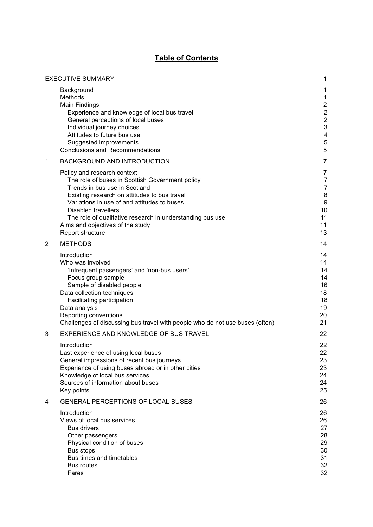#### **Table of Contents**

|             | <b>EXECUTIVE SUMMARY</b>                                                                                                                                                                                                                                                                                                                                          | 1                                                                                                        |
|-------------|-------------------------------------------------------------------------------------------------------------------------------------------------------------------------------------------------------------------------------------------------------------------------------------------------------------------------------------------------------------------|----------------------------------------------------------------------------------------------------------|
|             | Background<br>Methods<br><b>Main Findings</b><br>Experience and knowledge of local bus travel<br>General perceptions of local buses<br>Individual journey choices<br>Attitudes to future bus use<br>Suggested improvements<br><b>Conclusions and Recommendations</b>                                                                                              | 1<br>$\mathbf{1}$<br>$\overline{2}$<br>$\overline{2}$<br>$\overline{c}$<br>3<br>$\overline{4}$<br>5<br>5 |
| $\mathbf 1$ | <b>BACKGROUND AND INTRODUCTION</b>                                                                                                                                                                                                                                                                                                                                | $\overline{7}$                                                                                           |
|             | Policy and research context<br>The role of buses in Scottish Government policy<br>Trends in bus use in Scotland<br>Existing research on attitudes to bus travel<br>Variations in use of and attitudes to buses<br><b>Disabled travellers</b><br>The role of qualitative research in understanding bus use<br>Aims and objectives of the study<br>Report structure | 7<br>7<br>$\overline{7}$<br>8<br>9<br>10<br>11<br>11<br>13                                               |
| 2           | <b>METHODS</b>                                                                                                                                                                                                                                                                                                                                                    | 14                                                                                                       |
|             | Introduction<br>Who was involved<br>'Infrequent passengers' and 'non-bus users'<br>Focus group sample<br>Sample of disabled people<br>Data collection techniques<br>Facilitating participation<br>Data analysis<br>Reporting conventions<br>Challenges of discussing bus travel with people who do not use buses (often)                                          | 14<br>14<br>14<br>14<br>16<br>18<br>18<br>19<br>20<br>21                                                 |
| 3           | EXPERIENCE AND KNOWLEDGE OF BUS TRAVEL                                                                                                                                                                                                                                                                                                                            | 22                                                                                                       |
|             | Introduction<br>Last experience of using local buses<br>General impressions of recent bus journeys<br>Experience of using buses abroad or in other cities<br>Knowledge of local bus services<br>Sources of information about buses<br>Key points                                                                                                                  | 22<br>22<br>23<br>23<br>24<br>24<br>25                                                                   |
| 4           | <b>GENERAL PERCEPTIONS OF LOCAL BUSES</b>                                                                                                                                                                                                                                                                                                                         | 26                                                                                                       |
|             | Introduction<br>Views of local bus services<br><b>Bus drivers</b><br>Other passengers<br>Physical condition of buses<br>Bus stops<br>Bus times and timetables<br><b>Bus routes</b><br>Fares                                                                                                                                                                       | 26<br>26<br>27<br>28<br>29<br>30<br>31<br>32<br>32                                                       |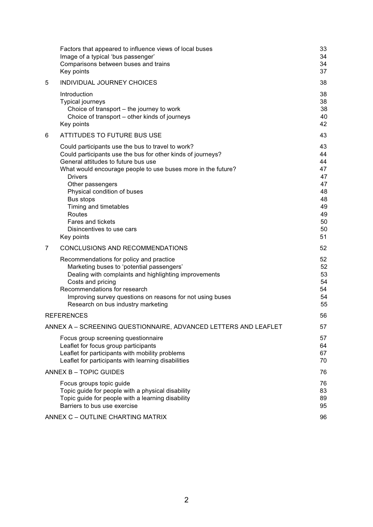|   | Factors that appeared to influence views of local buses<br>Image of a typical 'bus passenger'<br>Comparisons between buses and trains<br>Key points                                                                                                                                                                                                                                                          | 33<br>34<br>34<br>37                                                       |
|---|--------------------------------------------------------------------------------------------------------------------------------------------------------------------------------------------------------------------------------------------------------------------------------------------------------------------------------------------------------------------------------------------------------------|----------------------------------------------------------------------------|
| 5 | INDIVIDUAL JOURNEY CHOICES                                                                                                                                                                                                                                                                                                                                                                                   | 38                                                                         |
|   | Introduction<br><b>Typical journeys</b><br>Choice of transport - the journey to work<br>Choice of transport - other kinds of journeys<br>Key points                                                                                                                                                                                                                                                          | 38<br>38<br>38<br>40<br>42                                                 |
| 6 | <b>ATTITUDES TO FUTURE BUS USE</b>                                                                                                                                                                                                                                                                                                                                                                           | 43                                                                         |
|   | Could participants use the bus to travel to work?<br>Could participants use the bus for other kinds of journeys?<br>General attitudes to future bus use<br>What would encourage people to use buses more in the future?<br>Drivers<br>Other passengers<br>Physical condition of buses<br>Bus stops<br>Timing and timetables<br>Routes<br><b>Fares and tickets</b><br>Disincentives to use cars<br>Key points | 43<br>44<br>44<br>47<br>47<br>47<br>48<br>48<br>49<br>49<br>50<br>50<br>51 |
| 7 | CONCLUSIONS AND RECOMMENDATIONS                                                                                                                                                                                                                                                                                                                                                                              | 52                                                                         |
|   | Recommendations for policy and practice<br>Marketing buses to 'potential passengers'<br>Dealing with complaints and highlighting improvements<br>Costs and pricing<br>Recommendations for research<br>Improving survey questions on reasons for not using buses<br>Research on bus industry marketing                                                                                                        | 52<br>52<br>53<br>54<br>54<br>54<br>55                                     |
|   | <b>REFERENCES</b>                                                                                                                                                                                                                                                                                                                                                                                            | 56                                                                         |
|   | ANNEX A - SCREENING QUESTIONNAIRE, ADVANCED LETTERS AND LEAFLET                                                                                                                                                                                                                                                                                                                                              | 57                                                                         |
|   | Focus group screening questionnaire<br>Leaflet for focus group participants<br>Leaflet for participants with mobility problems<br>Leaflet for participants with learning disabilities                                                                                                                                                                                                                        | 57<br>64<br>67<br>70                                                       |
|   | ANNEX B - TOPIC GUIDES                                                                                                                                                                                                                                                                                                                                                                                       | 76                                                                         |
|   | Focus groups topic guide<br>Topic guide for people with a physical disability<br>Topic guide for people with a learning disability<br>Barriers to bus use exercise                                                                                                                                                                                                                                           | 76<br>83<br>89<br>95                                                       |
|   | ANNEX C - OUTLINE CHARTING MATRIX                                                                                                                                                                                                                                                                                                                                                                            | 96                                                                         |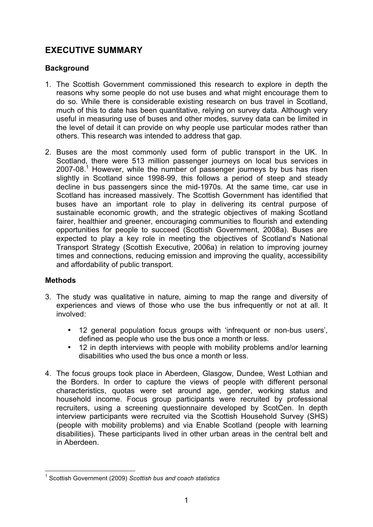## **EXECUTIVE SUMMARY**

#### **Background**

- 1. The Scottish Government commissioned this research to explore in depth the reasons why some people do not use buses and what might encourage them to do so. While there is considerable existing research on bus travel in Scotland, much of this to date has been quantitative, relying on survey data. Although very useful in measuring use of buses and other modes, survey data can be limited in the level of detail it can provide on why people use particular modes rather than others. This research was intended to address that gap.
- 2. Buses are the most commonly used form of public transport in the UK. In Scotland, there were 513 million passenger journeys on local bus services in  $2007-08.<sup>1</sup>$  However, while the number of passenger journeys by bus has risen slightly in Scotland since 1998-99, this follows a period of steep and steady decline in bus passengers since the mid-1970s. At the same time, car use in Scotland has increased massively. The Scottish Government has identified that buses have an important role to play in delivering its central purpose of sustainable economic growth, and the strategic objectives of making Scotland fairer, healthier and greener, encouraging communities to flourish and extending opportunities for people to succeed (Scottish Government, 2008a). Buses are expected to play a key role in meeting the objectives of Scotland's National Transport Strategy (Scottish Executive, 2006a) in relation to improving journey times and connections, reducing emission and improving the quality, accessibility and affordability of public transport.

#### **Methods**

- 3. The study was qualitative in nature, aiming to map the range and diversity of experiences and views of those who use the bus infrequently or not at all. It involved:
	- 12 general population focus groups with 'infrequent or non-bus users', defined as people who use the bus once a month or less.
	- 12 in depth interviews with people with mobility problems and/or learning disabilities who used the bus once a month or less.
- 4. The focus groups took place in Aberdeen, Glasgow, Dundee, West Lothian and the Borders. In order to capture the views of people with different personal characteristics, quotas were set around age, gender, working status and household income. Focus group participants were recruited by professional recruiters, using a screening questionnaire developed by ScotCen. In depth interview participants were recruited via the Scottish Household Survey (SHS) (people with mobility problems) and via Enable Scotland (people with learning disabilities). These participants lived in other urban areas in the central belt and in Aberdeen.

<sup>-</sup>1 Scottish Government (2009) *Scottish bus and coach statistics*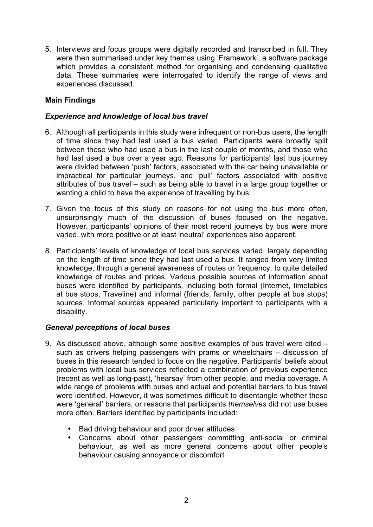5. Interviews and focus groups were digitally recorded and transcribed in full. They were then summarised under key themes using 'Framework', a software package which provides a consistent method for organising and condensing qualitative data. These summaries were interrogated to identify the range of views and experiences discussed.

#### **Main Findings**

#### *Experience and knowledge of local bus travel*

- 6. Although all participants in this study were infrequent or non-bus users, the length of time since they had last used a bus varied. Participants were broadly split between those who had used a bus in the last couple of months, and those who had last used a bus over a year ago. Reasons for participants' last bus journey were divided between 'push' factors, associated with the car being unavailable or impractical for particular journeys, and 'pull' factors associated with positive attributes of bus travel – such as being able to travel in a large group together or wanting a child to have the experience of travelling by bus.
- 7. Given the focus of this study on reasons for not using the bus more often, unsurprisingly much of the discussion of buses focused on the negative. However, participants' opinions of their most recent journeys by bus were more varied, with more positive or at least 'neutral' experiences also apparent.
- 8. Participants' levels of knowledge of local bus services varied, largely depending on the length of time since they had last used a bus. It ranged from very limited knowledge, through a general awareness of routes or frequency, to quite detailed knowledge of routes and prices. Various possible sources of information about buses were identified by participants, including both formal (Internet, timetables at bus stops, Traveline) and informal (friends, family, other people at bus stops) sources. Informal sources appeared particularly important to participants with a disability.

#### *General perceptions of local buses*

- 9. As discussed above, although some positive examples of bus travel were cited such as drivers helping passengers with prams or wheelchairs – discussion of buses in this research tended to focus on the negative. Participants' beliefs about problems with local bus services reflected a combination of previous experience (recent as well as long-past), 'hearsay' from other people, and media coverage. A wide range of problems with buses and actual and potential barriers to bus travel were identified. However, it was sometimes difficult to disentangle whether these were 'general' barriers, or reasons that participants *themselves* did not use buses more often. Barriers identified by participants included:
	- Bad driving behaviour and poor driver attitudes
	- Concerns about other passengers committing anti-social or criminal behaviour, as well as more general concerns about other people's behaviour causing annoyance or discomfort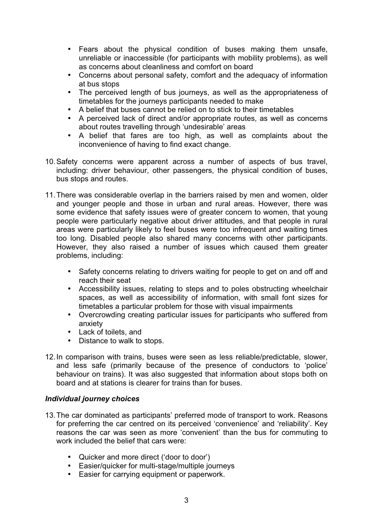- Fears about the physical condition of buses making them unsafe, unreliable or inaccessible (for participants with mobility problems), as well as concerns about cleanliness and comfort on board
- Concerns about personal safety, comfort and the adequacy of information at bus stops
- The perceived length of bus journeys, as well as the appropriateness of timetables for the journeys participants needed to make
- A belief that buses cannot be relied on to stick to their timetables
- A perceived lack of direct and/or appropriate routes, as well as concerns about routes travelling through 'undesirable' areas
- A belief that fares are too high, as well as complaints about the inconvenience of having to find exact change.
- 10. Safety concerns were apparent across a number of aspects of bus travel, including: driver behaviour, other passengers, the physical condition of buses, bus stops and routes.
- 11. There was considerable overlap in the barriers raised by men and women, older and younger people and those in urban and rural areas. However, there was some evidence that safety issues were of greater concern to women, that young people were particularly negative about driver attitudes, and that people in rural areas were particularly likely to feel buses were too infrequent and waiting times too long. Disabled people also shared many concerns with other participants. However, they also raised a number of issues which caused them greater problems, including:
	- Safety concerns relating to drivers waiting for people to get on and off and reach their seat
	- Accessibility issues, relating to steps and to poles obstructing wheelchair spaces, as well as accessibility of information, with small font sizes for timetables a particular problem for those with visual impairments
	- Overcrowding creating particular issues for participants who suffered from anxiety
	- Lack of toilets, and
	- Distance to walk to stops.
- 12. In comparison with trains, buses were seen as less reliable/predictable, slower, and less safe (primarily because of the presence of conductors to 'police' behaviour on trains). It was also suggested that information about stops both on board and at stations is clearer for trains than for buses.

#### *Individual journey choices*

- 13. The car dominated as participants' preferred mode of transport to work. Reasons for preferring the car centred on its perceived 'convenience' and 'reliability'. Key reasons the car was seen as more 'convenient' than the bus for commuting to work included the belief that cars were:
	- Quicker and more direct ('door to door')
	- Easier/quicker for multi-stage/multiple journeys
	- Easier for carrying equipment or paperwork.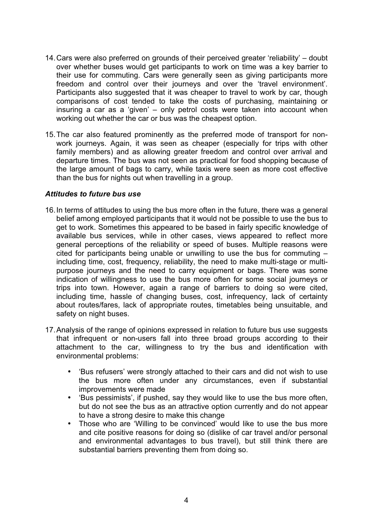- 14. Cars were also preferred on grounds of their perceived greater 'reliability' doubt over whether buses would get participants to work on time was a key barrier to their use for commuting. Cars were generally seen as giving participants more freedom and control over their journeys and over the 'travel environment'. Participants also suggested that it was cheaper to travel to work by car, though comparisons of cost tended to take the costs of purchasing, maintaining or insuring a car as a 'given' – only petrol costs were taken into account when working out whether the car or bus was the cheapest option.
- 15. The car also featured prominently as the preferred mode of transport for nonwork journeys. Again, it was seen as cheaper (especially for trips with other family members) and as allowing greater freedom and control over arrival and departure times. The bus was not seen as practical for food shopping because of the large amount of bags to carry, while taxis were seen as more cost effective than the bus for nights out when travelling in a group.

#### *Attitudes to future bus use*

- 16. In terms of attitudes to using the bus more often in the future, there was a general belief among employed participants that it would not be possible to use the bus to get to work. Sometimes this appeared to be based in fairly specific knowledge of available bus services, while in other cases, views appeared to reflect more general perceptions of the reliability or speed of buses. Multiple reasons were cited for participants being unable or unwilling to use the bus for commuting – including time, cost, frequency, reliability, the need to make multi-stage or multipurpose journeys and the need to carry equipment or bags. There was some indication of willingness to use the bus more often for some social journeys or trips into town. However, again a range of barriers to doing so were cited, including time, hassle of changing buses, cost, infrequency, lack of certainty about routes/fares, lack of appropriate routes, timetables being unsuitable, and safety on night buses.
- 17. Analysis of the range of opinions expressed in relation to future bus use suggests that infrequent or non-users fall into three broad groups according to their attachment to the car, willingness to try the bus and identification with environmental problems:
	- 'Bus refusers' were strongly attached to their cars and did not wish to use the bus more often under any circumstances, even if substantial improvements were made
	- 'Bus pessimists', if pushed, say they would like to use the bus more often, but do not see the bus as an attractive option currently and do not appear to have a strong desire to make this change
	- Those who are 'Willing to be convinced' would like to use the bus more and cite positive reasons for doing so (dislike of car travel and/or personal and environmental advantages to bus travel), but still think there are substantial barriers preventing them from doing so.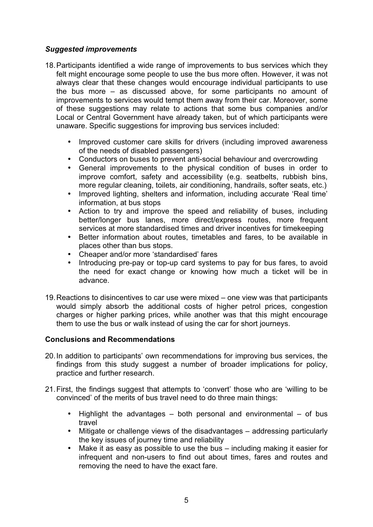#### *Suggested improvements*

- 18. Participants identified a wide range of improvements to bus services which they felt might encourage some people to use the bus more often. However, it was not always clear that these changes would encourage individual participants to use the bus more – as discussed above, for some participants no amount of improvements to services would tempt them away from their car. Moreover, some of these suggestions may relate to actions that some bus companies and/or Local or Central Government have already taken, but of which participants were unaware. Specific suggestions for improving bus services included:
	- Improved customer care skills for drivers (including improved awareness of the needs of disabled passengers)
	- Conductors on buses to prevent anti-social behaviour and overcrowding
	- General improvements to the physical condition of buses in order to improve comfort, safety and accessibility (e.g. seatbelts, rubbish bins, more regular cleaning, toilets, air conditioning, handrails, softer seats, etc.)
	- Improved lighting, shelters and information, including accurate 'Real time' information, at bus stops
	- Action to try and improve the speed and reliability of buses, including better/longer bus lanes, more direct/express routes, more frequent services at more standardised times and driver incentives for timekeeping
	- Better information about routes, timetables and fares, to be available in places other than bus stops.
	- Cheaper and/or more 'standardised' fares
	- Introducing pre-pay or top-up card systems to pay for bus fares, to avoid the need for exact change or knowing how much a ticket will be in advance.
- 19. Reactions to disincentives to car use were mixed one view was that participants would simply absorb the additional costs of higher petrol prices, congestion charges or higher parking prices, while another was that this might encourage them to use the bus or walk instead of using the car for short journeys.

#### **Conclusions and Recommendations**

- 20. In addition to participants' own recommendations for improving bus services, the findings from this study suggest a number of broader implications for policy, practice and further research.
- 21. First, the findings suggest that attempts to 'convert' those who are 'willing to be convinced' of the merits of bus travel need to do three main things:
	- Highlight the advantages  $-$  both personal and environmental  $-$  of bus travel
	- Mitigate or challenge views of the disadvantages addressing particularly the key issues of journey time and reliability
	- Make it as easy as possible to use the bus including making it easier for infrequent and non-users to find out about times, fares and routes and removing the need to have the exact fare.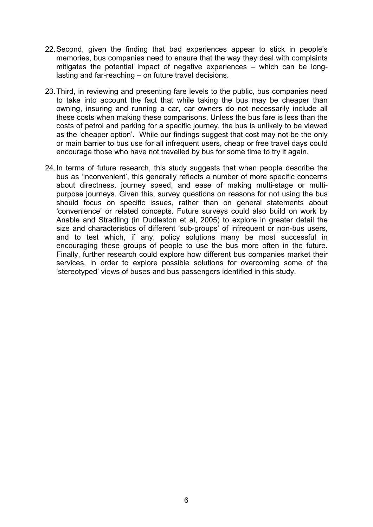- 22. Second, given the finding that bad experiences appear to stick in people's memories, bus companies need to ensure that the way they deal with complaints mitigates the potential impact of negative experiences – which can be longlasting and far-reaching – on future travel decisions.
- 23. Third, in reviewing and presenting fare levels to the public, bus companies need to take into account the fact that while taking the bus may be cheaper than owning, insuring and running a car, car owners do not necessarily include all these costs when making these comparisons. Unless the bus fare is less than the costs of petrol and parking for a specific journey, the bus is unlikely to be viewed as the 'cheaper option'. While our findings suggest that cost may not be the only or main barrier to bus use for all infrequent users, cheap or free travel days could encourage those who have not travelled by bus for some time to try it again.
- 24. In terms of future research, this study suggests that when people describe the bus as 'inconvenient', this generally reflects a number of more specific concerns about directness, journey speed, and ease of making multi-stage or multipurpose journeys. Given this, survey questions on reasons for not using the bus should focus on specific issues, rather than on general statements about 'convenience' or related concepts. Future surveys could also build on work by Anable and Stradling (in Dudleston et al, 2005) to explore in greater detail the size and characteristics of different 'sub-groups' of infrequent or non-bus users, and to test which, if any, policy solutions many be most successful in encouraging these groups of people to use the bus more often in the future. Finally, further research could explore how different bus companies market their services, in order to explore possible solutions for overcoming some of the 'stereotyped' views of buses and bus passengers identified in this study.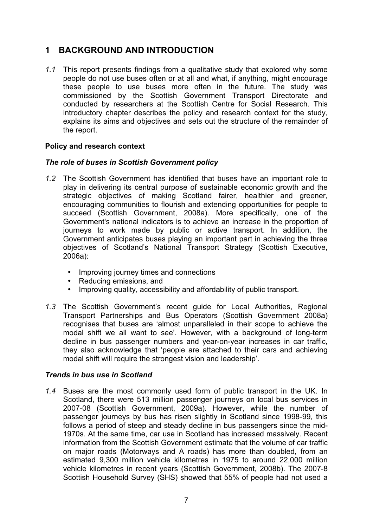## **1 BACKGROUND AND INTRODUCTION**

*1.1* This report presents findings from a qualitative study that explored why some people do not use buses often or at all and what, if anything, might encourage these people to use buses more often in the future. The study was commissioned by the Scottish Government Transport Directorate and conducted by researchers at the Scottish Centre for Social Research. This introductory chapter describes the policy and research context for the study, explains its aims and objectives and sets out the structure of the remainder of the report.

#### **Policy and research context**

#### *The role of buses in Scottish Government policy*

- *1.2* The Scottish Government has identified that buses have an important role to play in delivering its central purpose of sustainable economic growth and the strategic objectives of making Scotland fairer, healthier and greener, encouraging communities to flourish and extending opportunities for people to succeed (Scottish Government, 2008a). More specifically, one of the Government's national indicators is to achieve an increase in the proportion of journeys to work made by public or active transport. In addition, the Government anticipates buses playing an important part in achieving the three objectives of Scotland's National Transport Strategy (Scottish Executive, 2006a):
	- Improving journey times and connections
	- Reducing emissions, and
	- Improving quality, accessibility and affordability of public transport.
- *1.3* The Scottish Government's recent guide for Local Authorities, Regional Transport Partnerships and Bus Operators (Scottish Government 2008a) recognises that buses are 'almost unparalleled in their scope to achieve the modal shift we all want to see'. However, with a background of long-term decline in bus passenger numbers and year-on-year increases in car traffic, they also acknowledge that 'people are attached to their cars and achieving modal shift will require the strongest vision and leadership'.

#### *Trends in bus use in Scotland*

*1.4* Buses are the most commonly used form of public transport in the UK. In Scotland, there were 513 million passenger journeys on local bus services in 2007-08 (Scottish Government, 2009a). However, while the number of passenger journeys by bus has risen slightly in Scotland since 1998-99, this follows a period of steep and steady decline in bus passengers since the mid-1970s. At the same time, car use in Scotland has increased massively. Recent information from the Scottish Government estimate that the volume of car traffic on major roads (Motorways and A roads) has more than doubled, from an estimated 9,300 million vehicle kilometres in 1975 to around 22,000 million vehicle kilometres in recent years (Scottish Government, 2008b). The 2007-8 Scottish Household Survey (SHS) showed that 55% of people had not used a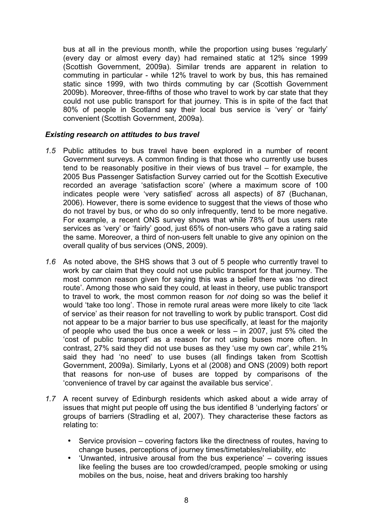bus at all in the previous month, while the proportion using buses 'regularly' (every day or almost every day) had remained static at 12% since 1999 (Scottish Government, 2009a). Similar trends are apparent in relation to commuting in particular - while 12% travel to work by bus, this has remained static since 1999, with two thirds commuting by car (Scottish Government 2009b). Moreover, three-fifths of those who travel to work by car state that they could not use public transport for that journey. This is in spite of the fact that 80% of people in Scotland say their local bus service is 'very' or 'fairly' convenient (Scottish Government, 2009a).

#### *Existing research on attitudes to bus travel*

- *1.5* Public attitudes to bus travel have been explored in a number of recent Government surveys. A common finding is that those who currently use buses tend to be reasonably positive in their views of bus travel – for example, the 2005 Bus Passenger Satisfaction Survey carried out for the Scottish Executive recorded an average 'satisfaction score' (where a maximum score of 100 indicates people were 'very satisfied' across all aspects) of 87 (Buchanan, 2006). However, there is some evidence to suggest that the views of those who do not travel by bus, or who do so only infrequently, tend to be more negative. For example, a recent ONS survey shows that while 78% of bus users rate services as 'very' or 'fairly' good, just 65% of non-users who gave a rating said the same. Moreover, a third of non-users felt unable to give any opinion on the overall quality of bus services (ONS, 2009).
- *1.6* As noted above, the SHS shows that 3 out of 5 people who currently travel to work by car claim that they could not use public transport for that journey. The most common reason given for saying this was a belief there was 'no direct route'. Among those who said they could, at least in theory, use public transport to travel to work, the most common reason for *not* doing so was the belief it would 'take too long'. Those in remote rural areas were more likely to cite 'lack of service' as their reason for not travelling to work by public transport. Cost did not appear to be a major barrier to bus use specifically, at least for the majority of people who used the bus once a week or less – in 2007, just 5% cited the 'cost of public transport' as a reason for not using buses more often. In contrast, 27% said they did not use buses as they 'use my own car', while 21% said they had 'no need' to use buses (all findings taken from Scottish Government, 2009a). Similarly, Lyons et al (2008) and ONS (2009) both report that reasons for non-use of buses are topped by comparisons of the 'convenience of travel by car against the available bus service'.
- *1.7* A recent survey of Edinburgh residents which asked about a wide array of issues that might put people off using the bus identified 8 'underlying factors' or groups of barriers (Stradling et al, 2007). They characterise these factors as relating to:
	- Service provision covering factors like the directness of routes, having to change buses, perceptions of journey times/timetables/reliability, etc
	- 'Unwanted, intrusive arousal from the bus experience' covering issues like feeling the buses are too crowded/cramped, people smoking or using mobiles on the bus, noise, heat and drivers braking too harshly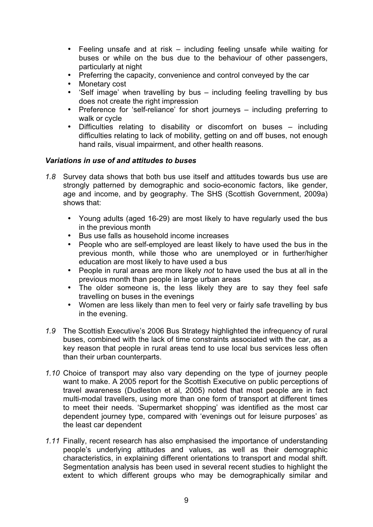- Feeling unsafe and at risk  $-$  including feeling unsafe while waiting for buses or while on the bus due to the behaviour of other passengers, particularly at night
- Preferring the capacity, convenience and control conveyed by the car
- Monetary cost
- 'Self image' when travelling by bus including feeling travelling by bus does not create the right impression
- Preference for 'self-reliance' for short journeys including preferring to walk or cycle
- Difficulties relating to disability or discomfort on buses including difficulties relating to lack of mobility, getting on and off buses, not enough hand rails, visual impairment, and other health reasons.

#### *Variations in use of and attitudes to buses*

- *1.8* Survey data shows that both bus use itself and attitudes towards bus use are strongly patterned by demographic and socio-economic factors, like gender, age and income, and by geography. The SHS (Scottish Government, 2009a) shows that:
	- Young adults (aged 16-29) are most likely to have regularly used the bus in the previous month
	- Bus use falls as household income increases
	- People who are self-employed are least likely to have used the bus in the previous month, while those who are unemployed or in further/higher education are most likely to have used a bus
	- People in rural areas are more likely *not* to have used the bus at all in the previous month than people in large urban areas
	- The older someone is, the less likely they are to say they feel safe travelling on buses in the evenings
	- Women are less likely than men to feel very or fairly safe travelling by bus in the evening.
- *1.9* The Scottish Executive's 2006 Bus Strategy highlighted the infrequency of rural buses, combined with the lack of time constraints associated with the car, as a key reason that people in rural areas tend to use local bus services less often than their urban counterparts.
- *1.10* Choice of transport may also vary depending on the type of journey people want to make. A 2005 report for the Scottish Executive on public perceptions of travel awareness (Dudleston et al, 2005) noted that most people are in fact multi-modal travellers, using more than one form of transport at different times to meet their needs. 'Supermarket shopping' was identified as the most car dependent journey type, compared with 'evenings out for leisure purposes' as the least car dependent
- *1.11* Finally, recent research has also emphasised the importance of understanding people's underlying attitudes and values, as well as their demographic characteristics, in explaining different orientations to transport and modal shift. Segmentation analysis has been used in several recent studies to highlight the extent to which different groups who may be demographically similar and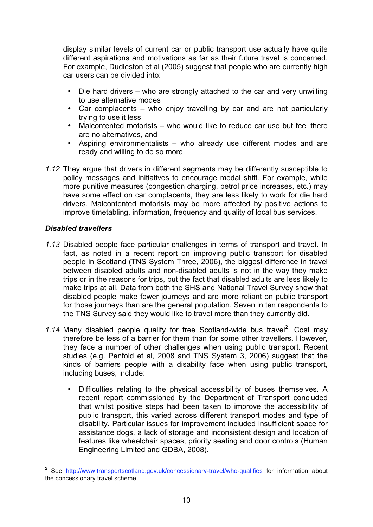display similar levels of current car or public transport use actually have quite different aspirations and motivations as far as their future travel is concerned. For example, Dudleston et al (2005) suggest that people who are currently high car users can be divided into:

- Die hard drivers who are strongly attached to the car and very unwilling to use alternative modes
- Car complacents who enjoy travelling by car and are not particularly trying to use it less
- Malcontented motorists who would like to reduce car use but feel there are no alternatives, and
- Aspiring environmentalists who already use different modes and are ready and willing to do so more.
- *1.12* They argue that drivers in different segments may be differently susceptible to policy messages and initiatives to encourage modal shift. For example, while more punitive measures (congestion charging, petrol price increases, etc.) may have some effect on car complacents, they are less likely to work for die hard drivers. Malcontented motorists may be more affected by positive actions to improve timetabling, information, frequency and quality of local bus services.

#### *Disabled travellers*

-

- *1.13* Disabled people face particular challenges in terms of transport and travel. In fact, as noted in a recent report on improving public transport for disabled people in Scotland (TNS System Three, 2006), the biggest difference in travel between disabled adults and non-disabled adults is not in the way they make trips or in the reasons for trips, but the fact that disabled adults are less likely to make trips at all. Data from both the SHS and National Travel Survey show that disabled people make fewer journeys and are more reliant on public transport for those journeys than are the general population. Seven in ten respondents to the TNS Survey said they would like to travel more than they currently did.
- 1.14 Many disabled people qualify for free Scotland-wide bus travel<sup>2</sup>. Cost may therefore be less of a barrier for them than for some other travellers. However, they face a number of other challenges when using public transport. Recent studies (e.g. Penfold et al, 2008 and TNS System 3, 2006) suggest that the kinds of barriers people with a disability face when using public transport, including buses, include:
	- Difficulties relating to the physical accessibility of buses themselves. A recent report commissioned by the Department of Transport concluded that whilst positive steps had been taken to improve the accessibility of public transport, this varied across different transport modes and type of disability. Particular issues for improvement included insufficient space for assistance dogs, a lack of storage and inconsistent design and location of features like wheelchair spaces, priority seating and door controls (Human Engineering Limited and GDBA, 2008).

<sup>2</sup> See http://www.transportscotland.gov.uk/concessionary-travel/who-qualifies for information about the concessionary travel scheme.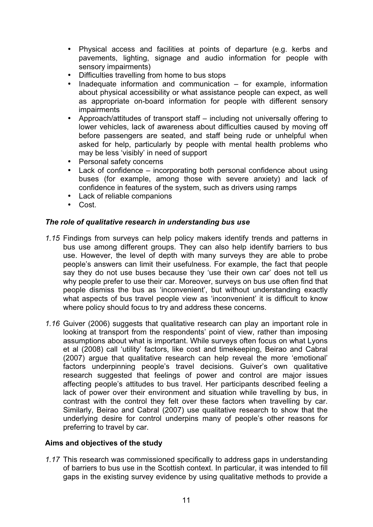- Physical access and facilities at points of departure (e.g. kerbs and pavements, lighting, signage and audio information for people with sensory impairments)
- Difficulties travelling from home to bus stops
- Inadequate information and communication  $-$  for example, information about physical accessibility or what assistance people can expect, as well as appropriate on-board information for people with different sensory impairments
- Approach/attitudes of transport staff including not universally offering to lower vehicles, lack of awareness about difficulties caused by moving off before passengers are seated, and staff being rude or unhelpful when asked for help, particularly by people with mental health problems who may be less 'visibly' in need of support
- Personal safety concerns
- Lack of confidence incorporating both personal confidence about using buses (for example, among those with severe anxiety) and lack of confidence in features of the system, such as drivers using ramps
- Lack of reliable companions
- Cost.

#### *The role of qualitative research in understanding bus use*

- *1.15* Findings from surveys can help policy makers identify trends and patterns in bus use among different groups. They can also help identify barriers to bus use. However, the level of depth with many surveys they are able to probe people's answers can limit their usefulness. For example, the fact that people say they do not use buses because they 'use their own car' does not tell us why people prefer to use their car. Moreover, surveys on bus use often find that people dismiss the bus as 'inconvenient', but without understanding exactly what aspects of bus travel people view as 'inconvenient' it is difficult to know where policy should focus to try and address these concerns.
- *1.16* Guiver (2006) suggests that qualitative research can play an important role in looking at transport from the respondents' point of view, rather than imposing assumptions about what is important. While surveys often focus on what Lyons et al (2008) call 'utility' factors, like cost and timekeeping, Beirao and Cabral (2007) argue that qualitative research can help reveal the more 'emotional' factors underpinning people's travel decisions. Guiver's own qualitative research suggested that feelings of power and control are major issues affecting people's attitudes to bus travel. Her participants described feeling a lack of power over their environment and situation while travelling by bus, in contrast with the control they felt over these factors when travelling by car. Similarly, Beirao and Cabral (2007) use qualitative research to show that the underlying desire for control underpins many of people's other reasons for preferring to travel by car.

#### **Aims and objectives of the study**

*1.17* This research was commissioned specifically to address gaps in understanding of barriers to bus use in the Scottish context. In particular, it was intended to fill gaps in the existing survey evidence by using qualitative methods to provide a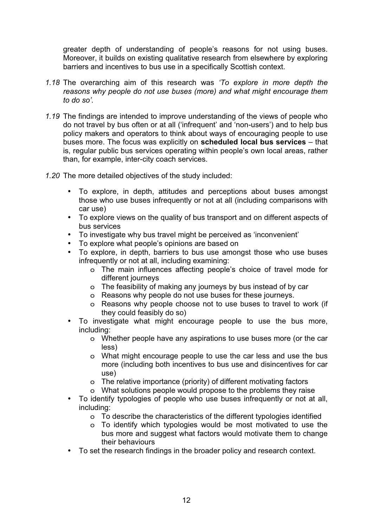greater depth of understanding of people's reasons for not using buses. Moreover, it builds on existing qualitative research from elsewhere by exploring barriers and incentives to bus use in a specifically Scottish context.

- *1.18* The overarching aim of this research was *'To explore in more depth the reasons why people do not use buses (more) and what might encourage them to do so'.*
- *1.19* The findings are intended to improve understanding of the views of people who do not travel by bus often or at all ('infrequent' and 'non-users') and to help bus policy makers and operators to think about ways of encouraging people to use buses more. The focus was explicitly on **scheduled local bus services** – that is, regular public bus services operating within people's own local areas, rather than, for example, inter-city coach services.
- *1.20* The more detailed objectives of the study included:
	- To explore, in depth, attitudes and perceptions about buses amongst those who use buses infrequently or not at all (including comparisons with car use)
	- To explore views on the quality of bus transport and on different aspects of bus services
	- To investigate why bus travel might be perceived as 'inconvenient'<br>• To explore what people's opinions are based on
	- To explore what people's opinions are based on
	- To explore, in depth, barriers to bus use amongst those who use buses infrequently or not at all, including examining:
		- o The main influences affecting people's choice of travel mode for different journeys
		- o The feasibility of making any journeys by bus instead of by car
		- o Reasons why people do not use buses for these journeys.
		- o Reasons why people choose not to use buses to travel to work (if they could feasibly do so)
	- To investigate what might encourage people to use the bus more, including:
		- o Whether people have any aspirations to use buses more (or the car less)
		- o What might encourage people to use the car less and use the bus more (including both incentives to bus use and disincentives for car use)
		- o The relative importance (priority) of different motivating factors
		- o What solutions people would propose to the problems they raise
	- To identify typologies of people who use buses infrequently or not at all, including:
		- o To describe the characteristics of the different typologies identified
		- o To identify which typologies would be most motivated to use the bus more and suggest what factors would motivate them to change their behaviours
	- To set the research findings in the broader policy and research context.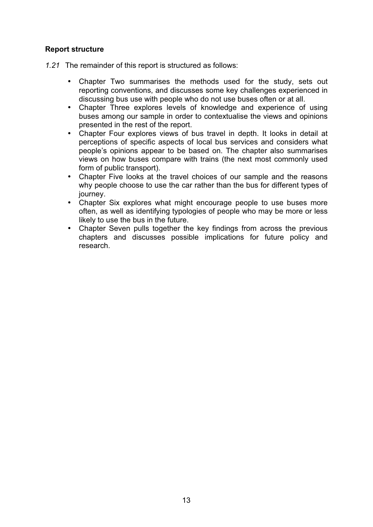#### **Report structure**

- *1.21* The remainder of this report is structured as follows:
	- Chapter Two summarises the methods used for the study, sets out reporting conventions, and discusses some key challenges experienced in discussing bus use with people who do not use buses often or at all.
	- Chapter Three explores levels of knowledge and experience of using buses among our sample in order to contextualise the views and opinions presented in the rest of the report.
	- Chapter Four explores views of bus travel in depth. It looks in detail at perceptions of specific aspects of local bus services and considers what people's opinions appear to be based on. The chapter also summarises views on how buses compare with trains (the next most commonly used form of public transport).
	- Chapter Five looks at the travel choices of our sample and the reasons why people choose to use the car rather than the bus for different types of journey.
	- Chapter Six explores what might encourage people to use buses more often, as well as identifying typologies of people who may be more or less likely to use the bus in the future.
	- Chapter Seven pulls together the key findings from across the previous chapters and discusses possible implications for future policy and research.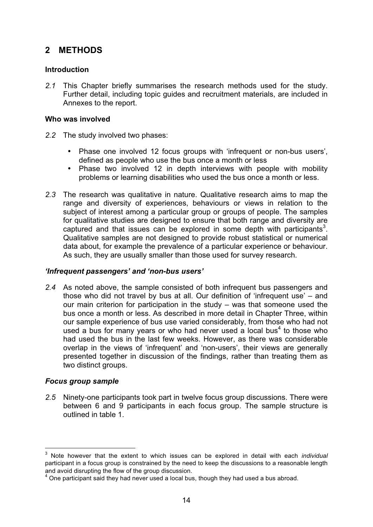## **2 METHODS**

#### **Introduction**

*2.1* This Chapter briefly summarises the research methods used for the study. Further detail, including topic guides and recruitment materials, are included in Annexes to the report.

#### **Who was involved**

- *2.2* The study involved two phases:
	- Phase one involved 12 focus groups with 'infrequent or non-bus users', defined as people who use the bus once a month or less
	- Phase two involved 12 in depth interviews with people with mobility problems or learning disabilities who used the bus once a month or less.
- *2.3* The research was qualitative in nature. Qualitative research aims to map the range and diversity of experiences, behaviours or views in relation to the subject of interest among a particular group or groups of people. The samples for qualitative studies are designed to ensure that both range and diversity are captured and that issues can be explored in some depth with participants<sup>3</sup>. Qualitative samples are not designed to provide robust statistical or numerical data about, for example the prevalence of a particular experience or behaviour. As such, they are usually smaller than those used for survey research.

#### *'Infrequent passengers' and 'non-bus users'*

*2.4* As noted above, the sample consisted of both infrequent bus passengers and those who did not travel by bus at all. Our definition of 'infrequent use' – and our main criterion for participation in the study – was that someone used the bus once a month or less. As described in more detail in Chapter Three, within our sample experience of bus use varied considerably, from those who had not used a bus for many years or who had never used a local bus<sup>4</sup> to those who had used the bus in the last few weeks. However, as there was considerable overlap in the views of 'infrequent' and 'non-users', their views are generally presented together in discussion of the findings, rather than treating them as two distinct groups.

#### *Focus group sample*

-

*2.5* Ninety-one participants took part in twelve focus group discussions. There were between 6 and 9 participants in each focus group. The sample structure is outlined in table 1.

<sup>3</sup> Note however that the extent to which issues can be explored in detail with each *individual* participant in a focus group is constrained by the need to keep the discussions to a reasonable length and avoid disrupting the flow of the group discussion.

 $4$  One participant said they had never used a local bus, though they had used a bus abroad.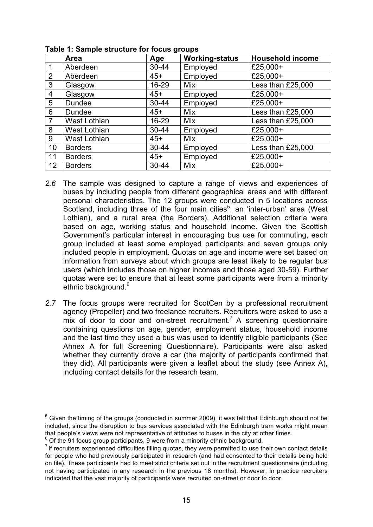|                | Area                | Age       | <b>Working-status</b> | <b>Household income</b> |
|----------------|---------------------|-----------|-----------------------|-------------------------|
| 1              | Aberdeen            | $30 - 44$ | Employed              | £25,000+                |
| $\overline{2}$ | Aberdeen            | $45+$     | Employed              | £25,000+                |
| 3              | Glasgow             | 16-29     | Mix                   | Less than £25,000       |
| 4              | Glasgow             | $45+$     | Employed              | £25,000+                |
| 5              | <b>Dundee</b>       | 30-44     | Employed              | £25,000+                |
| 6              | <b>Dundee</b>       | $45+$     | <b>Mix</b>            | Less than £25,000       |
| $\overline{7}$ | <b>West Lothian</b> | 16-29     | Mix                   | Less than £25,000       |
| 8              | <b>West Lothian</b> | 30-44     | Employed              | £25,000+                |
| 9              | <b>West Lothian</b> | $45+$     | Mix                   | £25,000+                |
| 10             | <b>Borders</b>      | $30 - 44$ | Employed              | Less than £25,000       |
| 11             | <b>Borders</b>      | $45+$     | Employed              | £25,000+                |
| 12             | <b>Borders</b>      | 30-44     | Mix                   | £25,000+                |

**Table 1: Sample structure for focus groups** 

- *2.6* The sample was designed to capture a range of views and experiences of buses by including people from different geographical areas and with different personal characteristics. The 12 groups were conducted in 5 locations across Scotland, including three of the four main cities<sup>5</sup>, an 'inter-urban' area (West Lothian), and a rural area (the Borders). Additional selection criteria were based on age, working status and household income. Given the Scottish Government's particular interest in encouraging bus use for commuting, each group included at least some employed participants and seven groups only included people in employment. Quotas on age and income were set based on information from surveys about which groups are least likely to be regular bus users (which includes those on higher incomes and those aged 30-59). Further quotas were set to ensure that at least some participants were from a minority ethnic background.<sup>6</sup>
- *2.7* The focus groups were recruited for ScotCen by a professional recruitment agency (Propeller) and two freelance recruiters. Recruiters were asked to use a  $\overline{m}$  ix of door to door and on-street recruitment.<sup>7</sup> A screening questionnaire containing questions on age, gender, employment status, household income and the last time they used a bus was used to identify eligible participants (See Annex A for full Screening Questionnaire). Participants were also asked whether they currently drove a car (the majority of participants confirmed that they did). All participants were given a leaflet about the study (see Annex A), including contact details for the research team.

 5 Given the timing of the groups (conducted in summer 2009), it was felt that Edinburgh should not be included, since the disruption to bus services associated with the Edinburgh tram works might mean that people's views were not representative of attitudes to buses in the city at other times.

 $6$  Of the 91 focus group participants, 9 were from a minority ethnic background.

 $<sup>7</sup>$  If recruiters experienced difficulties filling quotas, they were permitted to use their own contact details</sup> for people who had previously participated in research (and had consented to their details being held on file). These participants had to meet strict criteria set out in the recruitment questionnaire (including not having participated in any research in the previous 18 months). However, in practice recruiters indicated that the vast majority of participants were recruited on-street or door to door.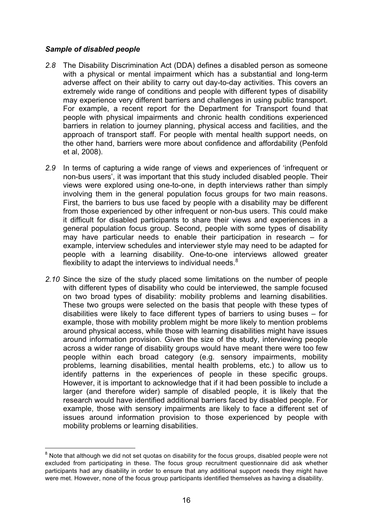#### *Sample of disabled people*

-

- *2.8* The Disability Discrimination Act (DDA) defines a disabled person as someone with a physical or mental impairment which has a substantial and long-term adverse affect on their ability to carry out day-to-day activities. This covers an extremely wide range of conditions and people with different types of disability may experience very different barriers and challenges in using public transport. For example, a recent report for the Department for Transport found that people with physical impairments and chronic health conditions experienced barriers in relation to journey planning, physical access and facilities, and the approach of transport staff. For people with mental health support needs, on the other hand, barriers were more about confidence and affordability (Penfold et al, 2008).
- *2.9* In terms of capturing a wide range of views and experiences of 'infrequent or non-bus users', it was important that this study included disabled people. Their views were explored using one-to-one, in depth interviews rather than simply involving them in the general population focus groups for two main reasons. First, the barriers to bus use faced by people with a disability may be different from those experienced by other infrequent or non-bus users. This could make it difficult for disabled participants to share their views and experiences in a general population focus group. Second, people with some types of disability may have particular needs to enable their participation in research – for example, interview schedules and interviewer style may need to be adapted for people with a learning disability. One-to-one interviews allowed greater flexibility to adapt the interviews to individual needs. $8$
- *2.10* Since the size of the study placed some limitations on the number of people with different types of disability who could be interviewed, the sample focused on two broad types of disability: mobility problems and learning disabilities. These two groups were selected on the basis that people with these types of disabilities were likely to face different types of barriers to using buses – for example, those with mobility problem might be more likely to mention problems around physical access, while those with learning disabilities might have issues around information provision. Given the size of the study, interviewing people across a wider range of disability groups would have meant there were too few people within each broad category (e.g. sensory impairments, mobility problems, learning disabilities, mental health problems, etc.) to allow us to identify patterns in the experiences of people in these specific groups. However, it is important to acknowledge that if it had been possible to include a larger (and therefore wider) sample of disabled people, it is likely that the research would have identified additional barriers faced by disabled people. For example, those with sensory impairments are likely to face a different set of issues around information provision to those experienced by people with mobility problems or learning disabilities.

 $8$  Note that although we did not set quotas on disability for the focus groups, disabled people were not excluded from participating in these. The focus group recruitment questionnaire did ask whether participants had any disability in order to ensure that any additional support needs they might have were met. However, none of the focus group participants identified themselves as having a disability.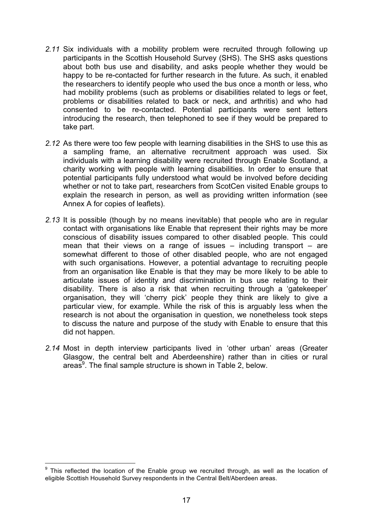- *2.11* Six individuals with a mobility problem were recruited through following up participants in the Scottish Household Survey (SHS). The SHS asks questions about both bus use and disability, and asks people whether they would be happy to be re-contacted for further research in the future. As such, it enabled the researchers to identify people who used the bus once a month or less, who had mobility problems (such as problems or disabilities related to legs or feet, problems or disabilities related to back or neck, and arthritis) and who had consented to be re-contacted. Potential participants were sent letters introducing the research, then telephoned to see if they would be prepared to take part.
- *2.12* As there were too few people with learning disabilities in the SHS to use this as a sampling frame, an alternative recruitment approach was used. Six individuals with a learning disability were recruited through Enable Scotland, a charity working with people with learning disabilities. In order to ensure that potential participants fully understood what would be involved before deciding whether or not to take part, researchers from ScotCen visited Enable groups to explain the research in person, as well as providing written information (see Annex A for copies of leaflets).
- *2.13* It is possible (though by no means inevitable) that people who are in regular contact with organisations like Enable that represent their rights may be more conscious of disability issues compared to other disabled people. This could mean that their views on a range of issues  $-$  including transport  $-$  are somewhat different to those of other disabled people, who are not engaged with such organisations. However, a potential advantage to recruiting people from an organisation like Enable is that they may be more likely to be able to articulate issues of identity and discrimination in bus use relating to their disability. There is also a risk that when recruiting through a 'gatekeeper' organisation, they will 'cherry pick' people they think are likely to give a particular view, for example. While the risk of this is arguably less when the research is not about the organisation in question, we nonetheless took steps to discuss the nature and purpose of the study with Enable to ensure that this did not happen.
- *2.14* Most in depth interview participants lived in 'other urban' areas (Greater Glasgow, the central belt and Aberdeenshire) rather than in cities or rural areas<sup>9</sup>. The final sample structure is shown in Table 2, below.

 9 This reflected the location of the Enable group we recruited through, as well as the location of eligible Scottish Household Survey respondents in the Central Belt/Aberdeen areas.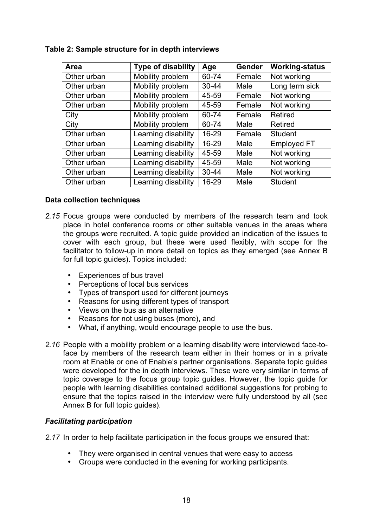| Area        | <b>Type of disability</b> | Age       | <b>Gender</b> | <b>Working-status</b> |
|-------------|---------------------------|-----------|---------------|-----------------------|
| Other urban | Mobility problem          | 60-74     | Female        | Not working           |
| Other urban | Mobility problem          | $30 - 44$ | Male          | Long term sick        |
| Other urban | Mobility problem          | 45-59     | Female        | Not working           |
| Other urban | Mobility problem          | 45-59     | Female        | Not working           |
| City        | Mobility problem          | 60-74     | Female        | <b>Retired</b>        |
| City        | Mobility problem          | 60-74     | Male          | Retired               |
| Other urban | Learning disability       | 16-29     | Female        | <b>Student</b>        |
| Other urban | Learning disability       | 16-29     | Male          | <b>Employed FT</b>    |
| Other urban | Learning disability       | 45-59     | Male          | Not working           |
| Other urban | Learning disability       | 45-59     | Male          | Not working           |
| Other urban | Learning disability       | $30 - 44$ | Male          | Not working           |
| Other urban | Learning disability       | 16-29     | Male          | <b>Student</b>        |

#### **Table 2: Sample structure for in depth interviews**

#### **Data collection techniques**

- *2.15* Focus groups were conducted by members of the research team and took place in hotel conference rooms or other suitable venues in the areas where the groups were recruited. A topic guide provided an indication of the issues to cover with each group, but these were used flexibly, with scope for the facilitator to follow-up in more detail on topics as they emerged (see Annex B for full topic guides). Topics included:
	- Experiences of bus travel
	- Perceptions of local bus services
	- Types of transport used for different journeys
	- Reasons for using different types of transport
	- Views on the bus as an alternative
	- Reasons for not using buses (more), and
	- What, if anything, would encourage people to use the bus.
- *2.16* People with a mobility problem or a learning disability were interviewed face-toface by members of the research team either in their homes or in a private room at Enable or one of Enable's partner organisations. Separate topic guides were developed for the in depth interviews. These were very similar in terms of topic coverage to the focus group topic guides. However, the topic guide for people with learning disabilities contained additional suggestions for probing to ensure that the topics raised in the interview were fully understood by all (see Annex B for full topic guides).

#### *Facilitating participation*

*2.17* In order to help facilitate participation in the focus groups we ensured that:

- They were organised in central venues that were easy to access
- Groups were conducted in the evening for working participants.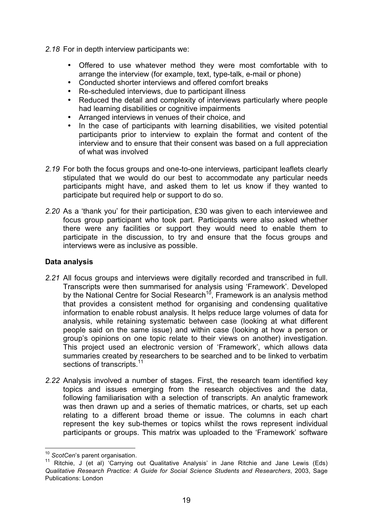- *2.18* For in depth interview participants we:
	- Offered to use whatever method they were most comfortable with to arrange the interview (for example, text, type-talk, e-mail or phone)
	- Conducted shorter interviews and offered comfort breaks
	- Re-scheduled interviews, due to participant illness
	- Reduced the detail and complexity of interviews particularly where people had learning disabilities or cognitive impairments
	- Arranged interviews in venues of their choice, and
	- In the case of participants with learning disabilities, we visited potential participants prior to interview to explain the format and content of the interview and to ensure that their consent was based on a full appreciation of what was involved
- *2.19* For both the focus groups and one-to-one interviews, participant leaflets clearly stipulated that we would do our best to accommodate any particular needs participants might have, and asked them to let us know if they wanted to participate but required help or support to do so.
- *2.20* As a 'thank you' for their participation, £30 was given to each interviewee and focus group participant who took part. Participants were also asked whether there were any facilities or support they would need to enable them to participate in the discussion, to try and ensure that the focus groups and interviews were as inclusive as possible.

#### **Data analysis**

- *2.21* All focus groups and interviews were digitally recorded and transcribed in full. Transcripts were then summarised for analysis using 'Framework'. Developed by the National Centre for Social Research<sup>10</sup>, Framework is an analysis method that provides a consistent method for organising and condensing qualitative information to enable robust analysis. It helps reduce large volumes of data for analysis, while retaining systematic between case (looking at what different people said on the same issue) and within case (looking at how a person or group's opinions on one topic relate to their views on another) investigation. This project used an electronic version of 'Framework', which allows data summaries created by researchers to be searched and to be linked to verbatim sections of transcripts.<sup>11</sup>
- *2.22* Analysis involved a number of stages. First, the research team identified key topics and issues emerging from the research objectives and the data, following familiarisation with a selection of transcripts. An analytic framework was then drawn up and a series of thematic matrices, or charts, set up each relating to a different broad theme or issue. The columns in each chart represent the key sub-themes or topics whilst the rows represent individual participants or groups. This matrix was uploaded to the 'Framework' software

<u>.</u>

<sup>10</sup> *ScotCen*'s parent organisation.

<sup>&</sup>lt;sup>11</sup> Ritchie, J (et al) Carrying out Qualitative Analysis' in Jane Ritchie and Jane Lewis (Eds) *Qualitative Research Practice: A Guide for Social Science Students and Researchers*, 2003, Sage Publications: London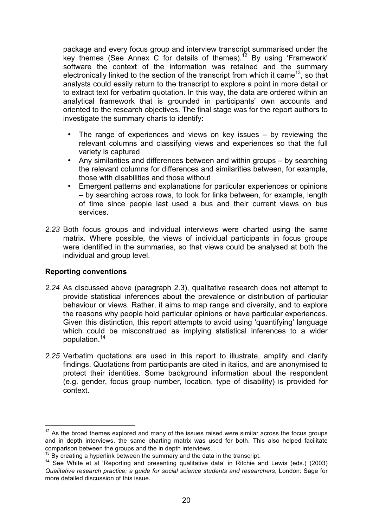package and every focus group and interview transcript summarised under the key themes (See Annex C for details of themes).<sup>12</sup> By using 'Framework' software the context of the information was retained and the summary electronically linked to the section of the transcript from which it came<sup>13</sup>, so that analysts could easily return to the transcript to explore a point in more detail or to extract text for verbatim quotation. In this way, the data are ordered within an analytical framework that is grounded in participants' own accounts and oriented to the research objectives. The final stage was for the report authors to investigate the summary charts to identify:

- The range of experiences and views on key issues by reviewing the relevant columns and classifying views and experiences so that the full variety is captured
- Any similarities and differences between and within groups by searching the relevant columns for differences and similarities between, for example, those with disabilities and those without
- Emergent patterns and explanations for particular experiences or opinions – by searching across rows, to look for links between, for example, length of time since people last used a bus and their current views on bus services.
- *2.23* Both focus groups and individual interviews were charted using the same matrix. Where possible, the views of individual participants in focus groups were identified in the summaries, so that views could be analysed at both the individual and group level.

#### **Reporting conventions**

-

- *2.24* As discussed above (paragraph 2.3), qualitative research does not attempt to provide statistical inferences about the prevalence or distribution of particular behaviour or views. Rather, it aims to map range and diversity, and to explore the reasons why people hold particular opinions or have particular experiences. Given this distinction, this report attempts to avoid using 'quantifying' language which could be misconstrued as implying statistical inferences to a wider population.<sup>14</sup>
- *2.25* Verbatim quotations are used in this report to illustrate, amplify and clarify findings. Quotations from participants are cited in italics, and are anonymised to protect their identities. Some background information about the respondent (e.g. gender, focus group number, location, type of disability) is provided for context.

 $12$  As the broad themes explored and many of the issues raised were similar across the focus groups and in depth interviews, the same charting matrix was used for both. This also helped facilitate comparison between the groups and the in depth interviews.

 $13$  By creating a hyperlink between the summary and the data in the transcript.

<sup>14</sup> See White et al 'Reporting and presenting qualitative data' in Ritchie and Lewis (eds.) (2003) *Qualitative research practice: a guide for social science students and researchers*, London: Sage for more detailed discussion of this issue.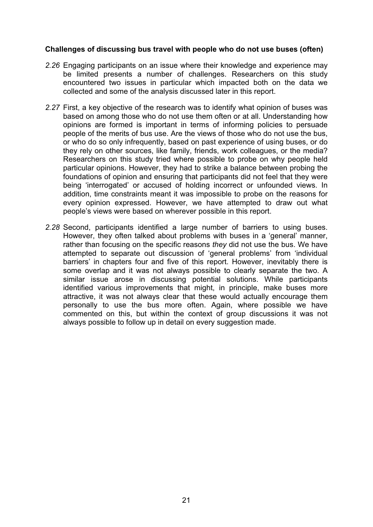#### **Challenges of discussing bus travel with people who do not use buses (often)**

- *2.26* Engaging participants on an issue where their knowledge and experience may be limited presents a number of challenges. Researchers on this study encountered two issues in particular which impacted both on the data we collected and some of the analysis discussed later in this report.
- *2.27* First, a key objective of the research was to identify what opinion of buses was based on among those who do not use them often or at all. Understanding how opinions are formed is important in terms of informing policies to persuade people of the merits of bus use. Are the views of those who do not use the bus, or who do so only infrequently, based on past experience of using buses, or do they rely on other sources, like family, friends, work colleagues, or the media? Researchers on this study tried where possible to probe on why people held particular opinions. However, they had to strike a balance between probing the foundations of opinion and ensuring that participants did not feel that they were being 'interrogated' or accused of holding incorrect or unfounded views. In addition, time constraints meant it was impossible to probe on the reasons for every opinion expressed. However, we have attempted to draw out what people's views were based on wherever possible in this report.
- *2.28* Second, participants identified a large number of barriers to using buses. However, they often talked about problems with buses in a 'general' manner, rather than focusing on the specific reasons *they* did not use the bus. We have attempted to separate out discussion of 'general problems' from 'individual barriers' in chapters four and five of this report. However, inevitably there is some overlap and it was not always possible to clearly separate the two. A similar issue arose in discussing potential solutions. While participants identified various improvements that might, in principle, make buses more attractive, it was not always clear that these would actually encourage them personally to use the bus more often. Again, where possible we have commented on this, but within the context of group discussions it was not always possible to follow up in detail on every suggestion made.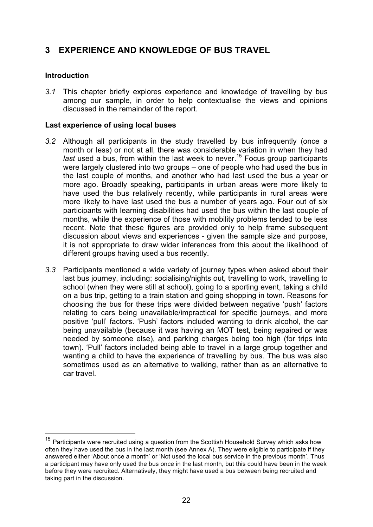## **3 EXPERIENCE AND KNOWLEDGE OF BUS TRAVEL**

#### **Introduction**

 $\overline{\phantom{a}}$ 

*3.1* This chapter briefly explores experience and knowledge of travelling by bus among our sample, in order to help contextualise the views and opinions discussed in the remainder of the report.

#### **Last experience of using local buses**

- *3.2* Although all participants in the study travelled by bus infrequently (once a month or less) or not at all, there was considerable variation in when they had *last* used a bus, from within the last week to never.15 Focus group participants were largely clustered into two groups – one of people who had used the bus in the last couple of months, and another who had last used the bus a year or more ago. Broadly speaking, participants in urban areas were more likely to have used the bus relatively recently, while participants in rural areas were more likely to have last used the bus a number of years ago. Four out of six participants with learning disabilities had used the bus within the last couple of months, while the experience of those with mobility problems tended to be less recent. Note that these figures are provided only to help frame subsequent discussion about views and experiences - given the sample size and purpose, it is not appropriate to draw wider inferences from this about the likelihood of different groups having used a bus recently.
- *3.3* Participants mentioned a wide variety of journey types when asked about their last bus journey, including: socialising/nights out, travelling to work, travelling to school (when they were still at school), going to a sporting event, taking a child on a bus trip, getting to a train station and going shopping in town. Reasons for choosing the bus for these trips were divided between negative 'push' factors relating to cars being unavailable/impractical for specific journeys, and more positive 'pull' factors. 'Push' factors included wanting to drink alcohol, the car being unavailable (because it was having an MOT test, being repaired or was needed by someone else), and parking charges being too high (for trips into town). 'Pull' factors included being able to travel in a large group together and wanting a child to have the experience of travelling by bus. The bus was also sometimes used as an alternative to walking, rather than as an alternative to car travel.

<sup>&</sup>lt;sup>15</sup> Participants were recruited using a question from the Scottish Household Survey which asks how often they have used the bus in the last month (see Annex A). They were eligible to participate if they answered either 'About once a month' or 'Not used the local bus service in the previous month'. Thus a participant may have only used the bus once in the last month, but this could have been in the week before they were recruited. Alternatively, they might have used a bus between being recruited and taking part in the discussion.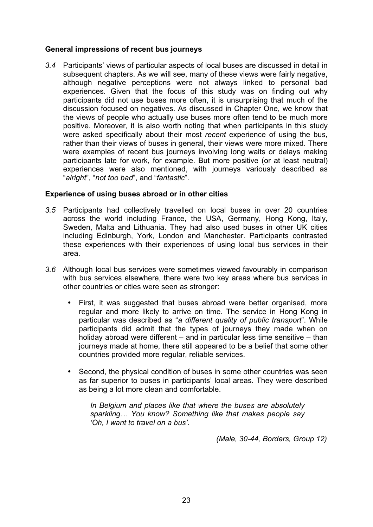#### **General impressions of recent bus journeys**

*3.4* Participants' views of particular aspects of local buses are discussed in detail in subsequent chapters. As we will see, many of these views were fairly negative, although negative perceptions were not always linked to personal bad experiences. Given that the focus of this study was on finding out why participants did not use buses more often, it is unsurprising that much of the discussion focused on negatives. As discussed in Chapter One, we know that the views of people who actually use buses more often tend to be much more positive. Moreover, it is also worth noting that when participants in this study were asked specifically about their most *recent* experience of using the bus, rather than their views of buses in general, their views were more mixed. There were examples of recent bus journeys involving long waits or delays making participants late for work, for example. But more positive (or at least neutral) experiences were also mentioned, with journeys variously described as "*alright*", "*not too bad*", and "*fantastic*".

#### **Experience of using buses abroad or in other cities**

- *3.5* Participants had collectively travelled on local buses in over 20 countries across the world including France, the USA, Germany, Hong Kong, Italy, Sweden, Malta and Lithuania. They had also used buses in other UK cities including Edinburgh, York, London and Manchester. Participants contrasted these experiences with their experiences of using local bus services in their area.
- *3.6* Although local bus services were sometimes viewed favourably in comparison with bus services elsewhere, there were two key areas where bus services in other countries or cities were seen as stronger:
	- First, it was suggested that buses abroad were better organised, more regular and more likely to arrive on time. The service in Hong Kong in particular was described as "*a different quality of public transport*". While participants did admit that the types of journeys they made when on holiday abroad were different – and in particular less time sensitive – than journeys made at home, there still appeared to be a belief that some other countries provided more regular, reliable services.
	- Second, the physical condition of buses in some other countries was seen as far superior to buses in participants' local areas. They were described as being a lot more clean and comfortable.

*In Belgium and places like that where the buses are absolutely sparkling… You know? Something like that makes people say 'Oh, I want to travel on a bus'.* 

 *(Male, 30-44, Borders, Group 12)*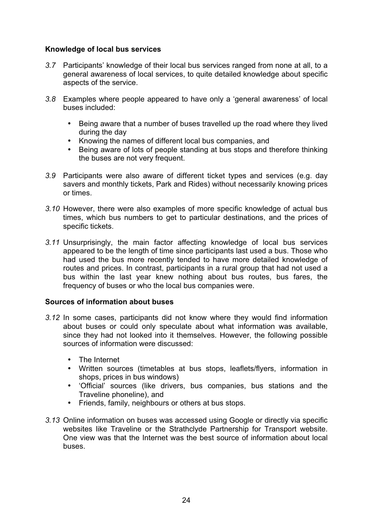#### **Knowledge of local bus services**

- *3.7* Participants' knowledge of their local bus services ranged from none at all, to a general awareness of local services, to quite detailed knowledge about specific aspects of the service.
- *3.8* Examples where people appeared to have only a 'general awareness' of local buses included:
	- Being aware that a number of buses travelled up the road where they lived during the day
	- Knowing the names of different local bus companies, and
	- Being aware of lots of people standing at bus stops and therefore thinking the buses are not very frequent.
- *3.9* Participants were also aware of different ticket types and services (e.g. day savers and monthly tickets, Park and Rides) without necessarily knowing prices or times.
- *3.10* However, there were also examples of more specific knowledge of actual bus times, which bus numbers to get to particular destinations, and the prices of specific tickets.
- *3.11* Unsurprisingly, the main factor affecting knowledge of local bus services appeared to be the length of time since participants last used a bus. Those who had used the bus more recently tended to have more detailed knowledge of routes and prices. In contrast, participants in a rural group that had not used a bus within the last year knew nothing about bus routes, bus fares, the frequency of buses or who the local bus companies were.

#### **Sources of information about buses**

- *3.12* In some cases, participants did not know where they would find information about buses or could only speculate about what information was available, since they had not looked into it themselves. However, the following possible sources of information were discussed:
	- The Internet
	- Written sources (timetables at bus stops, leaflets/flyers, information in shops, prices in bus windows)
	- 'Official' sources (like drivers, bus companies, bus stations and the Traveline phoneline), and
	- Friends, family, neighbours or others at bus stops.
- *3.13* Online information on buses was accessed using Google or directly via specific websites like Traveline or the Strathclyde Partnership for Transport website. One view was that the Internet was the best source of information about local buses.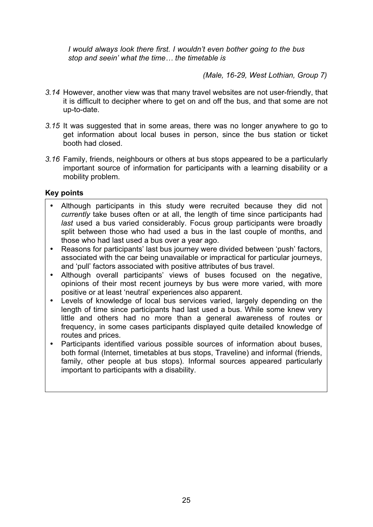*I would always look there first. I wouldn't even bother going to the bus stop and seein' what the time… the timetable is* 

 *(Male, 16-29, West Lothian, Group 7)* 

- *3.14* However, another view was that many travel websites are not user-friendly, that it is difficult to decipher where to get on and off the bus, and that some are not up-to-date.
- *3.15* It was suggested that in some areas, there was no longer anywhere to go to get information about local buses in person, since the bus station or ticket booth had closed.
- *3.16* Family, friends, neighbours or others at bus stops appeared to be a particularly important source of information for participants with a learning disability or a mobility problem.

#### **Key points**

- Although participants in this study were recruited because they did not *currently* take buses often or at all, the length of time since participants had *last* used a bus varied considerably. Focus group participants were broadly split between those who had used a bus in the last couple of months, and those who had last used a bus over a year ago.
- Reasons for participants' last bus journey were divided between 'push' factors, associated with the car being unavailable or impractical for particular journeys, and 'pull' factors associated with positive attributes of bus travel.
- Although overall participants' views of buses focused on the negative, opinions of their most recent journeys by bus were more varied, with more positive or at least 'neutral' experiences also apparent.
- Levels of knowledge of local bus services varied, largely depending on the length of time since participants had last used a bus. While some knew very little and others had no more than a general awareness of routes or frequency, in some cases participants displayed quite detailed knowledge of routes and prices.
- Participants identified various possible sources of information about buses, both formal (Internet, timetables at bus stops, Traveline) and informal (friends, family, other people at bus stops). Informal sources appeared particularly important to participants with a disability.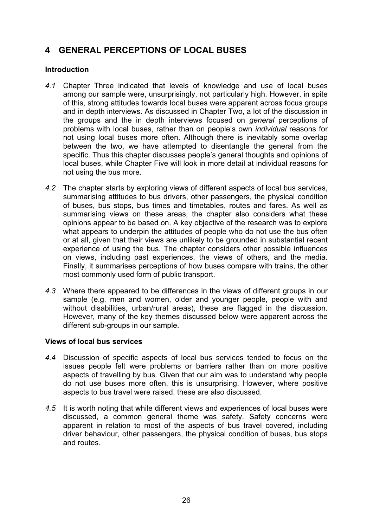## **4 GENERAL PERCEPTIONS OF LOCAL BUSES**

#### **Introduction**

- *4.1* Chapter Three indicated that levels of knowledge and use of local buses among our sample were, unsurprisingly, not particularly high. However, in spite of this, strong attitudes towards local buses were apparent across focus groups and in depth interviews. As discussed in Chapter Two, a lot of the discussion in the groups and the in depth interviews focused on *general* perceptions of problems with local buses, rather than on people's own *individual* reasons for not using local buses more often. Although there is inevitably some overlap between the two, we have attempted to disentangle the general from the specific. Thus this chapter discusses people's general thoughts and opinions of local buses, while Chapter Five will look in more detail at individual reasons for not using the bus more.
- *4.2* The chapter starts by exploring views of different aspects of local bus services, summarising attitudes to bus drivers, other passengers, the physical condition of buses, bus stops, bus times and timetables, routes and fares. As well as summarising views on these areas, the chapter also considers what these opinions appear to be based on. A key objective of the research was to explore what appears to underpin the attitudes of people who do not use the bus often or at all, given that their views are unlikely to be grounded in substantial recent experience of using the bus. The chapter considers other possible influences on views, including past experiences, the views of others, and the media. Finally, it summarises perceptions of how buses compare with trains, the other most commonly used form of public transport.
- *4.3* Where there appeared to be differences in the views of different groups in our sample (e.g. men and women, older and younger people, people with and without disabilities, urban/rural areas), these are flagged in the discussion. However, many of the key themes discussed below were apparent across the different sub-groups in our sample.

#### **Views of local bus services**

- *4.4* Discussion of specific aspects of local bus services tended to focus on the issues people felt were problems or barriers rather than on more positive aspects of travelling by bus. Given that our aim was to understand why people do not use buses more often, this is unsurprising. However, where positive aspects to bus travel were raised, these are also discussed.
- *4.5* It is worth noting that while different views and experiences of local buses were discussed, a common general theme was safety. Safety concerns were apparent in relation to most of the aspects of bus travel covered, including driver behaviour, other passengers, the physical condition of buses, bus stops and routes.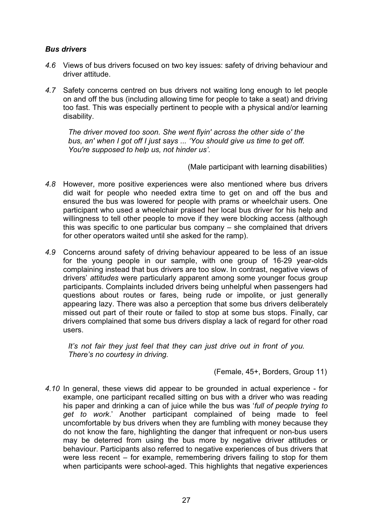#### *Bus drivers*

- *4.6* Views of bus drivers focused on two key issues: safety of driving behaviour and driver attitude.
- *4.7* Safety concerns centred on bus drivers not waiting long enough to let people on and off the bus (including allowing time for people to take a seat) and driving too fast. This was especially pertinent to people with a physical and/or learning disability.

*The driver moved too soon. She went flyin' across the other side o' the bus, an' when I got off I just says ... 'You should give us time to get off. You're supposed to help us, not hinder us'.* 

(Male participant with learning disabilities)

- *4.8* However, more positive experiences were also mentioned where bus drivers did wait for people who needed extra time to get on and off the bus and ensured the bus was lowered for people with prams or wheelchair users. One participant who used a wheelchair praised her local bus driver for his help and willingness to tell other people to move if they were blocking access (although this was specific to one particular bus company – she complained that drivers for other operators waited until she asked for the ramp).
- *4.9* Concerns around safety of driving behaviour appeared to be less of an issue for the young people in our sample, with one group of 16-29 year-olds complaining instead that bus drivers are too slow. In contrast, negative views of drivers' *attitudes* were particularly apparent among some younger focus group participants. Complaints included drivers being unhelpful when passengers had questions about routes or fares, being rude or impolite, or just generally appearing lazy. There was also a perception that some bus drivers deliberately missed out part of their route or failed to stop at some bus stops. Finally, car drivers complained that some bus drivers display a lack of regard for other road users.

*It's not fair they just feel that they can just drive out in front of you. There's no courtesy in driving.* 

(Female, 45+, Borders, Group 11)

*4.10* In general, these views did appear to be grounded in actual experience - for example, one participant recalled sitting on bus with a driver who was reading his paper and drinking a can of juice while the bus was '*full of people trying to get to work*.' Another participant complained of being made to feel uncomfortable by bus drivers when they are fumbling with money because they do not know the fare, highlighting the danger that infrequent or non-bus users may be deterred from using the bus more by negative driver attitudes or behaviour. Participants also referred to negative experiences of bus drivers that were less recent – for example, remembering drivers failing to stop for them when participants were school-aged. This highlights that negative experiences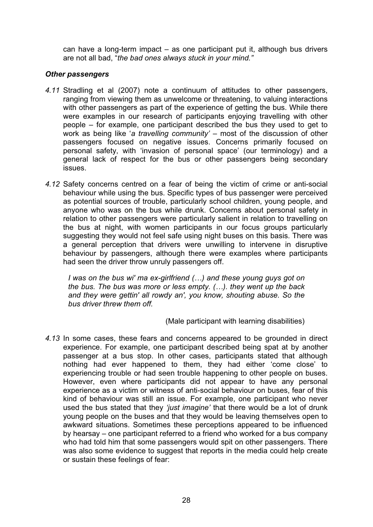can have a long-term impact – as one participant put it, although bus drivers are not all bad, "*the bad ones always stuck in your mind."*

#### *Other passengers*

- *4.11* Stradling et al (2007) note a continuum of attitudes to other passengers, ranging from viewing them as unwelcome or threatening, to valuing interactions with other passengers as part of the experience of getting the bus. While there were examples in our research of participants enjoying travelling with other people – for example, one participant described the bus they used to get to work as being like '*a travelling community'* – most of the discussion of other passengers focused on negative issues. Concerns primarily focused on personal safety, with 'invasion of personal space' (our terminology) and a general lack of respect for the bus or other passengers being secondary issues.
- *4.12* Safety concerns centred on a fear of being the victim of crime or anti-social behaviour while using the bus. Specific types of bus passenger were perceived as potential sources of trouble, particularly school children, young people, and anyone who was on the bus while drunk. Concerns about personal safety in relation to other passengers were particularly salient in relation to travelling on the bus at night, with women participants in our focus groups particularly suggesting they would not feel safe using night buses on this basis. There was a general perception that drivers were unwilling to intervene in disruptive behaviour by passengers, although there were examples where participants had seen the driver throw unruly passengers off.

*I was on the bus wi' ma ex-girlfriend (…) and these young guys got on the bus. The bus was more or less empty. (…). they went up the back and they were gettin' all rowdy an', you know, shouting abuse. So the bus driver threw them off.* 

(Male participant with learning disabilities)

*4.13* In some cases, these fears and concerns appeared to be grounded in direct experience. For example, one participant described being spat at by another passenger at a bus stop. In other cases, participants stated that although nothing had ever happened to them, they had either 'come close' to experiencing trouble or had seen trouble happening to other people on buses. However, even where participants did not appear to have any personal experience as a victim or witness of anti-social behaviour on buses, fear of this kind of behaviour was still an issue. For example, one participant who never used the bus stated that they *'just imagine'* that there would be a lot of drunk young people on the buses and that they would be leaving themselves open to awkward situations. Sometimes these perceptions appeared to be influenced by hearsay – one participant referred to a friend who worked for a bus company who had told him that some passengers would spit on other passengers. There was also some evidence to suggest that reports in the media could help create or sustain these feelings of fear: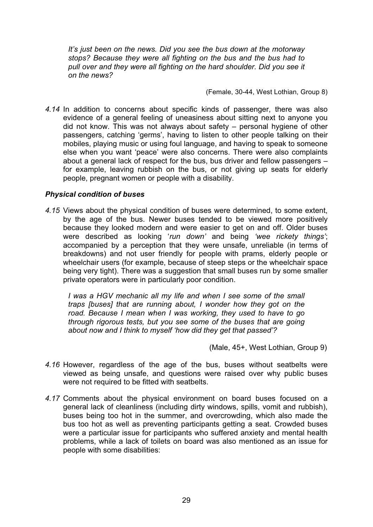*It's just been on the news. Did you see the bus down at the motorway stops? Because they were all fighting on the bus and the bus had to pull over and they were all fighting on the hard shoulder. Did you see it on the news?* 

(Female, 30-44, West Lothian, Group 8)

*4.14* In addition to concerns about specific kinds of passenger, there was also evidence of a general feeling of uneasiness about sitting next to anyone you did not know. This was not always about safety – personal hygiene of other passengers, catching 'germs', having to listen to other people talking on their mobiles, playing music or using foul language, and having to speak to someone else when you want 'peace' were also concerns. There were also complaints about a general lack of respect for the bus, bus driver and fellow passengers – for example, leaving rubbish on the bus, or not giving up seats for elderly people, pregnant women or people with a disability.

#### *Physical condition of buses*

*4.15* Views about the physical condition of buses were determined, to some extent, by the age of the bus. Newer buses tended to be viewed more positively because they looked modern and were easier to get on and off. Older buses were described as looking '*run down'* and being *'wee rickety things'*; accompanied by a perception that they were unsafe, unreliable (in terms of breakdowns) and not user friendly for people with prams, elderly people or wheelchair users (for example, because of steep steps or the wheelchair space being very tight). There was a suggestion that small buses run by some smaller private operators were in particularly poor condition.

*I was a HGV mechanic all my life and when I see some of the small traps [buses] that are running about, I wonder how they got on the road. Because I mean when I was working, they used to have to go through rigorous tests, but you see some of the buses that are going about now and I think to myself 'how did they get that passed'?* 

(Male, 45+, West Lothian, Group 9)

- *4.16* However, regardless of the age of the bus, buses without seatbelts were viewed as being unsafe, and questions were raised over why public buses were not required to be fitted with seatbelts.
- *4.17* Comments about the physical environment on board buses focused on a general lack of cleanliness (including dirty windows, spills, vomit and rubbish), buses being too hot in the summer, and overcrowding, which also made the bus too hot as well as preventing participants getting a seat. Crowded buses were a particular issue for participants who suffered anxiety and mental health problems, while a lack of toilets on board was also mentioned as an issue for people with some disabilities: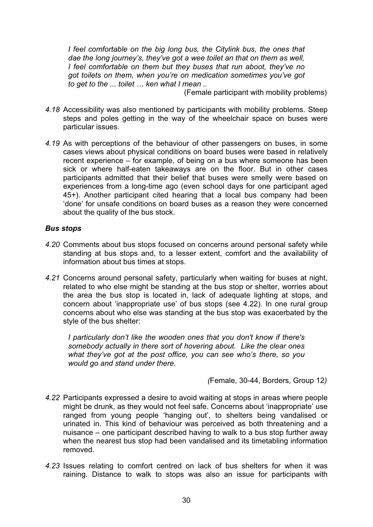*I* feel comfortable on the big long bus, the Citylink bus, the ones that *dae the long journey's, they've got a wee toilet an that on them as well, I feel comfortable on them but they buses that run aboot, they've no got toilets on them, when you're on medication sometimes you've got to get to the ... toilet … ken what I mean ..* 

(Female participant with mobility problems)

- *4.18* Accessibility was also mentioned by participants with mobility problems. Steep steps and poles getting in the way of the wheelchair space on buses were particular issues.
- *4.19* As with perceptions of the behaviour of other passengers on buses, in some cases views about physical conditions on board buses were based in relatively recent experience – for example, of being on a bus where someone has been sick or where half-eaten takeaways are on the floor. But in other cases participants admitted that their belief that buses were smelly were based on experiences from a long-time ago (even school days for one participant aged 45+). Another participant cited hearing that a local bus company had been 'done' for unsafe conditions on board buses as a reason they were concerned about the quality of the bus stock.

#### *Bus stops*

- *4.20* Comments about bus stops focused on concerns around personal safety while standing at bus stops and, to a lesser extent, comfort and the availability of information about bus times at stops.
- *4.21* Concerns around personal safety, particularly when waiting for buses at night, related to who else might be standing at the bus stop or shelter, worries about the area the bus stop is located in, lack of adequate lighting at stops, and concern about 'inappropriate use' of bus stops (see 4.22). In one rural group concerns about who else was standing at the bus stop was exacerbated by the style of the bus shelter:

*I particularly don't like the wooden ones that you don't know if there's somebody actually in there sort of hovering about. Like the clear ones what they've got at the post office, you can see who's there, so you would go and stand under there.* 

*(*Female, 30-44, Borders, Group 12*)* 

- *4.22* Participants expressed a desire to avoid waiting at stops in areas where people might be drunk, as they would not feel safe. Concerns about 'inappropriate' use ranged from young people 'hanging out', to shelters being vandalised or urinated in. This kind of behaviour was perceived as both threatening and a nuisance – one participant described having to walk to a bus stop further away when the nearest bus stop had been vandalised and its timetabling information removed.
- *4.23* Issues relating to comfort centred on lack of bus shelters for when it was raining. Distance to walk to stops was also an issue for participants with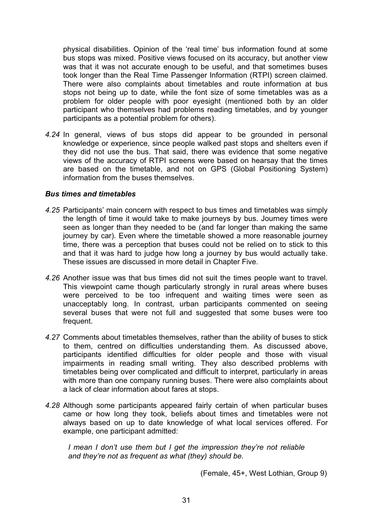physical disabilities. Opinion of the 'real time' bus information found at some bus stops was mixed. Positive views focused on its accuracy, but another view was that it was not accurate enough to be useful, and that sometimes buses took longer than the Real Time Passenger Information (RTPI) screen claimed. There were also complaints about timetables and route information at bus stops not being up to date, while the font size of some timetables was as a problem for older people with poor eyesight (mentioned both by an older participant who themselves had problems reading timetables, and by younger participants as a potential problem for others).

*4.24* In general, views of bus stops did appear to be grounded in personal knowledge or experience, since people walked past stops and shelters even if they did not use the bus. That said, there was evidence that some negative views of the accuracy of RTPI screens were based on hearsay that the times are based on the timetable, and not on GPS (Global Positioning System) information from the buses themselves.

### *Bus times and timetables*

- *4.25* Participants' main concern with respect to bus times and timetables was simply the length of time it would take to make journeys by bus. Journey times were seen as longer than they needed to be (and far longer than making the same journey by car). Even where the timetable showed a more reasonable journey time, there was a perception that buses could not be relied on to stick to this and that it was hard to judge how long a journey by bus would actually take. These issues are discussed in more detail in Chapter Five.
- *4.26* Another issue was that bus times did not suit the times people want to travel. This viewpoint came though particularly strongly in rural areas where buses were perceived to be too infrequent and waiting times were seen as unacceptably long. In contrast, urban participants commented on seeing several buses that were not full and suggested that some buses were too frequent.
- *4.27* Comments about timetables themselves, rather than the ability of buses to stick to them, centred on difficulties understanding them. As discussed above, participants identified difficulties for older people and those with visual impairments in reading small writing. They also described problems with timetables being over complicated and difficult to interpret, particularly in areas with more than one company running buses. There were also complaints about a lack of clear information about fares at stops.
- *4.28* Although some participants appeared fairly certain of when particular buses came or how long they took, beliefs about times and timetables were not always based on up to date knowledge of what local services offered. For example, one participant admitted:

*I mean I don't use them but I get the impression they're not reliable and they're not as frequent as what (they) should be.* 

(Female, 45+, West Lothian, Group 9)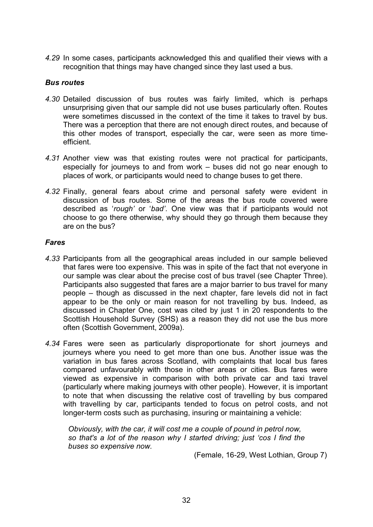*4.29* In some cases, participants acknowledged this and qualified their views with a recognition that things may have changed since they last used a bus.

## *Bus routes*

- *4.30* Detailed discussion of bus routes was fairly limited, which is perhaps unsurprising given that our sample did not use buses particularly often. Routes were sometimes discussed in the context of the time it takes to travel by bus. There was a perception that there are not enough direct routes, and because of this other modes of transport, especially the car, were seen as more timeefficient.
- *4.31* Another view was that existing routes were not practical for participants, especially for journeys to and from work – buses did not go near enough to places of work, or participants would need to change buses to get there.
- *4.32* Finally, general fears about crime and personal safety were evident in discussion of bus routes. Some of the areas the bus route covered were described as '*rough'* or '*bad'*. One view was that if participants would not choose to go there otherwise, why should they go through them because they are on the bus?

## *Fares*

- *4.33* Participants from all the geographical areas included in our sample believed that fares were too expensive. This was in spite of the fact that not everyone in our sample was clear about the precise cost of bus travel (see Chapter Three). Participants also suggested that fares are a major barrier to bus travel for many people – though as discussed in the next chapter, fare levels did not in fact appear to be the only or main reason for not travelling by bus. Indeed, as discussed in Chapter One, cost was cited by just 1 in 20 respondents to the Scottish Household Survey (SHS) as a reason they did not use the bus more often (Scottish Government, 2009a).
- *4.34* Fares were seen as particularly disproportionate for short journeys and journeys where you need to get more than one bus. Another issue was the variation in bus fares across Scotland, with complaints that local bus fares compared unfavourably with those in other areas or cities. Bus fares were viewed as expensive in comparison with both private car and taxi travel (particularly where making journeys with other people). However, it is important to note that when discussing the relative cost of travelling by bus compared with travelling by car, participants tended to focus on petrol costs, and not longer-term costs such as purchasing, insuring or maintaining a vehicle:

*Obviously, with the car, it will cost me a couple of pound in petrol now, so that's a lot of the reason why I started driving; just 'cos I find the buses so expensive now.* 

(Female, 16-29, West Lothian, Group 7)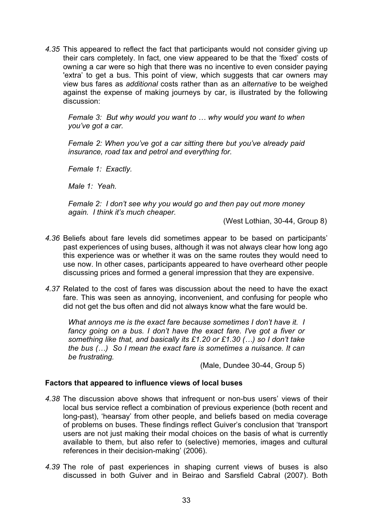*4.35* This appeared to reflect the fact that participants would not consider giving up their cars completely. In fact, one view appeared to be that the 'fixed' costs of owning a car were so high that there was no incentive to even consider paying 'extra' to get a bus. This point of view, which suggests that car owners may view bus fares as *additional* costs rather than as an *alternative* to be weighed against the expense of making journeys by car, is illustrated by the following discussion:

*Female 3: But why would you want to … why would you want to when you've got a car.* 

*Female 2: When you've got a car sitting there but you've already paid insurance, road tax and petrol and everything for.* 

*Female 1: Exactly.* 

*Male 1: Yeah.* 

*Female 2: I don't see why you would go and then pay out more money again. I think it's much cheaper.* 

(West Lothian, 30-44, Group 8)

- *4.36* Beliefs about fare levels did sometimes appear to be based on participants' past experiences of using buses, although it was not always clear how long ago this experience was or whether it was on the same routes they would need to use now. In other cases, participants appeared to have overheard other people discussing prices and formed a general impression that they are expensive.
- *4.37* Related to the cost of fares was discussion about the need to have the exact fare. This was seen as annoying, inconvenient, and confusing for people who did not get the bus often and did not always know what the fare would be.

*What annoys me is the exact fare because sometimes I don't have it. I fancy going on a bus. I don't have the exact fare. I've got a fiver or something like that, and basically its £1.20 or £1.30 (…) so I don't take the bus (…) So I mean the exact fare is sometimes a nuisance. It can be frustrating.* 

(Male, Dundee 30-44, Group 5)

## **Factors that appeared to influence views of local buses**

- *4.38* The discussion above shows that infrequent or non-bus users' views of their local bus service reflect a combination of previous experience (both recent and long-past), 'hearsay' from other people, and beliefs based on media coverage of problems on buses. These findings reflect Guiver's conclusion that 'transport users are not just making their modal choices on the basis of what is currently available to them, but also refer to (selective) memories, images and cultural references in their decision-making' (2006).
- *4.39* The role of past experiences in shaping current views of buses is also discussed in both Guiver and in Beirao and Sarsfield Cabral (2007). Both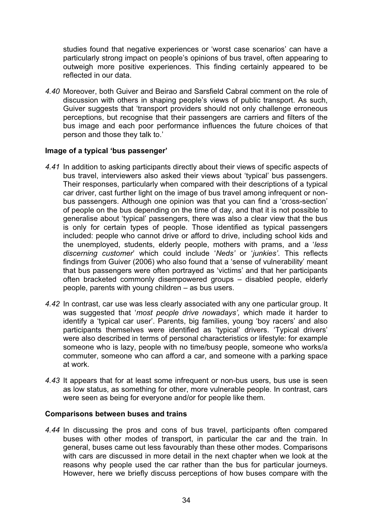studies found that negative experiences or 'worst case scenarios' can have a particularly strong impact on people's opinions of bus travel, often appearing to outweigh more positive experiences. This finding certainly appeared to be reflected in our data.

*4.40* Moreover, both Guiver and Beirao and Sarsfield Cabral comment on the role of discussion with others in shaping people's views of public transport. As such, Guiver suggests that 'transport providers should not only challenge erroneous perceptions, but recognise that their passengers are carriers and filters of the bus image and each poor performance influences the future choices of that person and those they talk to.'

## **Image of a typical 'bus passenger'**

- *4.41* In addition to asking participants directly about their views of specific aspects of bus travel, interviewers also asked their views about 'typical' bus passengers. Their responses, particularly when compared with their descriptions of a typical car driver, cast further light on the image of bus travel among infrequent or nonbus passengers. Although one opinion was that you can find a 'cross-section' of people on the bus depending on the time of day, and that it is not possible to generalise about 'typical' passengers, there was also a clear view that the bus is only for certain types of people. Those identified as typical passengers included: people who cannot drive or afford to drive, including school kids and the unemployed, students, elderly people, mothers with prams, and a '*less discerning customer*' which could include '*Neds'* or '*junkies'*. This reflects findings from Guiver (2006) who also found that a 'sense of vulnerability' meant that bus passengers were often portrayed as 'victims' and that her participants often bracketed commonly disempowered groups – disabled people, elderly people, parents with young children – as bus users.
- *4.42* In contrast, car use was less clearly associated with any one particular group. It was suggested that '*most people drive nowadays',* which made it harder to identify a 'typical car user'. Parents, big families, young 'boy racers' and also participants themselves were identified as 'typical' drivers. 'Typical drivers' were also described in terms of personal characteristics or lifestyle: for example someone who is lazy, people with no time/busy people, someone who works/a commuter, someone who can afford a car, and someone with a parking space at work.
- *4.43* It appears that for at least some infrequent or non-bus users, bus use is seen as low status, as something for other, more vulnerable people. In contrast, cars were seen as being for everyone and/or for people like them.

## **Comparisons between buses and trains**

*4.44* In discussing the pros and cons of bus travel, participants often compared buses with other modes of transport, in particular the car and the train. In general, buses came out less favourably than these other modes. Comparisons with cars are discussed in more detail in the next chapter when we look at the reasons why people used the car rather than the bus for particular journeys. However, here we briefly discuss perceptions of how buses compare with the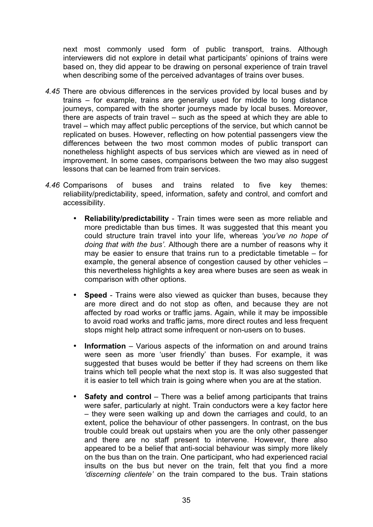next most commonly used form of public transport, trains. Although interviewers did not explore in detail what participants' opinions of trains were based on, they did appear to be drawing on personal experience of train travel when describing some of the perceived advantages of trains over buses.

- *4.45* There are obvious differences in the services provided by local buses and by trains – for example, trains are generally used for middle to long distance journeys, compared with the shorter journeys made by local buses. Moreover, there are aspects of train travel – such as the speed at which they are able to travel – which may affect public perceptions of the service, but which cannot be replicated on buses. However, reflecting on how potential passengers view the differences between the two most common modes of public transport can nonetheless highlight aspects of bus services which are viewed as in need of improvement. In some cases, comparisons between the two may also suggest lessons that can be learned from train services.
- *4.46* Comparisons of buses and trains related to five key themes: reliability/predictability, speed, information, safety and control, and comfort and accessibility.
	- **Reliability/predictability** Train times were seen as more reliable and more predictable than bus times. It was suggested that this meant you could structure train travel into your life, whereas *'you've no hope of doing that with the bus'.* Although there are a number of reasons why it may be easier to ensure that trains run to a predictable timetable  $-$  for example, the general absence of congestion caused by other vehicles – this nevertheless highlights a key area where buses are seen as weak in comparison with other options.
	- **Speed** Trains were also viewed as quicker than buses, because they are more direct and do not stop as often, and because they are not affected by road works or traffic jams. Again, while it may be impossible to avoid road works and traffic jams, more direct routes and less frequent stops might help attract some infrequent or non-users on to buses.
	- **Information**  Various aspects of the information on and around trains were seen as more 'user friendly' than buses. For example, it was suggested that buses would be better if they had screens on them like trains which tell people what the next stop is*.* It was also suggested that it is easier to tell which train is going where when you are at the station.
	- **Safety and control** There was a belief among participants that trains were safer, particularly at night. Train conductors were a key factor here – they were seen walking up and down the carriages and could, to an extent, police the behaviour of other passengers. In contrast, on the bus trouble could break out upstairs when you are the only other passenger and there are no staff present to intervene. However, there also appeared to be a belief that anti-social behaviour was simply more likely on the bus than on the train. One participant, who had experienced racial insults on the bus but never on the train, felt that you find a more *'discerning clientele'* on the train compared to the bus. Train stations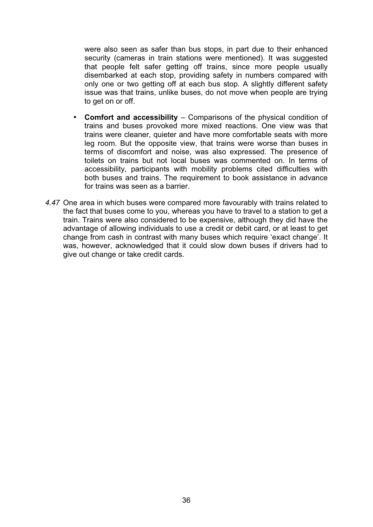were also seen as safer than bus stops, in part due to their enhanced security (cameras in train stations were mentioned). It was suggested that people felt safer getting off trains, since more people usually disembarked at each stop, providing safety in numbers compared with only one or two getting off at each bus stop. A slightly different safety issue was that trains, unlike buses, do not move when people are trying to get on or off.

- **Comfort and accessibility** Comparisons of the physical condition of trains and buses provoked more mixed reactions. One view was that trains were cleaner, quieter and have more comfortable seats with more leg room. But the opposite view, that trains were worse than buses in terms of discomfort and noise, was also expressed. The presence of toilets on trains but not local buses was commented on. In terms of accessibility, participants with mobility problems cited difficulties with both buses and trains. The requirement to book assistance in advance for trains was seen as a barrier.
- *4.47* One area in which buses were compared more favourably with trains related to the fact that buses come to you, whereas you have to travel to a station to get a train. Trains were also considered to be expensive, although they did have the advantage of allowing individuals to use a credit or debit card, or at least to get change from cash in contrast with many buses which require 'exact change'. It was, however, acknowledged that it could slow down buses if drivers had to give out change or take credit cards.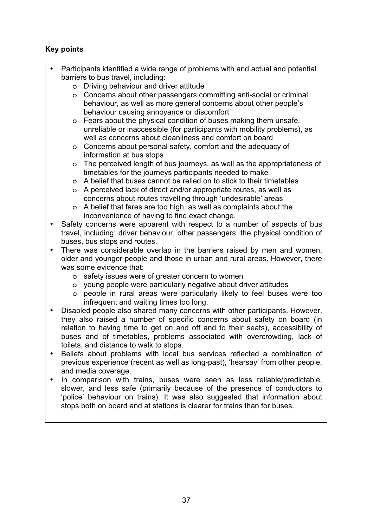## **Key points**

- Participants identified a wide range of problems with and actual and potential barriers to bus travel, including:
	- o Driving behaviour and driver attitude
	- o Concerns about other passengers committing anti-social or criminal behaviour, as well as more general concerns about other people's behaviour causing annoyance or discomfort
	- o Fears about the physical condition of buses making them unsafe, unreliable or inaccessible (for participants with mobility problems), as well as concerns about cleanliness and comfort on board
	- o Concerns about personal safety, comfort and the adequacy of information at bus stops
	- o The perceived length of bus journeys, as well as the appropriateness of timetables for the journeys participants needed to make
	- o A belief that buses cannot be relied on to stick to their timetables
	- o A perceived lack of direct and/or appropriate routes, as well as concerns about routes travelling through 'undesirable' areas
	- o A belief that fares are too high, as well as complaints about the inconvenience of having to find exact change.
- Safety concerns were apparent with respect to a number of aspects of bus travel, including: driver behaviour, other passengers, the physical condition of buses, bus stops and routes.
- There was considerable overlap in the barriers raised by men and women, older and younger people and those in urban and rural areas. However, there was some evidence that:
	- o safety issues were of greater concern to women
	- o young people were particularly negative about driver attitudes
	- o people in rural areas were particularly likely to feel buses were too infrequent and waiting times too long.
- Disabled people also shared many concerns with other participants. However, they also raised a number of specific concerns about safety on board (in relation to having time to get on and off and to their seats), accessibility of buses and of timetables, problems associated with overcrowding, lack of toilets, and distance to walk to stops.
- Beliefs about problems with local bus services reflected a combination of previous experience (recent as well as long-past), 'hearsay' from other people, and media coverage.
- In comparison with trains, buses were seen as less reliable/predictable, slower, and less safe (primarily because of the presence of conductors to 'police' behaviour on trains). It was also suggested that information about stops both on board and at stations is clearer for trains than for buses.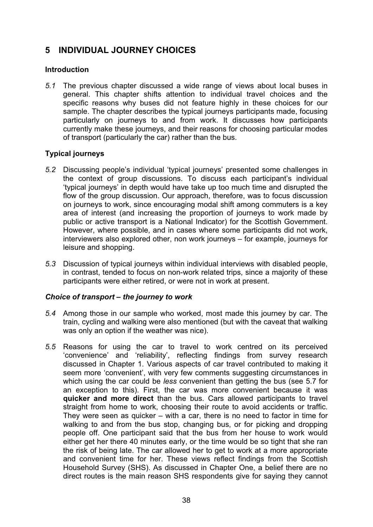# **5 INDIVIDUAL JOURNEY CHOICES**

## **Introduction**

*5.1* The previous chapter discussed a wide range of views about local buses in general. This chapter shifts attention to individual travel choices and the specific reasons why buses did not feature highly in these choices for our sample. The chapter describes the typical journeys participants made, focusing particularly on journeys to and from work. It discusses how participants currently make these journeys, and their reasons for choosing particular modes of transport (particularly the car) rather than the bus.

## **Typical journeys**

- *5.2* Discussing people's individual 'typical journeys' presented some challenges in the context of group discussions. To discuss each participant's individual 'typical journeys' in depth would have take up too much time and disrupted the flow of the group discussion. Our approach, therefore, was to focus discussion on journeys to work, since encouraging modal shift among commuters is a key area of interest (and increasing the proportion of journeys to work made by public or active transport is a National Indicator) for the Scottish Government. However, where possible, and in cases where some participants did not work, interviewers also explored other, non work journeys – for example, journeys for leisure and shopping.
- *5.3* Discussion of typical journeys within individual interviews with disabled people, in contrast, tended to focus on non-work related trips, since a majority of these participants were either retired, or were not in work at present.

## *Choice of transport – the journey to work*

- *5.4* Among those in our sample who worked, most made this journey by car. The train, cycling and walking were also mentioned (but with the caveat that walking was only an option if the weather was nice).
- *5.5* Reasons for using the car to travel to work centred on its perceived 'convenience' and 'reliability', reflecting findings from survey research discussed in Chapter 1. Various aspects of car travel contributed to making it seem more 'convenient', with very few comments suggesting circumstances in which using the car could be *less* convenient than getting the bus (see 5.7 for an exception to this). First, the car was more convenient because it was **quicker and more direct** than the bus. Cars allowed participants to travel straight from home to work, choosing their route to avoid accidents or traffic. They were seen as quicker – with a car, there is no need to factor in time for walking to and from the bus stop, changing bus, or for picking and dropping people off. One participant said that the bus from her house to work would either get her there 40 minutes early, or the time would be so tight that she ran the risk of being late. The car allowed her to get to work at a more appropriate and convenient time for her. These views reflect findings from the Scottish Household Survey (SHS). As discussed in Chapter One, a belief there are no direct routes is the main reason SHS respondents give for saying they cannot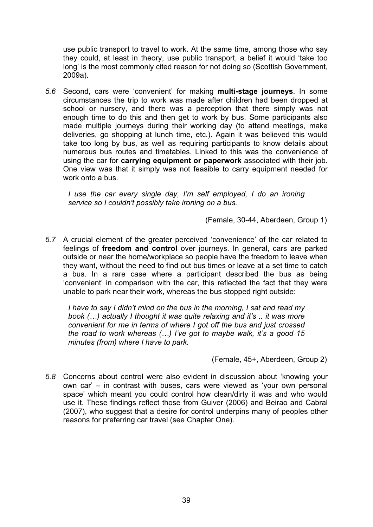use public transport to travel to work. At the same time, among those who say they could, at least in theory, use public transport, a belief it would 'take too long' is the most commonly cited reason for not doing so (Scottish Government, 2009a).

*5.6* Second, cars were 'convenient' for making **multi-stage journeys**. In some circumstances the trip to work was made after children had been dropped at school or nursery, and there was a perception that there simply was not enough time to do this and then get to work by bus. Some participants also made multiple journeys during their working day (to attend meetings, make deliveries, go shopping at lunch time, etc.). Again it was believed this would take too long by bus, as well as requiring participants to know details about numerous bus routes and timetables. Linked to this was the convenience of using the car for **carrying equipment or paperwork** associated with their job. One view was that it simply was not feasible to carry equipment needed for work onto a bus.

*I* use the car every single day, I'm self employed, I do an ironing *service so I couldn't possibly take ironing on a bus.* 

(Female, 30-44, Aberdeen, Group 1)

*5.7* A crucial element of the greater perceived 'convenience' of the car related to feelings of **freedom and control** over journeys. In general, cars are parked outside or near the home/workplace so people have the freedom to leave when they want, without the need to find out bus times or leave at a set time to catch a bus. In a rare case where a participant described the bus as being 'convenient' in comparison with the car, this reflected the fact that they were unable to park near their work, whereas the bus stopped right outside:

*I have to say I didn't mind on the bus in the morning, I sat and read my book (…) actually I thought it was quite relaxing and it's .. it was more convenient for me in terms of where I got off the bus and just crossed the road to work whereas (…) I've got to maybe walk, it's a good 15 minutes (from) where I have to park.* 

(Female, 45+, Aberdeen, Group 2)

*5.8* Concerns about control were also evident in discussion about 'knowing your own car' – in contrast with buses, cars were viewed as 'your own personal space' which meant you could control how clean/dirty it was and who would use it. These findings reflect those from Guiver (2006) and Beirao and Cabral (2007), who suggest that a desire for control underpins many of peoples other reasons for preferring car travel (see Chapter One).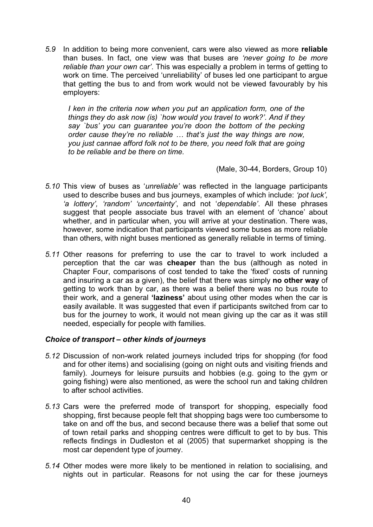*5.9* In addition to being more convenient, cars were also viewed as more **reliable** than buses. In fact, one view was that buses are *'never going to be more reliable than your own car'*. This was especially a problem in terms of getting to work on time. The perceived 'unreliability' of buses led one participant to argue that getting the bus to and from work would not be viewed favourably by his employers:

*I ken in the criteria now when you put an application form, one of the things they do ask now (is) `how would you travel to work?'. And if they say `bus' you can guarantee you're doon the bottom of the pecking order cause they're no reliable … that's just the way things are now, you just cannae afford folk not to be there, you need folk that are going to be reliable and be there on time.* 

(Male, 30-44, Borders, Group 10)

- *5.10* This view of buses as '*unreliable'* was reflected in the language participants used to describe buses and bus journeys, examples of which include: *'pot luck', 'a lottery', 'random' 'uncertainty'*, and not '*dependable'*. All these phrases suggest that people associate bus travel with an element of 'chance' about whether, and in particular when, you will arrive at your destination. There was, however, some indication that participants viewed some buses as more reliable than others, with night buses mentioned as generally reliable in terms of timing.
- *5.11* Other reasons for preferring to use the car to travel to work included a perception that the car was **cheaper** than the bus (although as noted in Chapter Four, comparisons of cost tended to take the 'fixed' costs of running and insuring a car as a given), the belief that there was simply **no other way** of getting to work than by car, as there was a belief there was no bus route to their work, and a general **'laziness'** about using other modes when the car is easily available. It was suggested that even if participants switched from car to bus for the journey to work, it would not mean giving up the car as it was still needed, especially for people with families.

## *Choice of transport – other kinds of journeys*

- *5.12* Discussion of non-work related journeys included trips for shopping (for food and for other items) and socialising (going on night outs and visiting friends and family). Journeys for leisure pursuits and hobbies (e.g. going to the gym or going fishing) were also mentioned, as were the school run and taking children to after school activities.
- *5.13* Cars were the preferred mode of transport for shopping, especially food shopping, first because people felt that shopping bags were too cumbersome to take on and off the bus, and second because there was a belief that some out of town retail parks and shopping centres were difficult to get to by bus. This reflects findings in Dudleston et al (2005) that supermarket shopping is the most car dependent type of journey.
- *5.14* Other modes were more likely to be mentioned in relation to socialising, and nights out in particular. Reasons for not using the car for these journeys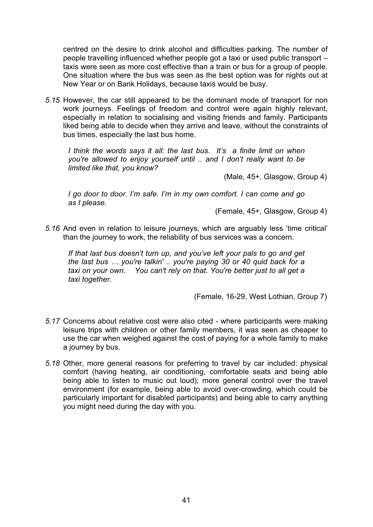centred on the desire to drink alcohol and difficulties parking. The number of people travelling influenced whether people got a taxi or used public transport – taxis were seen as more cost effective than a train or bus for a group of people. One situation where the bus was seen as the best option was for nights out at New Year or on Bank Holidays, because taxis would be busy.

*5.15* However, the car still appeared to be the dominant mode of transport for non work journeys. Feelings of freedom and control were again highly relevant, especially in relation to socialising and visiting friends and family. Participants liked being able to decide when they arrive and leave, without the constraints of bus times, especially the last bus home.

*I think the words says it all: the last bus. It's a finite limit on when you're allowed to enjoy yourself until .. and I don't really want to be limited like that, you know?* 

(Male, 45+, Glasgow, Group 4)

*I go door to door. I'm safe. I'm in my own comfort. I can come and go as I please.* 

(Female, 45+, Glasgow, Group 4)

*5.16* And even in relation to leisure journeys, which are arguably less 'time critical' than the journey to work, the reliability of bus services was a concern.

*If that last bus doesn't turn up, and you've left your pals to go and get the last bus … you're talkin' .. you're paying 30 or 40 quid back for a taxi on your own. You can't rely on that. You're better just to all get a taxi together.* 

(Female, 16-29, West Lothian, Group 7)

- *5.17* Concerns about relative cost were also cited where participants were making leisure trips with children or other family members, it was seen as cheaper to use the car when weighed against the cost of paying for a whole family to make a journey by bus.
- *5.18* Other, more general reasons for preferring to travel by car included: physical comfort (having heating, air conditioning, comfortable seats and being able being able to listen to music out loud); more general control over the travel environment (for example, being able to avoid over-crowding, which could be particularly important for disabled participants) and being able to carry anything you might need during the day with you.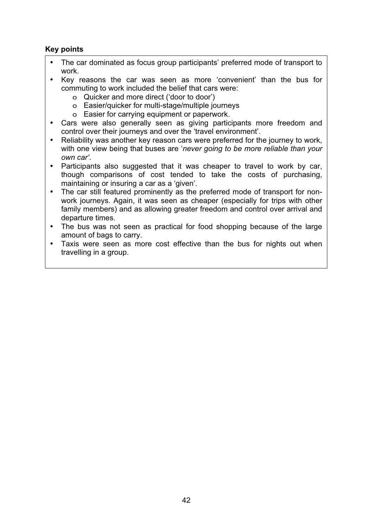## **Key points**

- The car dominated as focus group participants' preferred mode of transport to work.
- Key reasons the car was seen as more 'convenient' than the bus for commuting to work included the belief that cars were:
	- o Quicker and more direct ('door to door')
	- o Easier/quicker for multi-stage/multiple journeys
	- o Easier for carrying equipment or paperwork.
- Cars were also generally seen as giving participants more freedom and control over their journeys and over the 'travel environment'.
- Reliability was another key reason cars were preferred for the journey to work, with one view being that buses are '*never going to be more reliable than your own car'*.
- Participants also suggested that it was cheaper to travel to work by car, though comparisons of cost tended to take the costs of purchasing, maintaining or insuring a car as a 'given'.
- The car still featured prominently as the preferred mode of transport for nonwork journeys. Again, it was seen as cheaper (especially for trips with other family members) and as allowing greater freedom and control over arrival and departure times.
- The bus was not seen as practical for food shopping because of the large amount of bags to carry.
- Taxis were seen as more cost effective than the bus for nights out when travelling in a group.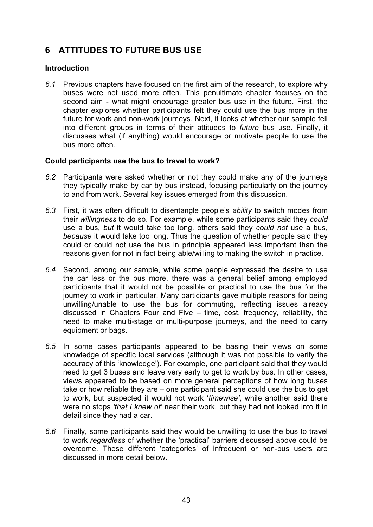# **6 ATTITUDES TO FUTURE BUS USE**

## **Introduction**

*6.1* Previous chapters have focused on the first aim of the research, to explore why buses were not used more often. This penultimate chapter focuses on the second aim - what might encourage greater bus use in the future. First, the chapter explores whether participants felt they could use the bus more in the future for work and non-work journeys. Next, it looks at whether our sample fell into different groups in terms of their attitudes to *future* bus use. Finally, it discusses what (if anything) would encourage or motivate people to use the bus more often.

## **Could participants use the bus to travel to work?**

- *6.2* Participants were asked whether or not they could make any of the journeys they typically make by car by bus instead, focusing particularly on the journey to and from work. Several key issues emerged from this discussion.
- *6.3* First, it was often difficult to disentangle people's *ability* to switch modes from their *willingness* to do so. For example, while some participants said they *could* use a bus, *but* it would take too long, others said they *could not* use a bus, *because* it would take too long. Thus the question of whether people said they could or could not use the bus in principle appeared less important than the reasons given for not in fact being able/willing to making the switch in practice.
- *6.4* Second, among our sample, while some people expressed the desire to use the car less or the bus more, there was a general belief among employed participants that it would not be possible or practical to use the bus for the journey to work in particular. Many participants gave multiple reasons for being unwilling/unable to use the bus for commuting, reflecting issues already discussed in Chapters Four and Five – time, cost, frequency, reliability, the need to make multi-stage or multi-purpose journeys, and the need to carry equipment or bags.
- *6.5* In some cases participants appeared to be basing their views on some knowledge of specific local services (although it was not possible to verify the accuracy of this 'knowledge'). For example, one participant said that they would need to get 3 buses and leave very early to get to work by bus. In other cases, views appeared to be based on more general perceptions of how long buses take or how reliable they are – one participant said she could use the bus to get to work, but suspected it would not work '*timewise'*, while another said there were no stops *'that I knew of'* near their work, but they had not looked into it in detail since they had a car.
- *6.6* Finally, some participants said they would be unwilling to use the bus to travel to work *regardless* of whether the 'practical' barriers discussed above could be overcome. These different 'categories' of infrequent or non-bus users are discussed in more detail below.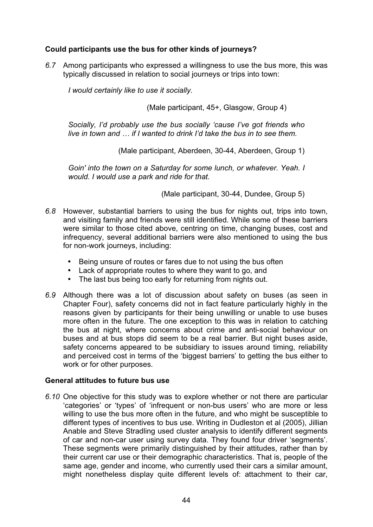## **Could participants use the bus for other kinds of journeys?**

*6.7* Among participants who expressed a willingness to use the bus more, this was typically discussed in relation to social journeys or trips into town:

*I would certainly like to use it socially.* 

(Male participant, 45+, Glasgow, Group 4)

*Socially, I'd probably use the bus socially 'cause I've got friends who live in town and … if I wanted to drink I'd take the bus in to see them.* 

(Male participant, Aberdeen, 30-44, Aberdeen, Group 1)

*Goin' into the town on a Saturday for some lunch, or whatever. Yeah. I would. I would use a park and ride for that.* 

(Male participant, 30-44, Dundee, Group 5)

- *6.8* However, substantial barriers to using the bus for nights out, trips into town, and visiting family and friends were still identified. While some of these barriers were similar to those cited above, centring on time, changing buses, cost and infrequency, several additional barriers were also mentioned to using the bus for non-work journeys, including:
	- Being unsure of routes or fares due to not using the bus often
	- Lack of appropriate routes to where they want to go, and
	- The last bus being too early for returning from nights out.
- *6.9* Although there was a lot of discussion about safety on buses (as seen in Chapter Four), safety concerns did not in fact feature particularly highly in the reasons given by participants for their being unwilling or unable to use buses more often in the future. The one exception to this was in relation to catching the bus at night, where concerns about crime and anti-social behaviour on buses and at bus stops did seem to be a real barrier. But night buses aside, safety concerns appeared to be subsidiary to issues around timing, reliability and perceived cost in terms of the 'biggest barriers' to getting the bus either to work or for other purposes.

## **General attitudes to future bus use**

*6.10* One objective for this study was to explore whether or not there are particular 'categories' or 'types' of 'infrequent or non-bus users' who are more or less willing to use the bus more often in the future, and who might be susceptible to different types of incentives to bus use. Writing in Dudleston et al (2005), Jillian Anable and Steve Stradling used cluster analysis to identify different segments of car and non-car user using survey data. They found four driver 'segments'. These segments were primarily distinguished by their attitudes, rather than by their current car use or their demographic characteristics. That is, people of the same age, gender and income, who currently used their cars a similar amount, might nonetheless display quite different levels of: attachment to their car,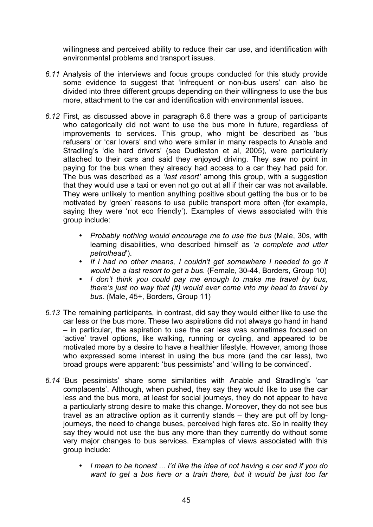willingness and perceived ability to reduce their car use, and identification with environmental problems and transport issues.

- *6.11* Analysis of the interviews and focus groups conducted for this study provide some evidence to suggest that 'infrequent or non-bus users' can also be divided into three different groups depending on their willingness to use the bus more, attachment to the car and identification with environmental issues.
- *6.12* First, as discussed above in paragraph 6.6 there was a group of participants who categorically did not want to use the bus more in future, regardless of improvements to services. This group, who might be described as 'bus refusers' or 'car lovers' and who were similar in many respects to Anable and Stradling's 'die hard drivers' (see Dudleston et al, 2005), were particularly attached to their cars and said they enjoyed driving. They saw no point in paying for the bus when they already had access to a car they had paid for. The bus was described as a '*last resort'* among this group, with a suggestion that they would use a taxi or even not go out at all if their car was not available. They were unlikely to mention anything positive about getting the bus or to be motivated by 'green' reasons to use public transport more often (for example, saying they were 'not eco friendly'). Examples of views associated with this group include:
	- *Probably nothing would encourage me to use the bus* (Male, 30s, with learning disabilities, who described himself as *'a complete and utter petrolhead*').
	- *If I had no other means, I couldn't get somewhere I needed to go it would be a last resort to get a bus.* (Female, 30-44, Borders, Group 10)
	- *I don't think you could pay me enough to make me travel by bus, there's just no way that (it) would ever come into my head to travel by bus.* (Male, 45+, Borders, Group 11)
- *6.13* The remaining participants, in contrast, did say they would either like to use the car less or the bus more. These two aspirations did not always go hand in hand – in particular, the aspiration to use the car less was sometimes focused on 'active' travel options, like walking, running or cycling, and appeared to be motivated more by a desire to have a healthier lifestyle. However, among those who expressed some interest in using the bus more (and the car less), two broad groups were apparent: 'bus pessimists' and 'willing to be convinced'.
- *6.14* 'Bus pessimists' share some similarities with Anable and Stradling's 'car complacents'. Although, when pushed, they say they would like to use the car less and the bus more, at least for social journeys, they do not appear to have a particularly strong desire to make this change. Moreover, they do not see bus travel as an attractive option as it currently stands – they are put off by longjourneys, the need to change buses, perceived high fares etc. So in reality they say they would not use the bus any more than they currently do without some very major changes to bus services. Examples of views associated with this group include:
	- *I mean to be honest ... I'd like the idea of not having a car and if you do want to get a bus here or a train there, but it would be just too far*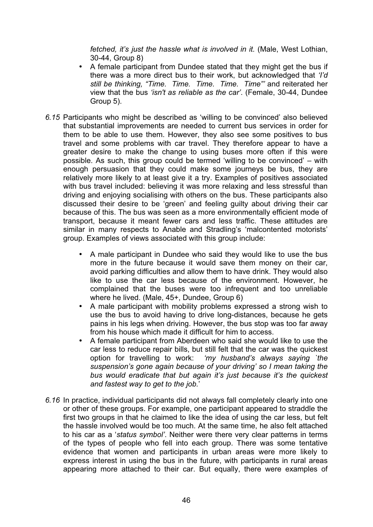*fetched, it's just the hassle what is involved in it.* (Male, West Lothian, 30-44, Group 8)

- A female participant from Dundee stated that they might get the bus if there was a more direct bus to their work, but acknowledged that *'I'd still be thinking, "Time. Time. Time. Time. Time"'* and reiterated her view that the bus *'isn't as reliable as the car'*. (Female, 30-44, Dundee Group 5).
- *6.15* Participants who might be described as 'willing to be convinced' also believed that substantial improvements are needed to current bus services in order for them to be able to use them. However, they also see some positives to bus travel and some problems with car travel. They therefore appear to have a greater desire to make the change to using buses more often if this were possible. As such, this group could be termed 'willing to be convinced' – with enough persuasion that they could make some journeys be bus, they are relatively more likely to at least give it a try. Examples of positives associated with bus travel included: believing it was more relaxing and less stressful than driving and enjoying socialising with others on the bus. These participants also discussed their desire to be 'green' and feeling guilty about driving their car because of this. The bus was seen as a more environmentally efficient mode of transport, because it meant fewer cars and less traffic. These attitudes are similar in many respects to Anable and Stradling's 'malcontented motorists' group. Examples of views associated with this group include:
	- A male participant in Dundee who said they would like to use the bus more in the future because it would save them money on their car, avoid parking difficulties and allow them to have drink. They would also like to use the car less because of the environment. However, he complained that the buses were too infrequent and too unreliable where he lived. (Male, 45+, Dundee, Group 6)
	- A male participant with mobility problems expressed a strong wish to use the bus to avoid having to drive long-distances, because he gets pains in his legs when driving. However, the bus stop was too far away from his house which made it difficult for him to access.
	- A female participant from Aberdeen who said she would like to use the car less to reduce repair bills, but still felt that the car was the quickest option for travelling to work: *'my husband's always saying `the suspension's gone again because of your driving' so I mean taking the bus would eradicate that but again it's just because it's the quickest and fastest way to get to the job.*'
- *6.16* In practice, individual participants did not always fall completely clearly into one or other of these groups. For example, one participant appeared to straddle the first two groups in that he claimed to like the idea of using the car less, but felt the hassle involved would be too much. At the same time, he also felt attached to his car as a '*status symbol'*. Neither were there very clear patterns in terms of the types of people who fell into each group. There was some tentative evidence that women and participants in urban areas were more likely to express interest in using the bus in the future, with participants in rural areas appearing more attached to their car. But equally, there were examples of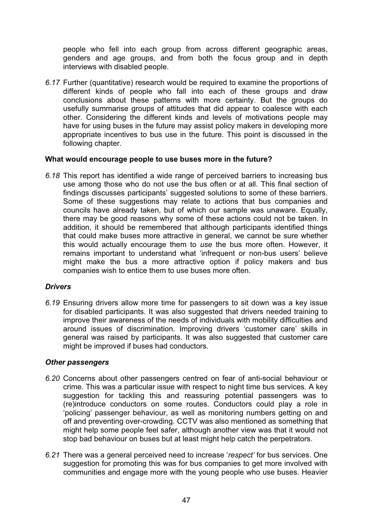people who fell into each group from across different geographic areas, genders and age groups, and from both the focus group and in depth interviews with disabled people.

*6.17* Further (quantitative) research would be required to examine the proportions of different kinds of people who fall into each of these groups and draw conclusions about these patterns with more certainty. But the groups do usefully summarise groups of attitudes that did appear to coalesce with each other. Considering the different kinds and levels of motivations people may have for using buses in the future may assist policy makers in developing more appropriate incentives to bus use in the future. This point is discussed in the following chapter.

## **What would encourage people to use buses more in the future?**

*6.18* This report has identified a wide range of perceived barriers to increasing bus use among those who do not use the bus often or at all. This final section of findings discusses participants' suggested solutions to some of these barriers. Some of these suggestions may relate to actions that bus companies and councils have already taken, but of which our sample was unaware. Equally, there may be good reasons why some of these actions could not be taken. In addition, it should be remembered that although participants identified things that could make buses more attractive in general, we cannot be sure whether this would actually encourage them to *use* the bus more often. However, it remains important to understand what 'infrequent or non-bus users' believe might make the bus a more attractive option if policy makers and bus companies wish to entice them to use buses more often.

## *Drivers*

*6.19* Ensuring drivers allow more time for passengers to sit down was a key issue for disabled participants. It was also suggested that drivers needed training to improve their awareness of the needs of individuals with mobility difficulties and around issues of discrimination. Improving drivers 'customer care' skills in general was raised by participants. It was also suggested that customer care might be improved if buses had conductors.

## *Other passengers*

- *6.20* Concerns about other passengers centred on fear of anti-social behaviour or crime. This was a particular issue with respect to night time bus services. A key suggestion for tackling this and reassuring potential passengers was to (re)introduce conductors on some routes. Conductors could play a role in 'policing' passenger behaviour, as well as monitoring numbers getting on and off and preventing over-crowding. CCTV was also mentioned as something that might help some people feel safer, although another view was that it would not stop bad behaviour on buses but at least might help catch the perpetrators.
- *6.21* There was a general perceived need to increase '*respect'* for bus services. One suggestion for promoting this was for bus companies to get more involved with communities and engage more with the young people who use buses. Heavier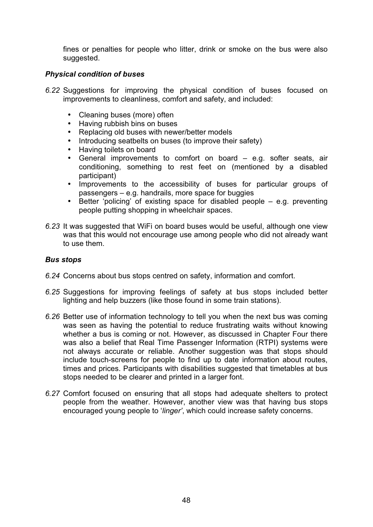fines or penalties for people who litter, drink or smoke on the bus were also suggested.

## *Physical condition of buses*

- *6.22* Suggestions for improving the physical condition of buses focused on improvements to cleanliness, comfort and safety, and included:
	- Cleaning buses (more) often
	- Having rubbish bins on buses
	- Replacing old buses with newer/better models
	- Introducing seatbelts on buses (to improve their safety)
	- Having toilets on board
	- General improvements to comfort on board e.g. softer seats, air conditioning, something to rest feet on (mentioned by a disabled participant)
	- Improvements to the accessibility of buses for particular groups of passengers – e.g. handrails, more space for buggies
	- Better 'policing' of existing space for disabled people e.g. preventing people putting shopping in wheelchair spaces.
- *6.23* It was suggested that WiFi on board buses would be useful, although one view was that this would not encourage use among people who did not already want to use them.

## *Bus stops*

- *6.24* Concerns about bus stops centred on safety, information and comfort.
- *6.25* Suggestions for improving feelings of safety at bus stops included better lighting and help buzzers (like those found in some train stations).
- *6.26* Better use of information technology to tell you when the next bus was coming was seen as having the potential to reduce frustrating waits without knowing whether a bus is coming or not. However, as discussed in Chapter Four there was also a belief that Real Time Passenger Information (RTPI) systems were not always accurate or reliable. Another suggestion was that stops should include touch-screens for people to find up to date information about routes, times and prices. Participants with disabilities suggested that timetables at bus stops needed to be clearer and printed in a larger font.
- *6.27* Comfort focused on ensuring that all stops had adequate shelters to protect people from the weather. However, another view was that having bus stops encouraged young people to '*linger'*, which could increase safety concerns.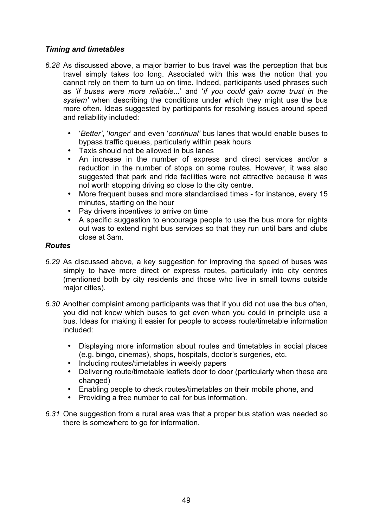## *Timing and timetables*

- *6.28* As discussed above, a major barrier to bus travel was the perception that bus travel simply takes too long. Associated with this was the notion that you cannot rely on them to turn up on time. Indeed, participants used phrases such as *'if buses were more reliable...*' and '*if you could gain some trust in the system'* when describing the conditions under which they might use the bus more often. Ideas suggested by participants for resolving issues around speed and reliability included:
	- '*Better'*, '*longer'* and even '*continual'* bus lanes that would enable buses to bypass traffic queues, particularly within peak hours
	- Taxis should not be allowed in bus lanes
	- An increase in the number of express and direct services and/or a reduction in the number of stops on some routes. However, it was also suggested that park and ride facilities were not attractive because it was not worth stopping driving so close to the city centre.
	- More frequent buses and more standardised times for instance, every 15 minutes, starting on the hour
	- Pay drivers incentives to arrive on time
	- A specific suggestion to encourage people to use the bus more for nights out was to extend night bus services so that they run until bars and clubs close at 3am.

## *Routes*

- *6.29* As discussed above, a key suggestion for improving the speed of buses was simply to have more direct or express routes, particularly into city centres (mentioned both by city residents and those who live in small towns outside major cities).
- *6.30* Another complaint among participants was that if you did not use the bus often, you did not know which buses to get even when you could in principle use a bus. Ideas for making it easier for people to access route/timetable information included:
	- Displaying more information about routes and timetables in social places (e.g. bingo, cinemas), shops, hospitals, doctor's surgeries, etc.
	- Including routes/timetables in weekly papers
	- Delivering route/timetable leaflets door to door (particularly when these are changed)
	- Enabling people to check routes/timetables on their mobile phone, and
	- Providing a free number to call for bus information.
- *6.31* One suggestion from a rural area was that a proper bus station was needed so there is somewhere to go for information.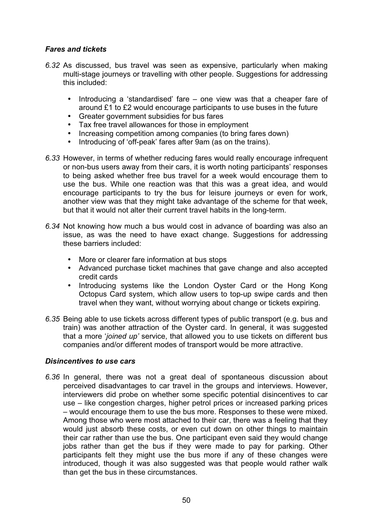## *Fares and tickets*

- *6.32* As discussed, bus travel was seen as expensive, particularly when making multi-stage journeys or travelling with other people. Suggestions for addressing this included:
	- Introducing a 'standardised' fare  $-$  one view was that a cheaper fare of around £1 to £2 would encourage participants to use buses in the future
	- Greater government subsidies for bus fares
	- Tax free travel allowances for those in employment
	- Increasing competition among companies (to bring fares down)
	- Introducing of 'off-peak' fares after 9am (as on the trains).
- *6.33* However, in terms of whether reducing fares would really encourage infrequent or non-bus users away from their cars, it is worth noting participants' responses to being asked whether free bus travel for a week would encourage them to use the bus. While one reaction was that this was a great idea, and would encourage participants to try the bus for leisure journeys or even for work, another view was that they might take advantage of the scheme for that week, but that it would not alter their current travel habits in the long-term.
- *6.34* Not knowing how much a bus would cost in advance of boarding was also an issue, as was the need to have exact change. Suggestions for addressing these barriers included:
	- More or clearer fare information at bus stops
	- Advanced purchase ticket machines that gave change and also accepted credit cards
	- Introducing systems like the London Oyster Card or the Hong Kong Octopus Card system, which allow users to top-up swipe cards and then travel when they want, without worrying about change or tickets expiring.
- *6.35* Being able to use tickets across different types of public transport (e.g. bus and train) was another attraction of the Oyster card. In general, it was suggested that a more '*joined up'* service, that allowed you to use tickets on different bus companies and/or different modes of transport would be more attractive.

## *Disincentives to use cars*

*6.36* In general, there was not a great deal of spontaneous discussion about perceived disadvantages to car travel in the groups and interviews. However, interviewers did probe on whether some specific potential disincentives to car use – like congestion charges, higher petrol prices or increased parking prices – would encourage them to use the bus more. Responses to these were mixed. Among those who were most attached to their car, there was a feeling that they would just absorb these costs, or even cut down on other things to maintain their car rather than use the bus. One participant even said they would change jobs rather than get the bus if they were made to pay for parking. Other participants felt they might use the bus more if any of these changes were introduced, though it was also suggested was that people would rather walk than get the bus in these circumstances.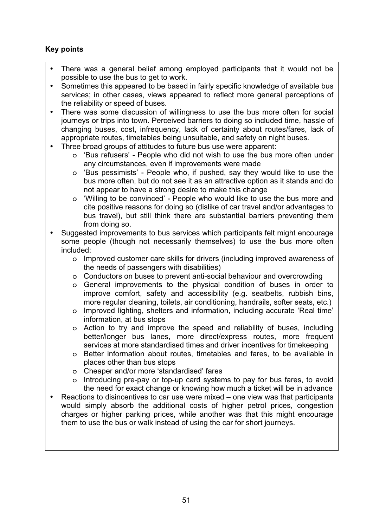## **Key points**

- There was a general belief among employed participants that it would not be possible to use the bus to get to work.
- Sometimes this appeared to be based in fairly specific knowledge of available bus services; in other cases, views appeared to reflect more general perceptions of the reliability or speed of buses.
- There was some discussion of willingness to use the bus more often for social journeys or trips into town. Perceived barriers to doing so included time, hassle of changing buses, cost, infrequency, lack of certainty about routes/fares, lack of appropriate routes, timetables being unsuitable, and safety on night buses.
- Three broad groups of attitudes to future bus use were apparent:
	- o 'Bus refusers' People who did not wish to use the bus more often under any circumstances, even if improvements were made
	- o 'Bus pessimists' People who, if pushed, say they would like to use the bus more often, but do not see it as an attractive option as it stands and do not appear to have a strong desire to make this change
	- o 'Willing to be convinced' People who would like to use the bus more and cite positive reasons for doing so (dislike of car travel and/or advantages to bus travel), but still think there are substantial barriers preventing them from doing so.
- Suggested improvements to bus services which participants felt might encourage some people (though not necessarily themselves) to use the bus more often included:
	- o Improved customer care skills for drivers (including improved awareness of the needs of passengers with disabilities)
	- o Conductors on buses to prevent anti-social behaviour and overcrowding
	- o General improvements to the physical condition of buses in order to improve comfort, safety and accessibility (e.g. seatbelts, rubbish bins, more regular cleaning, toilets, air conditioning, handrails, softer seats, etc.)
	- o Improved lighting, shelters and information, including accurate 'Real time' information, at bus stops
	- o Action to try and improve the speed and reliability of buses, including better/longer bus lanes, more direct/express routes, more frequent services at more standardised times and driver incentives for timekeeping
	- o Better information about routes, timetables and fares, to be available in places other than bus stops
	- o Cheaper and/or more 'standardised' fares
	- o Introducing pre-pay or top-up card systems to pay for bus fares, to avoid the need for exact change or knowing how much a ticket will be in advance
- Reactions to disincentives to car use were mixed one view was that participants would simply absorb the additional costs of higher petrol prices, congestion charges or higher parking prices, while another was that this might encourage them to use the bus or walk instead of using the car for short journeys.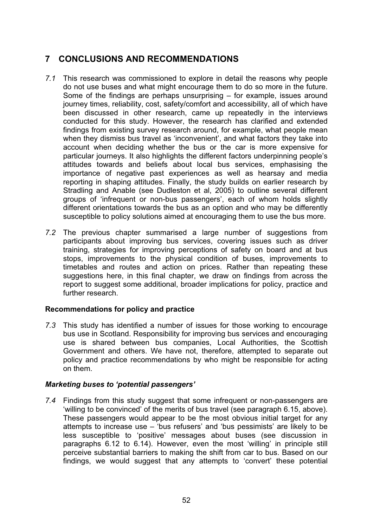# **7 CONCLUSIONS AND RECOMMENDATIONS**

- *7.1* This research was commissioned to explore in detail the reasons why people do not use buses and what might encourage them to do so more in the future. Some of the findings are perhaps unsurprising – for example, issues around journey times, reliability, cost, safety/comfort and accessibility, all of which have been discussed in other research, came up repeatedly in the interviews conducted for this study. However, the research has clarified and extended findings from existing survey research around, for example, what people mean when they dismiss bus travel as 'inconvenient', and what factors they take into account when deciding whether the bus or the car is more expensive for particular journeys. It also highlights the different factors underpinning people's attitudes towards and beliefs about local bus services, emphasising the importance of negative past experiences as well as hearsay and media reporting in shaping attitudes. Finally, the study builds on earlier research by Stradling and Anable (see Dudleston et al, 2005) to outline several different groups of 'infrequent or non-bus passengers', each of whom holds slightly different orientations towards the bus as an option and who may be differently susceptible to policy solutions aimed at encouraging them to use the bus more.
- *7.2* The previous chapter summarised a large number of suggestions from participants about improving bus services, covering issues such as driver training, strategies for improving perceptions of safety on board and at bus stops, improvements to the physical condition of buses, improvements to timetables and routes and action on prices. Rather than repeating these suggestions here, in this final chapter, we draw on findings from across the report to suggest some additional, broader implications for policy, practice and further research.

## **Recommendations for policy and practice**

*7.3* This study has identified a number of issues for those working to encourage bus use in Scotland. Responsibility for improving bus services and encouraging use is shared between bus companies, Local Authorities, the Scottish Government and others. We have not, therefore, attempted to separate out policy and practice recommendations by who might be responsible for acting on them.

## *Marketing buses to 'potential passengers'*

*7.4* Findings from this study suggest that some infrequent or non-passengers are 'willing to be convinced' of the merits of bus travel (see paragraph 6.15, above). These passengers would appear to be the most obvious initial target for any attempts to increase use – 'bus refusers' and 'bus pessimists' are likely to be less susceptible to 'positive' messages about buses (see discussion in paragraphs 6.12 to 6.14). However, even the most 'willing' in principle still perceive substantial barriers to making the shift from car to bus. Based on our findings, we would suggest that any attempts to 'convert' these potential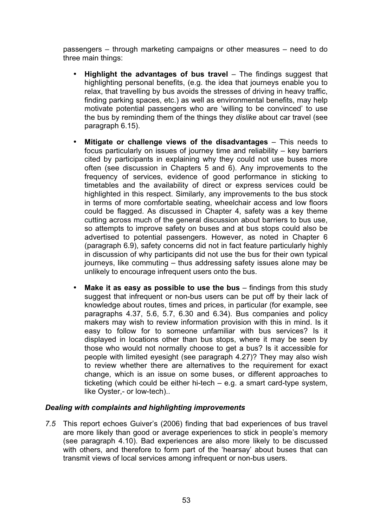passengers – through marketing campaigns or other measures – need to do three main things:

- **Highlight the advantages of bus travel** The findings suggest that highlighting personal benefits, (e.g. the idea that journeys enable you to relax, that travelling by bus avoids the stresses of driving in heavy traffic, finding parking spaces, etc.) as well as environmental benefits, may help motivate potential passengers who are 'willing to be convinced' to use the bus by reminding them of the things they *dislike* about car travel (see paragraph 6.15).
- **Mitigate or challenge views of the disadvantages** This needs to focus particularly on issues of journey time and reliability – key barriers cited by participants in explaining why they could not use buses more often (see discussion in Chapters 5 and 6). Any improvements to the frequency of services, evidence of good performance in sticking to timetables and the availability of direct or express services could be highlighted in this respect. Similarly, any improvements to the bus stock in terms of more comfortable seating, wheelchair access and low floors could be flagged. As discussed in Chapter 4, safety was a key theme cutting across much of the general discussion about barriers to bus use, so attempts to improve safety on buses and at bus stops could also be advertised to potential passengers. However, as noted in Chapter 6 (paragraph 6.9), safety concerns did not in fact feature particularly highly in discussion of why participants did not use the bus for their own typical journeys, like commuting – thus addressing safety issues alone may be unlikely to encourage infrequent users onto the bus.
- **Make it as easy as possible to use the bus** findings from this study suggest that infrequent or non-bus users can be put off by their lack of knowledge about routes, times and prices, in particular (for example, see paragraphs 4.37, 5.6, 5.7, 6.30 and 6.34). Bus companies and policy makers may wish to review information provision with this in mind. Is it easy to follow for to someone unfamiliar with bus services? Is it displayed in locations other than bus stops, where it may be seen by those who would not normally choose to get a bus? Is it accessible for people with limited eyesight (see paragraph 4.27)? They may also wish to review whether there are alternatives to the requirement for exact change, which is an issue on some buses, or different approaches to ticketing (which could be either hi-tech – e.g. a smart card-type system, like Oyster,- or low-tech)..

## *Dealing with complaints and highlighting improvements*

*7.5* This report echoes Guiver's (2006) finding that bad experiences of bus travel are more likely than good or average experiences to stick in people's memory (see paragraph 4.10). Bad experiences are also more likely to be discussed with others, and therefore to form part of the 'hearsay' about buses that can transmit views of local services among infrequent or non-bus users.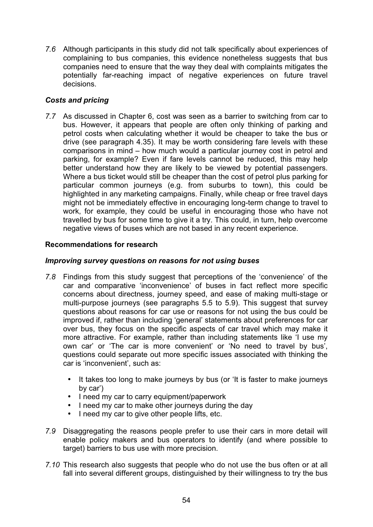*7.6* Although participants in this study did not talk specifically about experiences of complaining to bus companies, this evidence nonetheless suggests that bus companies need to ensure that the way they deal with complaints mitigates the potentially far-reaching impact of negative experiences on future travel decisions.

## *Costs and pricing*

*7.7* As discussed in Chapter 6, cost was seen as a barrier to switching from car to bus. However, it appears that people are often only thinking of parking and petrol costs when calculating whether it would be cheaper to take the bus or drive (see paragraph 4.35). It may be worth considering fare levels with these comparisons in mind – how much would a particular journey cost in petrol and parking, for example? Even if fare levels cannot be reduced, this may help better understand how they are likely to be viewed by potential passengers. Where a bus ticket would still be cheaper than the cost of petrol plus parking for particular common journeys (e.g. from suburbs to town), this could be highlighted in any marketing campaigns. Finally, while cheap or free travel days might not be immediately effective in encouraging long-term change to travel to work, for example, they could be useful in encouraging those who have not travelled by bus for some time to give it a try. This could, in turn, help overcome negative views of buses which are not based in any recent experience.

## **Recommendations for research**

## *Improving survey questions on reasons for not using buses*

- *7.8* Findings from this study suggest that perceptions of the 'convenience' of the car and comparative 'inconvenience' of buses in fact reflect more specific concerns about directness, journey speed, and ease of making multi-stage or multi-purpose journeys (see paragraphs 5.5 to 5.9). This suggest that survey questions about reasons for car use or reasons for not using the bus could be improved if, rather than including 'general' statements about preferences for car over bus, they focus on the specific aspects of car travel which may make it more attractive. For example, rather than including statements like 'I use my own car' or 'The car is more convenient' or 'No need to travel by bus', questions could separate out more specific issues associated with thinking the car is 'inconvenient', such as:
	- It takes too long to make journeys by bus (or 'It is faster to make journeys by car')
	- I need my car to carry equipment/paperwork
	- I need my car to make other journeys during the day
	- I need my car to give other people lifts, etc.
- *7.9* Disaggregating the reasons people prefer to use their cars in more detail will enable policy makers and bus operators to identify (and where possible to target) barriers to bus use with more precision.
- *7.10* This research also suggests that people who do not use the bus often or at all fall into several different groups, distinguished by their willingness to try the bus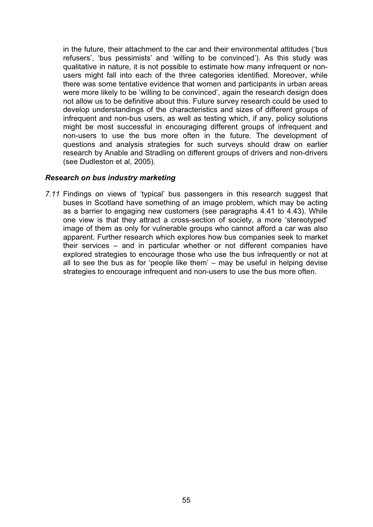in the future, their attachment to the car and their environmental attitudes ('bus refusers', 'bus pessimists' and 'willing to be convinced'). As this study was qualitative in nature, it is not possible to estimate how many infrequent or nonusers might fall into each of the three categories identified. Moreover, while there was some tentative evidence that women and participants in urban areas were more likely to be 'willing to be convinced', again the research design does not allow us to be definitive about this. Future survey research could be used to develop understandings of the characteristics and sizes of different groups of infrequent and non-bus users, as well as testing which, if any, policy solutions might be most successful in encouraging different groups of infrequent and non-users to use the bus more often in the future. The development of questions and analysis strategies for such surveys should draw on earlier research by Anable and Stradling on different groups of drivers and non-drivers (see Dudleston et al, 2005).

### *Research on bus industry marketing*

*7.11* Findings on views of 'typical' bus passengers in this research suggest that buses in Scotland have something of an image problem, which may be acting as a barrier to engaging new customers (see paragraphs 4.41 to 4.43). While one view is that they attract a cross-section of society, a more 'stereotyped' image of them as only for vulnerable groups who cannot afford a car was also apparent. Further research which explores how bus companies seek to market their services – and in particular whether or not different companies have explored strategies to encourage those who use the bus infrequently or not at all to see the bus as for 'people like them' – may be useful in helping devise strategies to encourage infrequent and non-users to use the bus more often.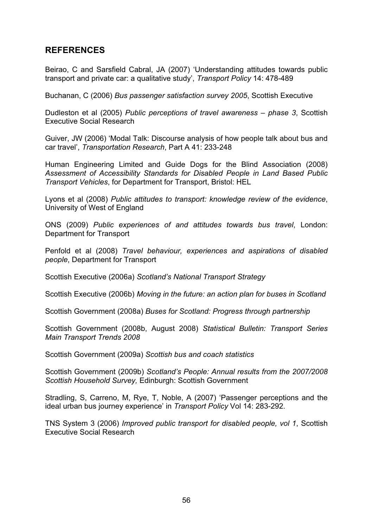## **REFERENCES**

Beirao, C and Sarsfield Cabral, JA (2007) 'Understanding attitudes towards public transport and private car: a qualitative study', *Transport Policy* 14: 478-489

Buchanan, C (2006) *Bus passenger satisfaction survey 2005*, Scottish Executive

Dudleston et al (2005) *Public perceptions of travel awareness – phase 3*, Scottish Executive Social Research

Guiver, JW (2006) 'Modal Talk: Discourse analysis of how people talk about bus and car travel', *Transportation Research*, Part A 41: 233-248

Human Engineering Limited and Guide Dogs for the Blind Association (2008) *Assessment of Accessibility Standards for Disabled People in Land Based Public Transport Vehicles*, for Department for Transport, Bristol: HEL

Lyons et al (2008) *Public attitudes to transport: knowledge review of the evidence*, University of West of England

ONS (2009) *Public experiences of and attitudes towards bus travel*, London: Department for Transport

Penfold et al (2008) *Travel behaviour, experiences and aspirations of disabled people*, Department for Transport

Scottish Executive (2006a) *Scotland's National Transport Strategy* 

Scottish Executive (2006b) *Moving in the future: an action plan for buses in Scotland* 

Scottish Government (2008a) *Buses for Scotland: Progress through partnership* 

Scottish Government (2008b, August 2008) *Statistical Bulletin: Transport Series Main Transport Trends 2008* 

Scottish Government (2009a) *Scottish bus and coach statistics* 

Scottish Government (2009b) *Scotland's People: Annual results from the 2007/2008 Scottish Household Survey,* Edinburgh: Scottish Government

Stradling, S, Carreno, M, Rye, T, Noble, A (2007) 'Passenger perceptions and the ideal urban bus journey experience' in *Transport Policy* Vol 14: 283-292.

TNS System 3 (2006) *Improved public transport for disabled people, vol 1*, Scottish Executive Social Research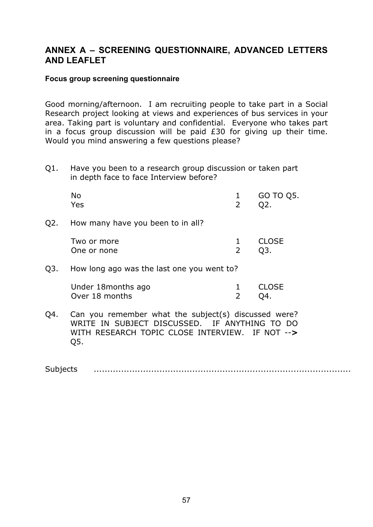## **ANNEX A – SCREENING QUESTIONNAIRE, ADVANCED LETTERS AND LEAFLET**

### **Focus group screening questionnaire**

Good morning/afternoon. I am recruiting people to take part in a Social Research project looking at views and experiences of bus services in your area. Taking part is voluntary and confidential. Everyone who takes part in a focus group discussion will be paid £30 for giving up their time. Would you mind answering a few questions please?

Q1. Have you been to a research group discussion or taken part in depth face to face Interview before?

|     | No<br>Yes                         | 2 | GO TO Q5.<br>02. |
|-----|-----------------------------------|---|------------------|
| Q2. | How many have you been to in all? |   |                  |
|     | Two or more<br>One or none        |   | <b>CLOSE</b>     |

Q3. How long ago was the last one you went to?

| Under 18 months ago |       | 1 CLOSE |
|---------------------|-------|---------|
| Over 18 months      | 2 Q4. |         |

Q4. Can you remember what the subject(s) discussed were? WRITE IN SUBJECT DISCUSSED. IF ANYTHING TO DO WITH RESEARCH TOPIC CLOSE INTERVIEW. IF NOT --**>** Q5.

Subjects ..............................................................................................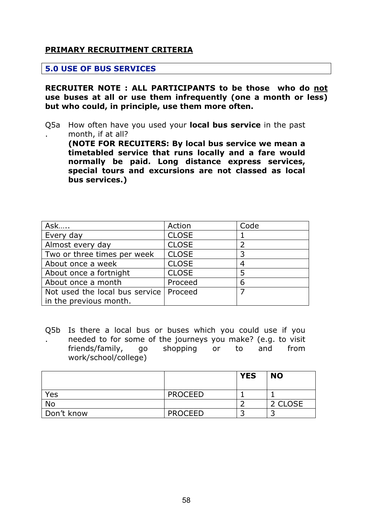## **PRIMARY RECRUITMENT CRITERIA**

### **5.0 USE OF BUS SERVICES**

**RECRUITER NOTE : ALL PARTICIPANTS to be those who do not use buses at all or use them infrequently (one a month or less) but who could, in principle, use them more often.**

Q5a How often have you used your **local bus service** in the past . month, if at all?

**(NOTE FOR RECUITERS: By local bus service we mean a timetabled service that runs locally and a fare would normally be paid. Long distance express services, special tours and excursions are not classed as local bus services.)** 

| Ask                            | Action       | Code |
|--------------------------------|--------------|------|
| Every day                      | <b>CLOSE</b> |      |
| Almost every day               | <b>CLOSE</b> |      |
| Two or three times per week    | <b>CLOSE</b> |      |
| About once a week              | <b>CLOSE</b> |      |
| About once a fortnight         | <b>CLOSE</b> | 5    |
| About once a month             | Proceed      | 6    |
| Not used the local bus service | Proceed      |      |
| in the previous month.         |              |      |

Q5b Is there a local bus or buses which you could use if you . needed to for some of the journeys you make? (e.g. to visit friends/family, go shopping or to and from work/school/college)

|            |                | <b>YES</b> | <b>NO</b> |
|------------|----------------|------------|-----------|
| Yes        | <b>PROCEED</b> |            |           |
| No         |                |            | 2 CLOSE   |
| Don't know | <b>PROCEED</b> |            |           |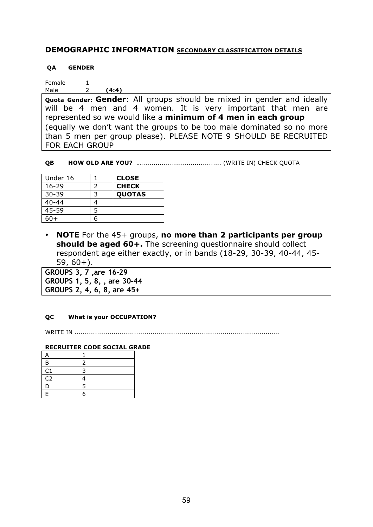## **DEMOGRAPHIC INFORMATION SECONDARY CLASSIFICATION DETAILS**

#### **QA GENDER**

Female 1 Male 2 **(4:4)** 

**Quota Gender: Gender**: All groups should be mixed in gender and ideally will be 4 men and 4 women. It is very important that men are represented so we would like a **minimum of 4 men in each group**  (equally we don't want the groups to be too male dominated so no more than 5 men per group please). PLEASE NOTE 9 SHOULD BE RECRUITED FOR EACH GROUP

**QB HOW OLD ARE YOU?** …....................................... (WRITE IN) CHECK QUOTA

| Under 16  |   | <b>CLOSE</b>  |
|-----------|---|---------------|
| $16 - 29$ |   | <b>CHECK</b>  |
| $30 - 39$ | っ | <b>QUOTAS</b> |
| $40 - 44$ |   |               |
| 45-59     | 5 |               |
| ናወት       |   |               |

• **NOTE** For the 45+ groups, **no more than 2 participants per group should be aged 60+.** The screening questionnaire should collect respondent age either exactly, or in bands (18-29, 30-39, 40-44, 45-  $59, 60+$ ).

**GROUPS 3, 7 ,are 16-29 GROUPS 1, 5, 8, , are 30-44 GROUPS 2, 4, 6, 8, are 45+** 

#### **QC What is your OCCUPATION?**

WRITE IN ....................................................................................................

#### **RECRUITER CODE SOCIAL GRADE**

| B              |   |  |
|----------------|---|--|
| C1             |   |  |
| C <sub>2</sub> |   |  |
| D              | 5 |  |
| E              | հ |  |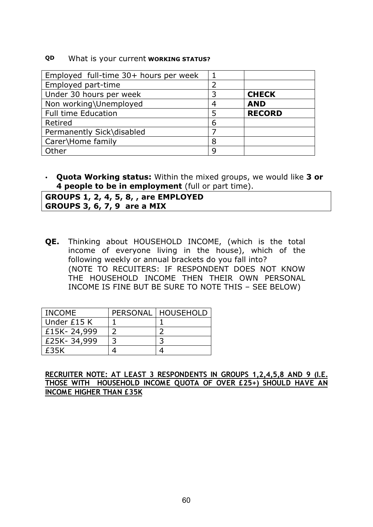#### **QD** What is your current **WORKING STATUS?**

| Employed full-time 30+ hours per week |   |               |
|---------------------------------------|---|---------------|
| Employed part-time                    | າ |               |
| Under 30 hours per week               | 3 | <b>CHECK</b>  |
| Non working\Unemployed                | 4 | <b>AND</b>    |
| <b>Full time Education</b>            | 5 | <b>RECORD</b> |
| Retired                               | 6 |               |
| Permanently Sick\disabled             |   |               |
| Carer\Home family                     | 8 |               |
| Other                                 | q |               |

• **Quota Working status:** Within the mixed groups, we would like **3 or 4 people to be in employment** (full or part time).

**GROUPS 1, 2, 4, 5, 8, , are EMPLOYED GROUPS 3, 6, 7, 9 are a MIX** 

**QE.** Thinking about HOUSEHOLD INCOME, (which is the total income of everyone living in the house), which of the following weekly or annual brackets do you fall into? (NOTE TO RECUITERS: IF RESPONDENT DOES NOT KNOW THE HOUSEHOLD INCOME THEN THEIR OWN PERSONAL INCOME IS FINE BUT BE SURE TO NOTE THIS – SEE BELOW)

| <b>INCOME</b> | PERSONAL   HOUSEHOLD |
|---------------|----------------------|
| Under £15 K   |                      |
| £15K-24,999   |                      |
| £25K-34,999   |                      |
| £35K          |                      |

**RECRUITER NOTE: AT LEAST 3 RESPONDENTS IN GROUPS 1,2,4,5,8 AND 9 (I.E. THOSE WITH HOUSEHOLD INCOME QUOTA OF OVER £25+) SHOULD HAVE AN INCOME HIGHER THAN £35K**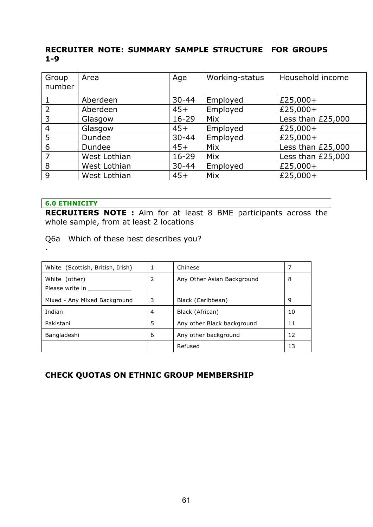## **RECRUITER NOTE: SUMMARY SAMPLE STRUCTURE FOR GROUPS 1-9**

| Group<br>number | Area         | Age       | Working-status | Household income  |
|-----------------|--------------|-----------|----------------|-------------------|
|                 | Aberdeen     | $30 - 44$ | Employed       | £25,000+          |
| 2               | Aberdeen     | $45+$     | Employed       | £25,000+          |
| 3               | Glasgow      | $16 - 29$ | <b>Mix</b>     | Less than £25,000 |
| $\overline{4}$  | Glasgow      | $45+$     | Employed       | £25,000+          |
| 5               | Dundee       | $30 - 44$ | Employed       | £25,000+          |
| 6               | Dundee       | $45+$     | Mix            | Less than £25,000 |
| 7               | West Lothian | $16 - 29$ | Mix            | Less than £25,000 |
| 8               | West Lothian | $30 - 44$ | Employed       | £25,000+          |
| 9               | West Lothian | $45+$     | Mix            | £25,000+          |

#### **6.0 ETHNICITY**

.

**RECRUITERS NOTE :** Aim for at least 8 BME participants across the whole sample, from at least 2 locations

Q6a Which of these best describes you?

| White (Scottish, British, Irish) |   | Chinese                    |    |
|----------------------------------|---|----------------------------|----|
| White (other)                    | 2 | Any Other Asian Background | 8  |
| Please write in                  |   |                            |    |
| Mixed - Any Mixed Background     | 3 | Black (Caribbean)          | 9  |
| Indian                           | 4 | Black (African)            | 10 |
| Pakistani                        | 5 | Any other Black background | 11 |
| Bangladeshi                      | 6 | Any other background       | 12 |
|                                  |   | Refused                    | 13 |

## **CHECK QUOTAS ON ETHNIC GROUP MEMBERSHIP**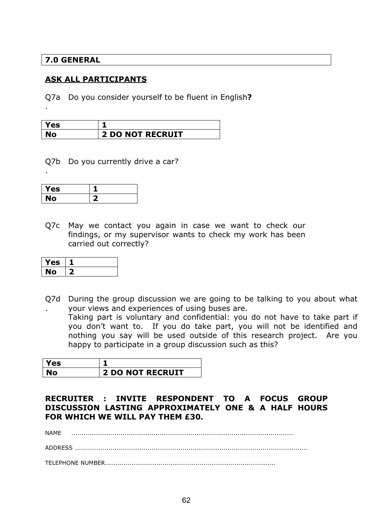## **7.0 GENERAL**

.

.

## **ASK ALL PARTICIPANTS**

Q7a Do you consider yourself to be fluent in English**?** 

| Yes |                         |
|-----|-------------------------|
| NV. | <b>2 DO NOT RECRUIT</b> |

Q7b Do you currently drive a car?

| Yes     |  |
|---------|--|
| NО<br>N |  |

Q7c May we contact you again in case we want to check our findings, or my supervisor wants to check my work has been carried out correctly?

| Yes |  |
|-----|--|
| NO  |  |

Q7d During the group discussion we are going to be talking to you about what . your views and experiences of using buses are. Taking part is voluntary and confidential: you do not have to take part if you don't want to. If you do take part, you will not be identified and nothing you say will be used outside of this research project. Are you happy to participate in a group discussion such as this?

| res |                         |
|-----|-------------------------|
| VО  | <b>2 DO NOT RECRUIT</b> |

**RECRUITER : INVITE RESPONDENT TO A FOCUS GROUP DISCUSSION LASTING APPROXIMATELY ONE & A HALF HOURS FOR WHICH WE WILL PAY THEM £30.** 

NAME ............................................................................................................

ADDRESS …….............................................................................................................

TELEPHONE NUMBER...................................................................................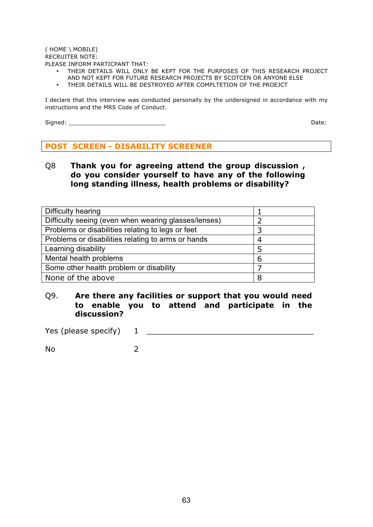#### ( HOME \ MOBILE) RECRUITER NOTE: PLEASE INFORM PARTICPANT THAT:

- THEIR DETAILS WILL ONLY BE KEPT FOR THE PURPOSES OF THIS RESEARCH PROJECT AND NOT KEPT FOR FUTURE RESEARCH PROJECTS BY SCOTCEN OR ANYONE ELSE
- 
- THEIR DETAILS WILL BE DESTROYED AFTER COMPLTETION OF THE PROEJCT

I declare that this interview was conducted personally by the undersigned in accordance with my instructions and the MRS Code of Conduct.

Signed: \_\_\_\_\_\_\_\_\_\_\_\_\_\_\_\_\_\_\_\_\_\_\_\_\_\_\_ Date:

## **POST SCREEN - DISABILITY SCREENER**

Q8 **Thank you for agreeing attend the group discussion , do you consider yourself to have any of the following long standing illness, health problems or disability?** 

| Difficulty hearing                                   |   |
|------------------------------------------------------|---|
| Difficulty seeing (even when wearing glasses/lenses) |   |
| Problems or disabilities relating to legs or feet    |   |
| Problems or disabilities relating to arms or hands   |   |
| Learning disability                                  | 5 |
| Mental health problems                               | 6 |
| Some other health problem or disability              |   |
| None of the above                                    |   |

## Q9. **Are there any facilities or support that you would need to enable you to attend and participate in the discussion?**

Yes (please specify) 1 \_\_\_\_\_\_\_\_\_\_\_\_\_\_\_\_\_\_\_\_\_\_\_\_\_\_\_\_\_\_\_\_\_\_\_

No 2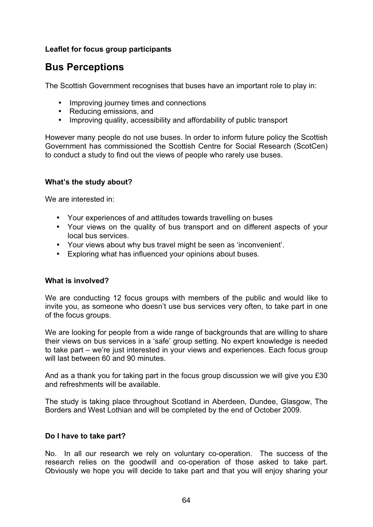## **Leaflet for focus group participants**

# **Bus Perceptions**

The Scottish Government recognises that buses have an important role to play in:

- Improving journey times and connections
- Reducing emissions, and
- Improving quality, accessibility and affordability of public transport

However many people do not use buses. In order to inform future policy the Scottish Government has commissioned the Scottish Centre for Social Research (ScotCen) to conduct a study to find out the views of people who rarely use buses.

## **What's the study about?**

We are interested in:

- Your experiences of and attitudes towards travelling on buses
- Your views on the quality of bus transport and on different aspects of your local bus services.
- Your views about why bus travel might be seen as 'inconvenient'.
- Exploring what has influenced your opinions about buses.

#### **What is involved?**

We are conducting 12 focus groups with members of the public and would like to invite you, as someone who doesn't use bus services very often, to take part in one of the focus groups.

We are looking for people from a wide range of backgrounds that are willing to share their views on bus services in a 'safe' group setting. No expert knowledge is needed to take part – we're just interested in your views and experiences. Each focus group will last between 60 and 90 minutes.

And as a thank you for taking part in the focus group discussion we will give you £30 and refreshments will be available.

The study is taking place throughout Scotland in Aberdeen, Dundee, Glasgow, The Borders and West Lothian and will be completed by the end of October 2009.

#### **Do I have to take part?**

No. In all our research we rely on voluntary co-operation. The success of the research relies on the goodwill and co-operation of those asked to take part. Obviously we hope you will decide to take part and that you will enjoy sharing your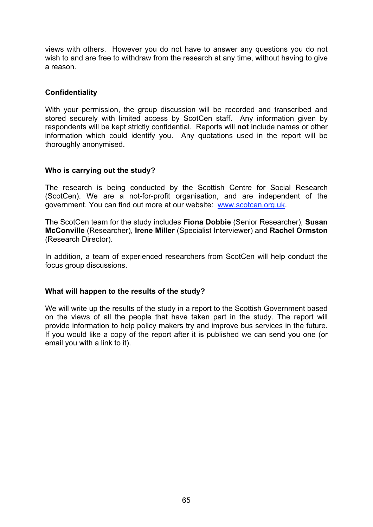views with others. However you do not have to answer any questions you do not wish to and are free to withdraw from the research at any time, without having to give a reason.

## **Confidentiality**

With your permission, the group discussion will be recorded and transcribed and stored securely with limited access by ScotCen staff. Any information given by respondents will be kept strictly confidential. Reports will **not** include names or other information which could identify you. Any quotations used in the report will be thoroughly anonymised.

## **Who is carrying out the study?**

The research is being conducted by the Scottish Centre for Social Research (ScotCen). We are a not-for-profit organisation, and are independent of the government. You can find out more at our website: www.scotcen.org.uk.

The ScotCen team for the study includes **Fiona Dobbie** (Senior Researcher), **Susan McConville** (Researcher), **Irene Miller** (Specialist Interviewer) and **Rachel Ormston**  (Research Director).

In addition, a team of experienced researchers from ScotCen will help conduct the focus group discussions.

## **What will happen to the results of the study?**

We will write up the results of the study in a report to the Scottish Government based on the views of all the people that have taken part in the study. The report will provide information to help policy makers try and improve bus services in the future. If you would like a copy of the report after it is published we can send you one (or email you with a link to it).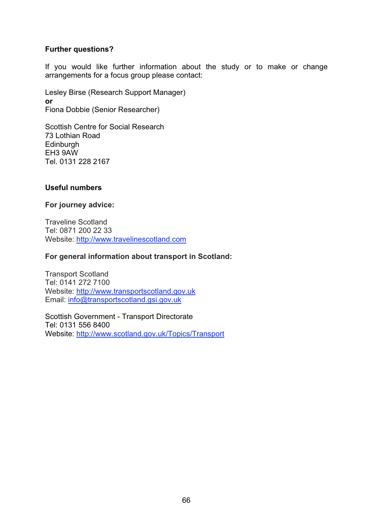## **Further questions?**

If you would like further information about the study or to make or change arrangements for a focus group please contact:

Lesley Birse (Research Support Manager) **or** Fiona Dobbie (Senior Researcher)

Scottish Centre for Social Research 73 Lothian Road **Edinburgh** EH3 9AW Tel. 0131 228 2167

## **Useful numbers**

## **For journey advice:**

Traveline Scotland Tel: 0871 200 22 33 Website: http://www.travelinescotland.com

## **For general information about transport in Scotland:**

Transport Scotland Tel: 0141 272 7100 Website: http://www.transportscotland.gov.uk Email: info@transportscotland.gsi.gov.uk

Scottish Government - Transport Directorate Tel: 0131 556 8400 Website: http://www.scotland.gov.uk/Topics/Transport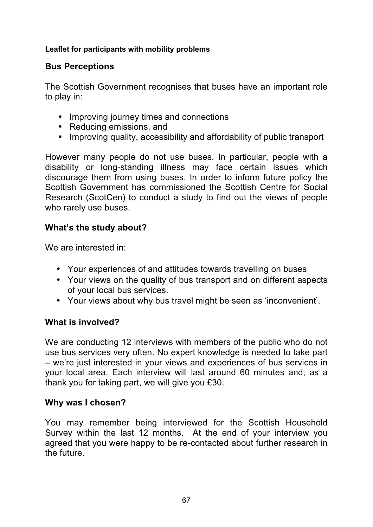## **Leaflet for participants with mobility problems**

# **Bus Perceptions**

The Scottish Government recognises that buses have an important role to play in:

- Improving journey times and connections
- Reducing emissions, and
- Improving quality, accessibility and affordability of public transport

However many people do not use buses. In particular, people with a disability or long-standing illness may face certain issues which discourage them from using buses. In order to inform future policy the Scottish Government has commissioned the Scottish Centre for Social Research (ScotCen) to conduct a study to find out the views of people who rarely use buses.

# **What's the study about?**

We are interested in:

- Your experiences of and attitudes towards travelling on buses
- Your views on the quality of bus transport and on different aspects of your local bus services.
- Your views about why bus travel might be seen as 'inconvenient'.

# **What is involved?**

We are conducting 12 interviews with members of the public who do not use bus services very often. No expert knowledge is needed to take part – we're just interested in your views and experiences of bus services in your local area. Each interview will last around 60 minutes and, as a thank you for taking part, we will give you £30.

# **Why was I chosen?**

You may remember being interviewed for the Scottish Household Survey within the last 12 months. At the end of your interview you agreed that you were happy to be re-contacted about further research in the future.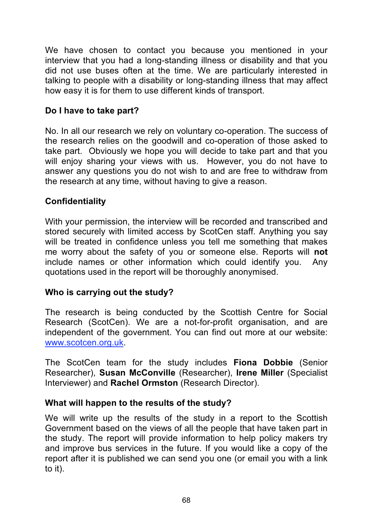We have chosen to contact you because you mentioned in your interview that you had a long-standing illness or disability and that you did not use buses often at the time. We are particularly interested in talking to people with a disability or long-standing illness that may affect how easy it is for them to use different kinds of transport.

# **Do I have to take part?**

No. In all our research we rely on voluntary co-operation. The success of the research relies on the goodwill and co-operation of those asked to take part. Obviously we hope you will decide to take part and that you will enjoy sharing your views with us. However, you do not have to answer any questions you do not wish to and are free to withdraw from the research at any time, without having to give a reason.

# **Confidentiality**

With your permission, the interview will be recorded and transcribed and stored securely with limited access by ScotCen staff. Anything you say will be treated in confidence unless you tell me something that makes me worry about the safety of you or someone else. Reports will **not** include names or other information which could identify you. Any quotations used in the report will be thoroughly anonymised.

# **Who is carrying out the study?**

The research is being conducted by the Scottish Centre for Social Research (ScotCen). We are a not-for-profit organisation, and are independent of the government. You can find out more at our website: www.scotcen.org.uk.

The ScotCen team for the study includes **Fiona Dobbie** (Senior Researcher), **Susan McConville** (Researcher), **Irene Miller** (Specialist Interviewer) and **Rachel Ormston** (Research Director).

# **What will happen to the results of the study?**

We will write up the results of the study in a report to the Scottish Government based on the views of all the people that have taken part in the study. The report will provide information to help policy makers try and improve bus services in the future. If you would like a copy of the report after it is published we can send you one (or email you with a link to it).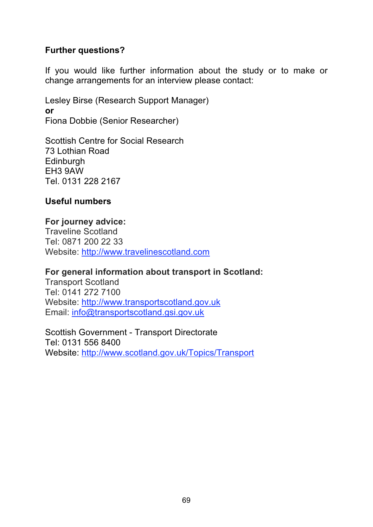# **Further questions?**

If you would like further information about the study or to make or change arrangements for an interview please contact:

Lesley Birse (Research Support Manager) **or** Fiona Dobbie (Senior Researcher)

Scottish Centre for Social Research 73 Lothian Road **Edinburgh** EH3 9AW Tel. 0131 228 2167

# **Useful numbers**

# **For journey advice:**  Traveline Scotland Tel: 0871 200 22 33 Website: http://www.travelinescotland.com

# **For general information about transport in Scotland:**

Transport Scotland Tel: 0141 272 7100 Website: http://www.transportscotland.gov.uk Email: info@transportscotland.gsi.gov.uk

Scottish Government - Transport Directorate Tel: 0131 556 8400 Website: http://www.scotland.gov.uk/Topics/Transport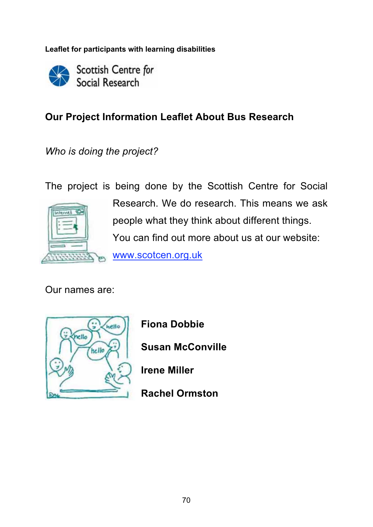**Leaflet for participants with learning disabilities** 

Scottish Centre for Social Research

# **Our Project Information Leaflet About Bus Research**

*Who is doing the project?* 

The project is being done by the Scottish Centre for Social



Research. We do research. This means we ask people what they think about different things. You can find out more about us at our website: www.scotcen.org.uk

Our names are:



**Fiona Dobbie** 

**Susan McConville** 

**Irene Miller** 

**Rachel Ormston**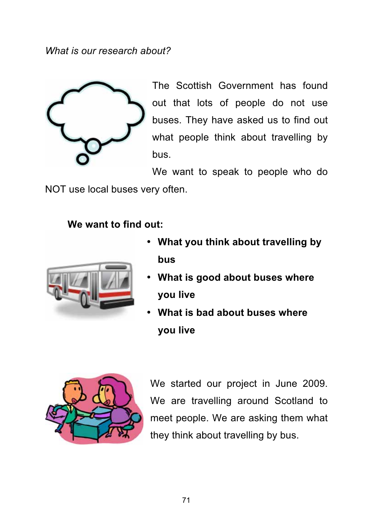*What is our research about?* 



The Scottish Government has found out that lots of people do not use buses. They have asked us to find out what people think about travelling by bus.

We want to speak to people who do

NOT use local buses very often.

# **We want to find out:**



- **What you think about travelling by bus**
- **What is good about buses where you live**
- **What is bad about buses where you live**



We started our project in June 2009. We are travelling around Scotland to meet people. We are asking them what they think about travelling by bus.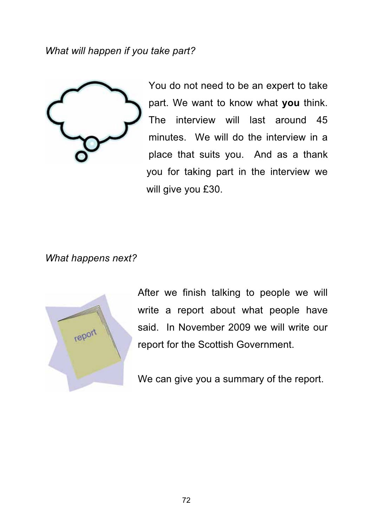*What will happen if you take part?* 



You do not need to be an expert to take part. We want to know what **you** think. The interview will last around 45 minutes. We will do the interview in a place that suits you. And as a thank you for taking part in the interview we will give you £30.

*What happens next?* 



After we finish talking to people we will write a report about what people have said. In November 2009 we will write our report for the Scottish Government.

We can give you a summary of the report.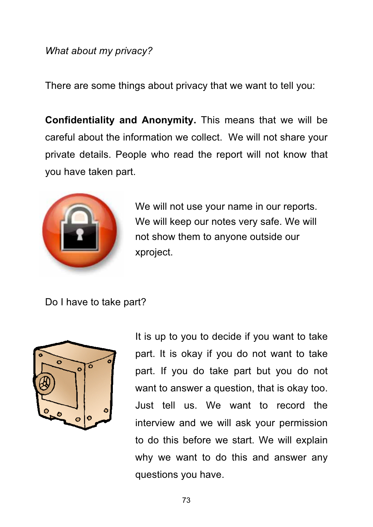# *What about my privacy?*

There are some things about privacy that we want to tell you:

**Confidentiality and Anonymity.** This means that we will be careful about the information we collect. We will not share your private details. People who read the report will not know that you have taken part.



We will not use your name in our reports. We will keep our notes very safe. We will not show them to anyone outside our xproject.

Do I have to take part?



It is up to you to decide if you want to take part. It is okay if you do not want to take part. If you do take part but you do not want to answer a question, that is okay too. Just tell us. We want to record the interview and we will ask your permission to do this before we start. We will explain why we want to do this and answer any questions you have.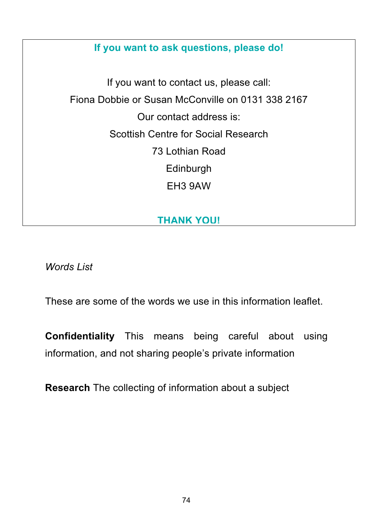# **If you want to ask questions, please do!**

If you want to contact us, please call: Fiona Dobbie or Susan McConville on 0131 338 2167 Our contact address is: Scottish Centre for Social Research 73 Lothian Road Edinburgh EH3 9AW

# **THANK YOU!**

*Words List* 

These are some of the words we use in this information leaflet.

**Confidentiality** This means being careful about using information, and not sharing people's private information

**Research** The collecting of information about a subject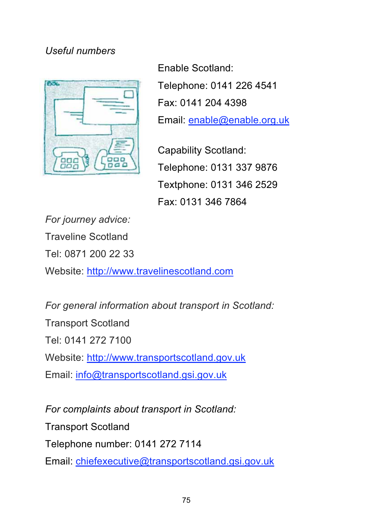# *Useful numbers*



Enable Scotland: Telephone: 0141 226 4541 Fax: 0141 204 4398 Email: enable@enable.org.uk

Capability Scotland: Telephone: 0131 337 9876 Textphone: 0131 346 2529 Fax: 0131 346 7864

*For journey advice:*  Traveline Scotland Tel: 0871 200 22 33 Website: http://www.travelinescotland.com

*For general information about transport in Scotland:*  Transport Scotland Tel: 0141 272 7100 Website: http://www.transportscotland.gov.uk Email: info@transportscotland.gsi.gov.uk

*For complaints about transport in Scotland:*  Transport Scotland Telephone number: 0141 272 7114 Email: chiefexecutive@transportscotland.gsi.gov.uk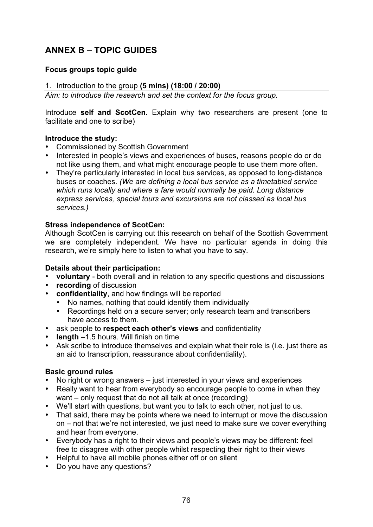# **ANNEX B – TOPIC GUIDES**

## **Focus groups topic guide**

## 1. Introduction to the group **(5 mins) (18:00 / 20:00)**

*Aim: to introduce the research and set the context for the focus group.* 

Introduce **self and ScotCen.** Explain why two researchers are present (one to facilitate and one to scribe)

## **Introduce the study:**

- Commissioned by Scottish Government
- Interested in people's views and experiences of buses, reasons people do or do not like using them, and what might encourage people to use them more often.
- They're particularly interested in local bus services, as opposed to long-distance buses or coaches. *(We are defining a local bus service as a timetabled service which runs locally and where a fare would normally be paid. Long distance express services, special tours and excursions are not classed as local bus services.)*

## **Stress independence of ScotCen:**

Although ScotCen is carrying out this research on behalf of the Scottish Government we are completely independent. We have no particular agenda in doing this research, we're simply here to listen to what you have to say.

#### **Details about their participation:**

- **voluntary** both overall and in relation to any specific questions and discussions
- **recording** of discussion
- **confidentiality**, and how findings will be reported
	- No names, nothing that could identify them individually
	- Recordings held on a secure server; only research team and transcribers have access to them.
- ask people to **respect each other's views** and confidentiality
- **length** –1.5 hours. Will finish on time
- Ask scribe to introduce themselves and explain what their role is (i.e. just there as an aid to transcription, reassurance about confidentiality).

## **Basic ground rules**

- No right or wrong answers just interested in your views and experiences
- Really want to hear from everybody so encourage people to come in when they want – only request that do not all talk at once (recording)
- We'll start with questions, but want you to talk to each other, not just to us.
- That said, there may be points where we need to interrupt or move the discussion on – not that we're not interested, we just need to make sure we cover everything and hear from everyone.
- Everybody has a right to their views and people's views may be different: feel free to disagree with other people whilst respecting their right to their views
- Helpful to have all mobile phones either off or on silent
- Do you have any questions?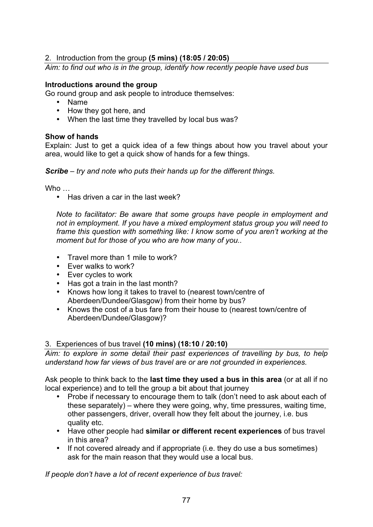## 2. Introduction from the group **(5 mins) (18:05 / 20:05)**

*Aim: to find out who is in the group, identify how recently people have used bus* 

## **Introductions around the group**

Go round group and ask people to introduce themselves:

- Name
- How they got here, and
- When the last time they travelled by local bus was?

#### **Show of hands**

Explain: Just to get a quick idea of a few things about how you travel about your area, would like to get a quick show of hands for a few things.

*Scribe – try and note who puts their hands up for the different things.* 

Who …

• Has driven a car in the last week?

*Note to facilitator: Be aware that some groups have people in employment and not in employment. If you have a mixed employment status group you will need to frame this question with something like: I know some of you aren't working at the moment but for those of you who are how many of you..* 

- Travel more than 1 mile to work?
- Ever walks to work?
- Ever cycles to work
- Has got a train in the last month?
- Knows how long it takes to travel to (nearest town/centre of Aberdeen/Dundee/Glasgow) from their home by bus?
- Knows the cost of a bus fare from their house to (nearest town/centre of Aberdeen/Dundee/Glasgow)?

## 3. Experiences of bus travel **(10 mins) (18:10 / 20:10)**

*Aim: to explore in some detail their past experiences of travelling by bus, to help understand how far views of bus travel are or are not grounded in experiences.* 

Ask people to think back to the **last time they used a bus in this area** (or at all if no local experience) and to tell the group a bit about that journey

- Probe if necessary to encourage them to talk (don't need to ask about each of these separately) – where they were going, why, time pressures, waiting time, other passengers, driver, overall how they felt about the journey, i.e. bus quality etc.
- Have other people had **similar or different recent experiences** of bus travel in this area?
- If not covered already and if appropriate (i.e. they do use a bus sometimes) ask for the main reason that they would use a local bus.

*If people don't have a lot of recent experience of bus travel:*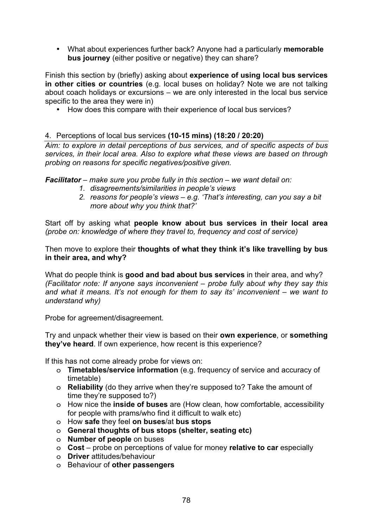• What about experiences further back? Anyone had a particularly **memorable bus journey** (either positive or negative) they can share?

Finish this section by (briefly) asking about **experience of using local bus services in other cities or countries** (e.g. local buses on holiday? Note we are not talking about coach holidays or excursions – we are only interested in the local bus service specific to the area they were in)

• How does this compare with their experience of local bus services?

## 4. Perceptions of local bus services **(10-15 mins) (18:20 / 20:20)**

*Aim: to explore in detail perceptions of bus services, and of specific aspects of bus services, in their local area. Also to explore what these views are based on through probing on reasons for specific negatives/positive given.* 

*Facilitator – make sure you probe fully in this section – we want detail on:* 

- *1. disagreements/similarities in people's views*
- *2. reasons for people's views e.g. 'That's interesting, can you say a bit more about why you think that?'*

Start off by asking what **people know about bus services in their local area**  *(probe on: knowledge of where they travel to, frequency and cost of service)* 

Then move to explore their **thoughts of what they think it's like travelling by bus in their area, and why?** 

What do people think is **good and bad about bus services** in their area, and why? *(Facilitator note: If anyone says inconvenient – probe fully about why they say this and what it means. It's not enough for them to say its' inconvenient – we want to understand why)* 

Probe for agreement/disagreement.

Try and unpack whether their view is based on their **own experience**, or **something they've heard**. If own experience, how recent is this experience?

If this has not come already probe for views on:

- o **Timetables/service information** (e.g. frequency of service and accuracy of timetable)
- o **Reliability** (do they arrive when they're supposed to? Take the amount of time they're supposed to?)
- o How nice the **inside of buses** are (How clean, how comfortable, accessibility for people with prams/who find it difficult to walk etc)
- o How **safe** they feel **on buses**/at **bus stops**
- o **General thoughts of bus stops (shelter, seating etc)**
- o **Number of people** on buses
- o **Cost** probe on perceptions of value for money **relative to car** especially
- o **Driver** attitudes/behaviour
- o Behaviour of **other passengers**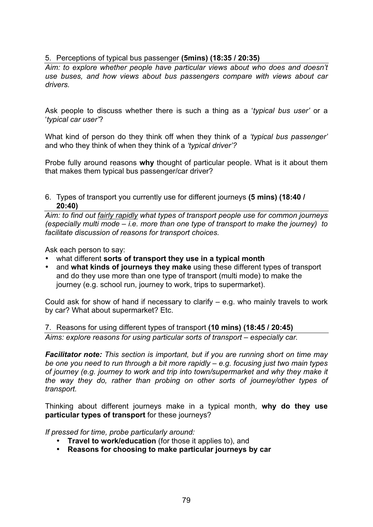## 5. Perceptions of typical bus passenger **(5mins) (18:35 / 20:35)**

*Aim: to explore whether people have particular views about who does and doesn't use buses, and how views about bus passengers compare with views about car drivers.* 

Ask people to discuss whether there is such a thing as a '*typical bus user'* or a '*typical car user'*?

What kind of person do they think off when they think of a *'typical bus passenger'*  and who they think of when they think of a *'typical driver'?*

Probe fully around reasons **why** thought of particular people. What is it about them that makes them typical bus passenger/car driver?

6. Types of transport you currently use for different journeys **(5 mins) (18:40 / 20:40)**

*Aim: to find out fairly rapidly what types of transport people use for common journeys (especially multi mode – i.e. more than one type of transport to make the journey) to facilitate discussion of reasons for transport choices.* 

Ask each person to say:

- what different **sorts of transport they use in a typical month**
- and **what kinds of journeys they make** using these different types of transport and do they use more than one type of transport (multi mode) to make the journey (e.g. school run, journey to work, trips to supermarket).

Could ask for show of hand if necessary to clarify – e.g. who mainly travels to work by car? What about supermarket? Etc.

7. Reasons for using different types of transport **(10 mins) (18:45 / 20:45)** *Aims: explore reasons for using particular sorts of transport – especially car.* 

*Facilitator note: This section is important, but if you are running short on time may be one you need to run through a bit more rapidly – e.g. focusing just two main types of journey (e.g. journey to work and trip into town/supermarket and why they make it the way they do, rather than probing on other sorts of journey/other types of transport.* 

Thinking about different journeys make in a typical month, **why do they use particular types of transport** for these journeys?

*If pressed for time, probe particularly around:* 

- **Travel to work/education** (for those it applies to), and
- **Reasons for choosing to make particular journeys by car**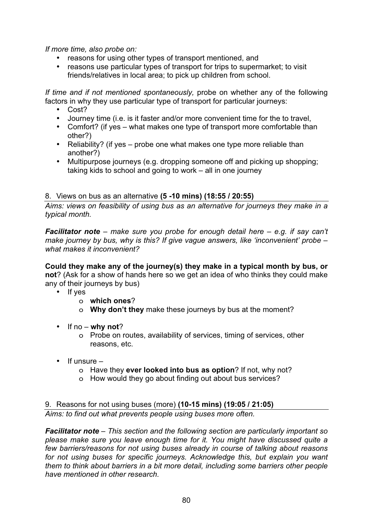*If more time, also probe on:* 

- reasons for using other types of transport mentioned, and
- reasons use particular types of transport for trips to supermarket; to visit friends/relatives in local area; to pick up children from school.

*If time and if not mentioned spontaneously,* probe on whether any of the following factors in why they use particular type of transport for particular journeys:

- Cost?
- Journey time (i.e. is it faster and/or more convenient time for the to travel,
- Comfort? (if yes what makes one type of transport more comfortable than other?)
- Reliability? (if yes probe one what makes one type more reliable than another?)
- Multipurpose journeys (e.g. dropping someone off and picking up shopping; taking kids to school and going to work – all in one journey

## 8. Views on bus as an alternative **(5 -10 mins) (18:55 / 20:55)**

*Aims: views on feasibility of using bus as an alternative for journeys they make in a typical month.* 

*Facilitator note – make sure you probe for enough detail here – e.g. if say can't make journey by bus, why is this? If give vague answers, like 'inconvenient' probe – what makes it inconvenient?* 

**Could they make any of the journey(s) they make in a typical month by bus, or not**? (Ask for a show of hands here so we get an idea of who thinks they could make any of their journeys by bus)

- If yes
	- o **which ones**?
	- o **Why don't they** make these journeys by bus at the moment?
- If no **why not**?
	- o Probe on routes, availability of services, timing of services, other reasons, etc.
- If unsure
	- o Have they **ever looked into bus as option**? If not, why not?
	- o How would they go about finding out about bus services?

9. Reasons for not using buses (more) **(10-15 mins) (19:05 / 21:05)** *Aims: to find out what prevents people using buses more often.* 

*Facilitator note – This section and the following section are particularly important so please make sure you leave enough time for it. You might have discussed quite a few barriers/reasons for not using buses already in course of talking about reasons for not using buses for specific journeys. Acknowledge this, but explain you want them to think about barriers in a bit more detail, including some barriers other people have mentioned in other research.*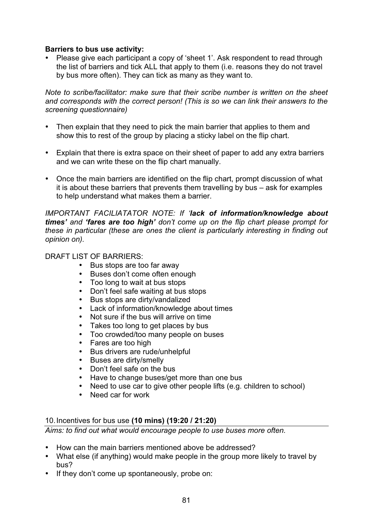#### **Barriers to bus use activity:**

• Please give each participant a copy of 'sheet 1'. Ask respondent to read through the list of barriers and tick ALL that apply to them (i.e. reasons they do not travel by bus more often). They can tick as many as they want to.

*Note to scribe/facilitator: make sure that their scribe number is written on the sheet and corresponds with the correct person! (This is so we can link their answers to the screening questionnaire)* 

- Then explain that they need to pick the main barrier that applies to them and show this to rest of the group by placing a sticky label on the flip chart.
- Explain that there is extra space on their sheet of paper to add any extra barriers and we can write these on the flip chart manually.
- Once the main barriers are identified on the flip chart, prompt discussion of what it is about these barriers that prevents them travelling by bus – ask for examples to help understand what makes them a barrier.

*IMPORTANT FACILIATATOR NOTE: If 'lack of information/knowledge about times' and 'fares are too high' don't come up on the flip chart please prompt for these in particular (these are ones the client is particularly interesting in finding out opinion on).* 

## DRAFT LIST OF BARRIERS:

- Bus stops are too far away
- Buses don't come often enough
- Too long to wait at bus stops
- Don't feel safe waiting at bus stops
- Bus stops are dirty/vandalized
- Lack of information/knowledge about times
- Not sure if the bus will arrive on time
- Takes too long to get places by bus<br>• Too crowded/too many people on bu
- Too crowded/too many people on buses
- Fares are too high
- Bus drivers are rude/unhelpful
- Buses are dirty/smelly
- Don't feel safe on the bus
- Have to change buses/get more than one bus
- Need to use car to give other people lifts (e.g. children to school)
- Need car for work

## 10. Incentives for bus use **(10 mins) (19:20 / 21:20)**

*Aims: to find out what would encourage people to use buses more often.* 

- How can the main barriers mentioned above be addressed?
- What else (if anything) would make people in the group more likely to travel by bus?
- If they don't come up spontaneously, probe on: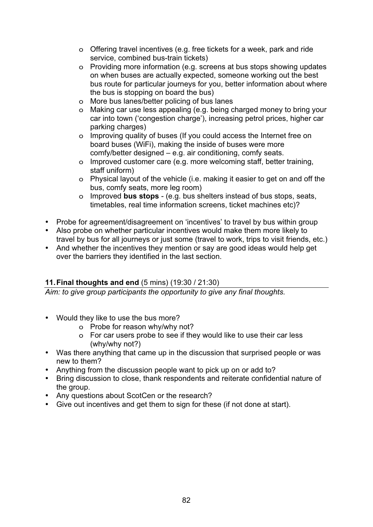- o Offering travel incentives (e.g. free tickets for a week, park and ride service, combined bus-train tickets)
- o Providing more information (e.g. screens at bus stops showing updates on when buses are actually expected, someone working out the best bus route for particular journeys for you, better information about where the bus is stopping on board the bus)
- o More bus lanes/better policing of bus lanes
- o Making car use less appealing (e.g. being charged money to bring your car into town ('congestion charge'), increasing petrol prices, higher car parking charges)
- o Improving quality of buses (If you could access the Internet free on board buses (WiFi), making the inside of buses were more comfy/better designed – e.g. air conditioning, comfy seats.
- o Improved customer care (e.g. more welcoming staff, better training, staff uniform)
- o Physical layout of the vehicle (i.e. making it easier to get on and off the bus, comfy seats, more leg room)
- o Improved **bus stops** (e.g. bus shelters instead of bus stops, seats, timetables, real time information screens, ticket machines etc)?
- Probe for agreement/disagreement on 'incentives' to travel by bus within group
- Also probe on whether particular incentives would make them more likely to travel by bus for all journeys or just some (travel to work, trips to visit friends, etc.)
- And whether the incentives they mention or say are good ideas would help get over the barriers they identified in the last section.

## **11. Final thoughts and end** (5 mins) (19:30 / 21:30)

*Aim: to give group participants the opportunity to give any final thoughts.* 

- Would they like to use the bus more?
	- o Probe for reason why/why not?
	- o For car users probe to see if they would like to use their car less (why/why not?)
- Was there anything that came up in the discussion that surprised people or was new to them?
- Anything from the discussion people want to pick up on or add to?
- Bring discussion to close, thank respondents and reiterate confidential nature of the group.
- Any questions about ScotCen or the research?
- Give out incentives and get them to sign for these (if not done at start).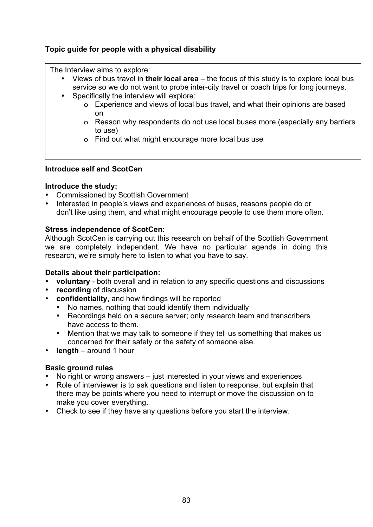## **Topic guide for people with a physical disability**

The Interview aims to explore:

- Views of bus travel in **their local area** the focus of this study is to explore local bus service so we do not want to probe inter-city travel or coach trips for long journeys.
- Specifically the interview will explore:
	- o Experience and views of local bus travel, and what their opinions are based on
	- o Reason why respondents do not use local buses more (especially any barriers to use)
	- o Find out what might encourage more local bus use

#### **Introduce self and ScotCen**

#### **Introduce the study:**

- Commissioned by Scottish Government
- Interested in people's views and experiences of buses, reasons people do or don't like using them, and what might encourage people to use them more often.

## **Stress independence of ScotCen:**

Although ScotCen is carrying out this research on behalf of the Scottish Government we are completely independent. We have no particular agenda in doing this research, we're simply here to listen to what you have to say.

#### **Details about their participation:**

- **voluntary** both overall and in relation to any specific questions and discussions
- **recording** of discussion
- **confidentiality**, and how findings will be reported
	- No names, nothing that could identify them individually
	- Recordings held on a secure server; only research team and transcribers have access to them.
	- Mention that we may talk to someone if they tell us something that makes us concerned for their safety or the safety of someone else.
- **length** around 1 hour

## **Basic ground rules**

- No right or wrong answers just interested in your views and experiences
- Role of interviewer is to ask questions and listen to response, but explain that there may be points where you need to interrupt or move the discussion on to make you cover everything.
- Check to see if they have any questions before you start the interview.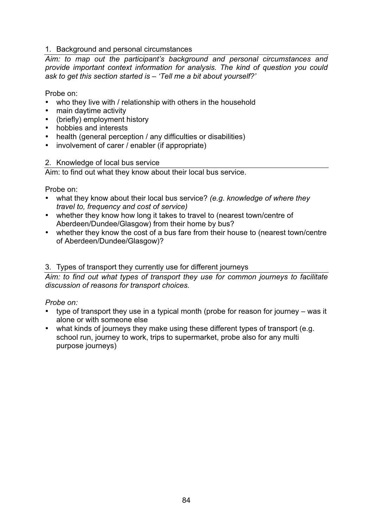## 1. Background and personal circumstances

*Aim: to map out the participant's background and personal circumstances and provide important context information for analysis. The kind of question you could ask to get this section started is – 'Tell me a bit about yourself?'* 

Probe on:

- who they live with / relationship with others in the household
- main daytime activity
- (briefly) employment history
- hobbies and interests
- health (general perception / any difficulties or disabilities)
- involvement of carer / enabler (if appropriate)

#### 2. Knowledge of local bus service

Aim: to find out what they know about their local bus service.

Probe on:

- what they know about their local bus service? *(e.g. knowledge of where they travel to, frequency and cost of service)*
- whether they know how long it takes to travel to (nearest town/centre of Aberdeen/Dundee/Glasgow) from their home by bus?
- whether they know the cost of a bus fare from their house to (nearest town/centre of Aberdeen/Dundee/Glasgow)?

## 3. Types of transport they currently use for different journeys

*Aim: to find out what types of transport they use for common journeys to facilitate discussion of reasons for transport choices.* 

#### *Probe on:*

- type of transport they use in a typical month (probe for reason for journey was it alone or with someone else
- what kinds of journeys they make using these different types of transport (e.g. school run, journey to work, trips to supermarket, probe also for any multi purpose journeys)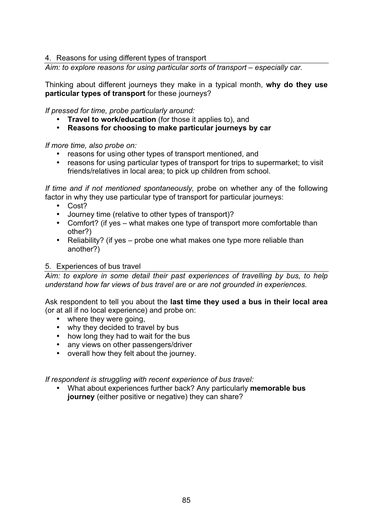4. Reasons for using different types of transport

*Aim: to explore reasons for using particular sorts of transport – especially car.* 

Thinking about different journeys they make in a typical month, **why do they use particular types of transport** for these journeys?

*If pressed for time, probe particularly around:* 

- **Travel to work/education** (for those it applies to), and
- **Reasons for choosing to make particular journeys by car**

*If more time, also probe on:* 

- reasons for using other types of transport mentioned, and
- reasons for using particular types of transport for trips to supermarket; to visit friends/relatives in local area; to pick up children from school.

*If time and if not mentioned spontaneously,* probe on whether any of the following factor in why they use particular type of transport for particular journeys:

- Cost?
- Journey time (relative to other types of transport)?
- Comfort? (if yes what makes one type of transport more comfortable than other?)
- Reliability? (if yes probe one what makes one type more reliable than another?)

#### 5. Experiences of bus travel

*Aim: to explore in some detail their past experiences of travelling by bus, to help understand how far views of bus travel are or are not grounded in experiences.* 

Ask respondent to tell you about the **last time they used a bus in their local area** (or at all if no local experience) and probe on:

- where they were going.
- why they decided to travel by bus
- how long they had to wait for the bus
- any views on other passengers/driver
- overall how they felt about the journey.

*If respondent is struggling with recent experience of bus travel:* 

• What about experiences further back? Any particularly **memorable bus journey** (either positive or negative) they can share?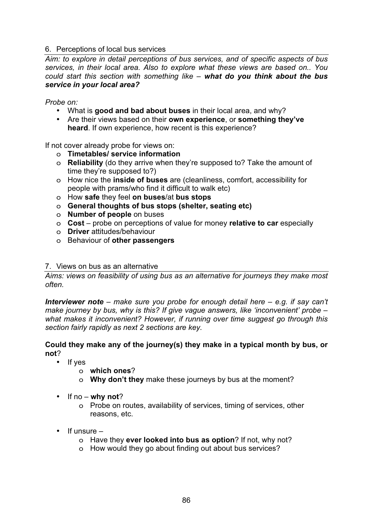## 6. Perceptions of local bus services

*Aim: to explore in detail perceptions of bus services, and of specific aspects of bus services, in their local area. Also to explore what these views are based on.. You could start this section with something like – what do you think about the bus service in your local area?* 

*Probe on:* 

- What is **good and bad about buses** in their local area, and why?
- Are their views based on their **own experience**, or **something they've heard**. If own experience, how recent is this experience?

If not cover already probe for views on:

- o **Timetables/ service information**
- o **Reliability** (do they arrive when they're supposed to? Take the amount of time they're supposed to?)
- o How nice the **inside of buses** are (cleanliness, comfort, accessibility for people with prams/who find it difficult to walk etc)
- o How **safe** they feel **on buses**/at **bus stops**
- o **General thoughts of bus stops (shelter, seating etc)**
- o **Number of people** on buses
- o **Cost** probe on perceptions of value for money **relative to car** especially
- o **Driver** attitudes/behaviour
- o Behaviour of **other passengers**

#### 7. Views on bus as an alternative

*Aims: views on feasibility of using bus as an alternative for journeys they make most often.* 

*Interviewer note – make sure you probe for enough detail here – e.g. if say can't make journey by bus, why is this? If give vague answers, like 'inconvenient' probe – what makes it inconvenient? However, if running over time suggest go through this section fairly rapidly as next 2 sections are key.* 

#### **Could they make any of the journey(s) they make in a typical month by bus, or not**?

- If yes
	- o **which ones**?
	- o **Why don't they** make these journeys by bus at the moment?
- If no **why not**?
	- o Probe on routes, availability of services, timing of services, other reasons, etc.
- If unsure
	- o Have they **ever looked into bus as option**? If not, why not?
	- o How would they go about finding out about bus services?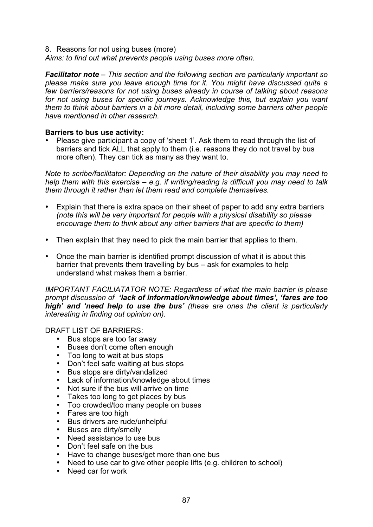#### 8. Reasons for not using buses (more)

*Aims: to find out what prevents people using buses more often.* 

*Facilitator note – This section and the following section are particularly important so please make sure you leave enough time for it. You might have discussed quite a few barriers/reasons for not using buses already in course of talking about reasons for not using buses for specific journeys. Acknowledge this, but explain you want them to think about barriers in a bit more detail, including some barriers other people have mentioned in other research.* 

#### **Barriers to bus use activity:**

• Please give participant a copy of 'sheet 1'. Ask them to read through the list of barriers and tick ALL that apply to them (i.e. reasons they do not travel by bus more often). They can tick as many as they want to.

*Note to scribe/facilitator: Depending on the nature of their disability you may need to help them with this exercise – e.g. if writing/reading is difficult you may need to talk them through it rather than let them read and complete themselves.* 

- Explain that there is extra space on their sheet of paper to add any extra barriers *(note this will be very important for people with a physical disability so please encourage them to think about any other barriers that are specific to them)*
- Then explain that they need to pick the main barrier that applies to them.
- Once the main barrier is identified prompt discussion of what it is about this barrier that prevents them travelling by bus – ask for examples to help understand what makes them a barrier.

*IMPORTANT FACILIATATOR NOTE: Regardless of what the main barrier is please prompt discussion of 'lack of information/knowledge about times', 'fares are too high' and 'need help to use the bus' (these are ones the client is particularly interesting in finding out opinion on).* 

DRAFT LIST OF BARRIERS:

- Bus stops are too far away<br>• Buses don't come often eng
- Buses don't come often enough
- Too long to wait at bus stops
- Don't feel safe waiting at bus stops
- Bus stops are dirty/vandalized
- Lack of information/knowledge about times
- Not sure if the bus will arrive on time<br>• Takes too long to get places by bus
- Takes too long to get places by bus
- Too crowded/too many people on buses
- Fares are too high
- Bus drivers are rude/unhelpful
- Buses are dirty/smelly
- Need assistance to use bus
- Don't feel safe on the bus
- Have to change buses/get more than one bus
- Need to use car to give other people lifts (e.g. children to school)
- Need car for work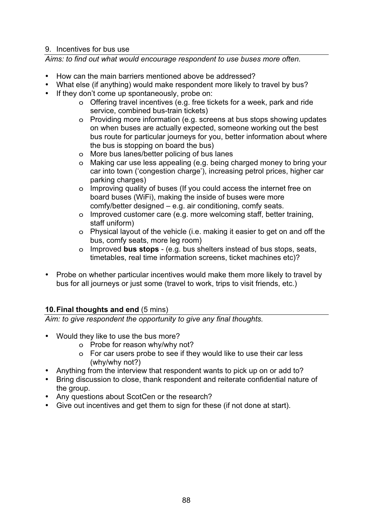## 9. Incentives for bus use

*Aims: to find out what would encourage respondent to use buses more often.* 

- How can the main barriers mentioned above be addressed?
- What else (if anything) would make respondent more likely to travel by bus?
- If they don't come up spontaneously, probe on:
	- o Offering travel incentives (e.g. free tickets for a week, park and ride service, combined bus-train tickets)
	- o Providing more information (e.g. screens at bus stops showing updates on when buses are actually expected, someone working out the best bus route for particular journeys for you, better information about where the bus is stopping on board the bus)
	- o More bus lanes/better policing of bus lanes
	- o Making car use less appealing (e.g. being charged money to bring your car into town ('congestion charge'), increasing petrol prices, higher car parking charges)
	- o Improving quality of buses (If you could access the internet free on board buses (WiFi), making the inside of buses were more comfy/better designed – e.g. air conditioning, comfy seats.
	- o Improved customer care (e.g. more welcoming staff, better training, staff uniform)
	- o Physical layout of the vehicle (i.e. making it easier to get on and off the bus, comfy seats, more leg room)
	- o Improved **bus stops** (e.g. bus shelters instead of bus stops, seats, timetables, real time information screens, ticket machines etc)?
- Probe on whether particular incentives would make them more likely to travel by bus for all journeys or just some (travel to work, trips to visit friends, etc.)

## **10. Final thoughts and end** (5 mins)

*Aim: to give respondent the opportunity to give any final thoughts.* 

- Would they like to use the bus more?
	- o Probe for reason why/why not?
	- o For car users probe to see if they would like to use their car less (why/why not?)
- Anything from the interview that respondent wants to pick up on or add to?
- Bring discussion to close, thank respondent and reiterate confidential nature of the group.
- Any questions about ScotCen or the research?
- Give out incentives and get them to sign for these (if not done at start).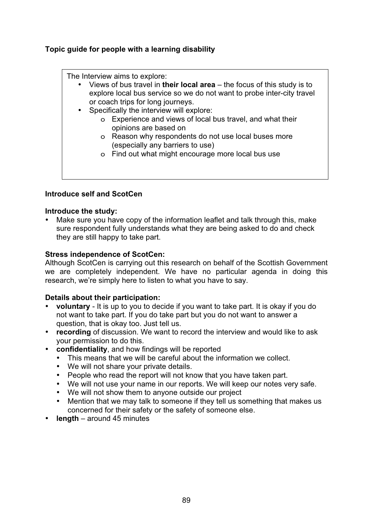## **Topic guide for people with a learning disability**

The Interview aims to explore:

- Views of bus travel in **their local area** the focus of this study is to explore local bus service so we do not want to probe inter-city travel or coach trips for long journeys.
- Specifically the interview will explore:
	- o Experience and views of local bus travel, and what their opinions are based on
	- o Reason why respondents do not use local buses more (especially any barriers to use)
	- o Find out what might encourage more local bus use

## **Introduce self and ScotCen**

## **Introduce the study:**

Make sure you have copy of the information leaflet and talk through this, make sure respondent fully understands what they are being asked to do and check they are still happy to take part.

## **Stress independence of ScotCen:**

Although ScotCen is carrying out this research on behalf of the Scottish Government we are completely independent. We have no particular agenda in doing this research, we're simply here to listen to what you have to say.

## **Details about their participation:**

- **voluntary** It is up to you to decide if you want to take part. It is okay if you do not want to take part. If you do take part but you do not want to answer a question, that is okay too. Just tell us.
- **recording** of discussion. We want to record the interview and would like to ask your permission to do this.
- **confidentiality**, and how findings will be reported
	- This means that we will be careful about the information we collect.
	- We will not share your private details.
	- People who read the report will not know that you have taken part.
	- We will not use your name in our reports. We will keep our notes very safe.
	- We will not show them to anyone outside our project
	- Mention that we may talk to someone if they tell us something that makes us concerned for their safety or the safety of someone else.
- **length** around 45 minutes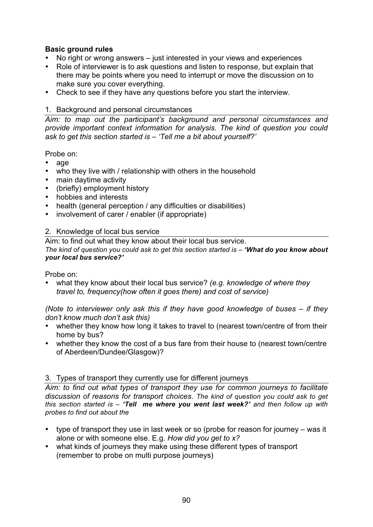## **Basic ground rules**

- No right or wrong answers just interested in your views and experiences
- Role of interviewer is to ask questions and listen to response, but explain that there may be points where you need to interrupt or move the discussion on to make sure you cover everything.
- Check to see if they have any questions before you start the interview.

#### 1. Background and personal circumstances

*Aim: to map out the participant's background and personal circumstances and provide important context information for analysis. The kind of question you could ask to get this section started is – 'Tell me a bit about yourself?'* 

#### Probe on:

- age
- who they live with / relationship with others in the household
- main daytime activity
- (briefly) employment history
- hobbies and interests
- health (general perception / any difficulties or disabilities)
- involvement of carer / enabler (if appropriate)

#### 2. Knowledge of local bus service

Aim: to find out what they know about their local bus service. *The kind of question you could ask to get this section started is – 'What do you know about your local bus service?'* 

Probe on:

• what they know about their local bus service? *(e.g. knowledge of where they travel to, frequency(how often it goes there) and cost of service)* 

*(Note to interviewer only ask this if they have good knowledge of buses – if they don't know much don't ask this)* 

- whether they know how long it takes to travel to (nearest town/centre of from their home by bus?
- whether they know the cost of a bus fare from their house to (nearest town/centre of Aberdeen/Dundee/Glasgow)?

#### 3. Types of transport they currently use for different journeys

*Aim: to find out what types of transport they use for common journeys to facilitate discussion of reasons for transport choices. The kind of question you could ask to get this section started is – 'Tell me where you went last week?' and then follow up with probes to find out about the* 

- type of transport they use in last week or so (probe for reason for journey was it alone or with someone else. E.g. *How did you get to x?*
- what kinds of journeys they make using these different types of transport (remember to probe on multi purpose journeys)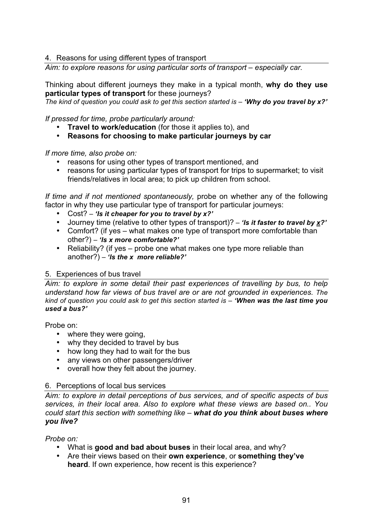4. Reasons for using different types of transport

*Aim: to explore reasons for using particular sorts of transport – especially car.* 

Thinking about different journeys they make in a typical month, **why do they use particular types of transport** for these journeys?

*The kind of question you could ask to get this section started is – 'Why do you travel by x?'*

*If pressed for time, probe particularly around:* 

- **Travel to work/education** (for those it applies to), and
- **Reasons for choosing to make particular journeys by car**

*If more time, also probe on:* 

- reasons for using other types of transport mentioned, and
- reasons for using particular types of transport for trips to supermarket; to visit friends/relatives in local area; to pick up children from school.

*If time and if not mentioned spontaneously,* probe on whether any of the following factor in why they use particular type of transport for particular journeys:

- Cost?  *'Is it cheaper for you to travel by x?'*
- Journey time (relative to other types of transport)? *'Is it faster to travel by x?'*
- Comfort? (if yes what makes one type of transport more comfortable than other?) *– 'Is x more comfortable?'*
- Reliability? (if yes probe one what makes one type more reliable than another?) *– 'Is the x more reliable?'*

## 5. Experiences of bus travel

*Aim: to explore in some detail their past experiences of travelling by bus, to help understand how far views of bus travel are or are not grounded in experiences. The kind of question you could ask to get this section started is – 'When was the last time you used a bus?'*

Probe on:

- where they were going,
- why they decided to travel by bus
- how long they had to wait for the bus
- any views on other passengers/driver
- overall how they felt about the journey.

#### 6. Perceptions of local bus services

*Aim: to explore in detail perceptions of bus services, and of specific aspects of bus services, in their local area. Also to explore what these views are based on.. You could start this section with something like – what do you think about buses where you live?* 

*Probe on:* 

- What is **good and bad about buses** in their local area, and why?
- Are their views based on their **own experience**, or **something they've heard**. If own experience, how recent is this experience?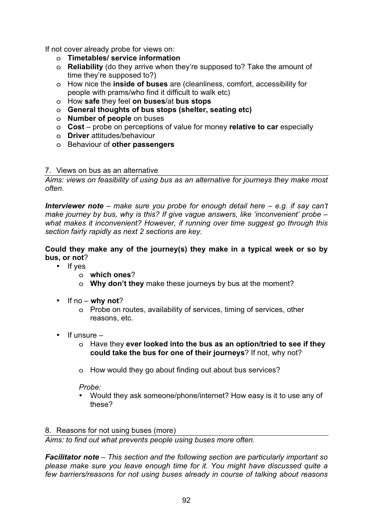If not cover already probe for views on:

- o **Timetables/ service information**
- o **Reliability** (do they arrive when they're supposed to? Take the amount of time they're supposed to?)
- o How nice the **inside of buses** are (cleanliness, comfort, accessibility for people with prams/who find it difficult to walk etc)
- o How **safe** they feel **on buses**/at **bus stops**
- o **General thoughts of bus stops (shelter, seating etc)**
- o **Number of people** on buses
- o **Cost** probe on perceptions of value for money **relative to car** especially
- o **Driver** attitudes/behaviour
- o Behaviour of **other passengers**

#### 7. Views on bus as an alternative

*Aims: views on feasibility of using bus as an alternative for journeys they make most often.* 

*Interviewer note – make sure you probe for enough detail here – e.g. if say can't make journey by bus, why is this? If give vague answers, like 'inconvenient' probe – what makes it inconvenient? However, if running over time suggest go through this section fairly rapidly as next 2 sections are key.* 

**Could they make any of the journey(s) they make in a typical week or so by bus, or not**?

- If yes
	- o **which ones**?
	- o **Why don't they** make these journeys by bus at the moment?
- If no **why not**?
	- o Probe on routes, availability of services, timing of services, other reasons, etc.
- If unsure
	- o Have they **ever looked into the bus as an option/tried to see if they could take the bus for one of their journeys**? If not, why not?
	- o How would they go about finding out about bus services?

*Probe:* 

- Would they ask someone/phone/internet? How easy is it to use any of these?
- 8. Reasons for not using buses (more)

*Aims: to find out what prevents people using buses more often.* 

*Facilitator note – This section and the following section are particularly important so please make sure you leave enough time for it. You might have discussed quite a few barriers/reasons for not using buses already in course of talking about reasons*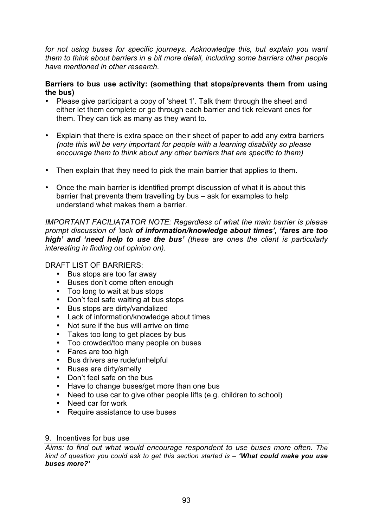*for not using buses for specific journeys. Acknowledge this, but explain you want them to think about barriers in a bit more detail, including some barriers other people have mentioned in other research.* 

## **Barriers to bus use activity: (something that stops/prevents them from using the bus)**

- Please give participant a copy of 'sheet 1'. Talk them through the sheet and either let them complete or go through each barrier and tick relevant ones for them. They can tick as many as they want to.
- Explain that there is extra space on their sheet of paper to add any extra barriers *(note this will be very important for people with a learning disability so please encourage them to think about any other barriers that are specific to them)*
- Then explain that they need to pick the main barrier that applies to them.
- Once the main barrier is identified prompt discussion of what it is about this barrier that prevents them travelling by bus – ask for examples to help understand what makes them a barrier.

*IMPORTANT FACILIATATOR NOTE: Regardless of what the main barrier is please prompt discussion of 'lack of information/knowledge about times', 'fares are too high' and 'need help to use the bus' (these are ones the client is particularly interesting in finding out opinion on).* 

DRAFT LIST OF BARRIERS:

- Bus stops are too far away
- Buses don't come often enough
- Too long to wait at bus stops
- Don't feel safe waiting at bus stops
- Bus stops are dirty/vandalized
- Lack of information/knowledge about times
- Not sure if the bus will arrive on time
- Takes too long to get places by bus
- Too crowded/too many people on buses
- Fares are too high
- Bus drivers are rude/unhelpful
- Buses are dirty/smelly
- Don't feel safe on the bus
- Have to change buses/get more than one bus
- Need to use car to give other people lifts (e.g. children to school)
- Need car for work
- Require assistance to use buses

#### 9. Incentives for bus use

*Aims: to find out what would encourage respondent to use buses more often. The kind of question you could ask to get this section started is – 'What could make you use buses more?'*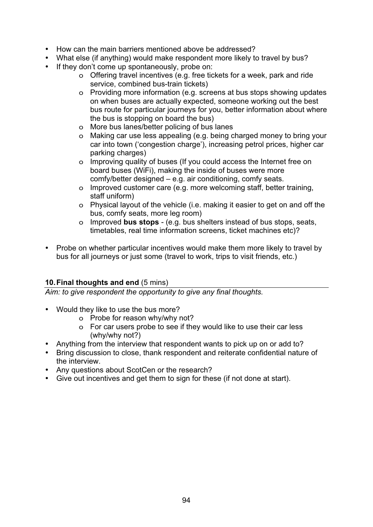- How can the main barriers mentioned above be addressed?
- What else (if anything) would make respondent more likely to travel by bus?
- If they don't come up spontaneously, probe on:
	- o Offering travel incentives (e.g. free tickets for a week, park and ride service, combined bus-train tickets)
	- o Providing more information (e.g. screens at bus stops showing updates on when buses are actually expected, someone working out the best bus route for particular journeys for you, better information about where the bus is stopping on board the bus)
	- o More bus lanes/better policing of bus lanes
	- o Making car use less appealing (e.g. being charged money to bring your car into town ('congestion charge'), increasing petrol prices, higher car parking charges)
	- o Improving quality of buses (If you could access the Internet free on board buses (WiFi), making the inside of buses were more comfy/better designed – e.g. air conditioning, comfy seats.
	- o Improved customer care (e.g. more welcoming staff, better training, staff uniform)
	- o Physical layout of the vehicle (i.e. making it easier to get on and off the bus, comfy seats, more leg room)
	- o Improved **bus stops** (e.g. bus shelters instead of bus stops, seats, timetables, real time information screens, ticket machines etc)?
- Probe on whether particular incentives would make them more likely to travel by bus for all journeys or just some (travel to work, trips to visit friends, etc.)

## **10. Final thoughts and end** (5 mins)

*Aim: to give respondent the opportunity to give any final thoughts.* 

- Would they like to use the bus more?
	- o Probe for reason why/why not?
	- o For car users probe to see if they would like to use their car less (why/why not?)
- Anything from the interview that respondent wants to pick up on or add to?
- Bring discussion to close, thank respondent and reiterate confidential nature of the interview.
- Any questions about ScotCen or the research?
- Give out incentives and get them to sign for these (if not done at start).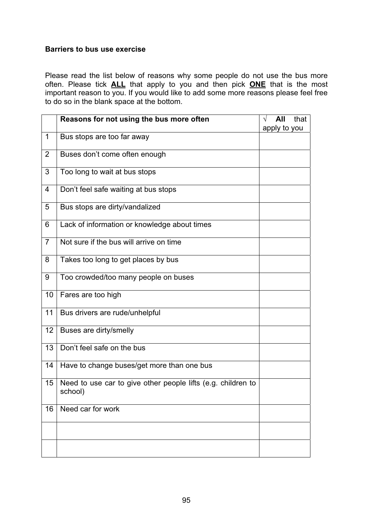#### **Barriers to bus use exercise**

Please read the list below of reasons why some people do not use the bus more often. Please tick **ALL** that apply to you and then pick **ONE** that is the most important reason to you. If you would like to add some more reasons please feel free to do so in the blank space at the bottom.

|                | Reasons for not using the bus more often                                | $\sqrt{ }$ | All<br>apply to you | that |
|----------------|-------------------------------------------------------------------------|------------|---------------------|------|
| $\mathbf{1}$   | Bus stops are too far away                                              |            |                     |      |
| $\overline{2}$ | Buses don't come often enough                                           |            |                     |      |
| 3              | Too long to wait at bus stops                                           |            |                     |      |
| 4              | Don't feel safe waiting at bus stops                                    |            |                     |      |
| 5              | Bus stops are dirty/vandalized                                          |            |                     |      |
| 6              | Lack of information or knowledge about times                            |            |                     |      |
| $\overline{7}$ | Not sure if the bus will arrive on time                                 |            |                     |      |
| 8              | Takes too long to get places by bus                                     |            |                     |      |
| 9              | Too crowded/too many people on buses                                    |            |                     |      |
| 10             | Fares are too high                                                      |            |                     |      |
| 11             | Bus drivers are rude/unhelpful                                          |            |                     |      |
| 12             | Buses are dirty/smelly                                                  |            |                     |      |
| 13             | Don't feel safe on the bus                                              |            |                     |      |
| 14             | Have to change buses/get more than one bus                              |            |                     |      |
| 15             | Need to use car to give other people lifts (e.g. children to<br>school) |            |                     |      |
| 16             | Need car for work                                                       |            |                     |      |
|                |                                                                         |            |                     |      |
|                |                                                                         |            |                     |      |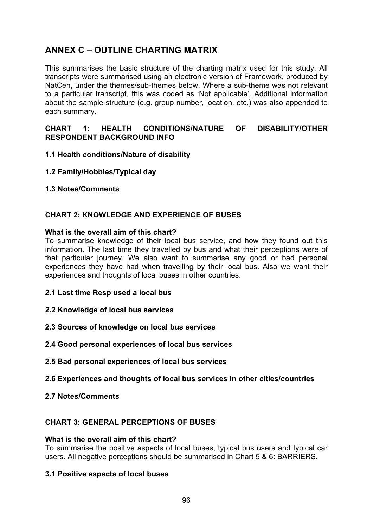# **ANNEX C – OUTLINE CHARTING MATRIX**

This summarises the basic structure of the charting matrix used for this study. All transcripts were summarised using an electronic version of Framework, produced by NatCen, under the themes/sub-themes below. Where a sub-theme was not relevant to a particular transcript, this was coded as 'Not applicable'. Additional information about the sample structure (e.g. group number, location, etc.) was also appended to each summary.

## **CHART 1: HEALTH CONDITIONS/NATURE OF DISABILITY/OTHER RESPONDENT BACKGROUND INFO**

- **1.1 Health conditions/Nature of disability**
- **1.2 Family/Hobbies/Typical day**
- **1.3 Notes/Comments**

## **CHART 2: KNOWLEDGE AND EXPERIENCE OF BUSES**

#### **What is the overall aim of this chart?**

To summarise knowledge of their local bus service, and how they found out this information. The last time they travelled by bus and what their perceptions were of that particular journey. We also want to summarise any good or bad personal experiences they have had when travelling by their local bus. Also we want their experiences and thoughts of local buses in other countries.

- **2.1 Last time Resp used a local bus**
- **2.2 Knowledge of local bus services**
- **2.3 Sources of knowledge on local bus services**
- **2.4 Good personal experiences of local bus services**
- **2.5 Bad personal experiences of local bus services**
- **2.6 Experiences and thoughts of local bus services in other cities/countries**
- **2.7 Notes/Comments**

#### **CHART 3: GENERAL PERCEPTIONS OF BUSES**

#### **What is the overall aim of this chart?**

To summarise the positive aspects of local buses, typical bus users and typical car users. All negative perceptions should be summarised in Chart 5 & 6: BARRIERS.

#### **3.1 Positive aspects of local buses**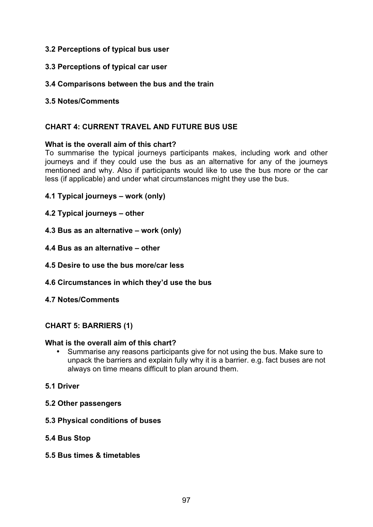## **3.2 Perceptions of typical bus user**

**3.3 Perceptions of typical car user** 

## **3.4 Comparisons between the bus and the train**

**3.5 Notes/Comments** 

## **CHART 4: CURRENT TRAVEL AND FUTURE BUS USE**

#### **What is the overall aim of this chart?**

To summarise the typical journeys participants makes, including work and other journeys and if they could use the bus as an alternative for any of the journeys mentioned and why. Also if participants would like to use the bus more or the car less (if applicable) and under what circumstances might they use the bus.

- **4.1 Typical journeys work (only)**
- **4.2 Typical journeys other**
- **4.3 Bus as an alternative work (only)**
- **4.4 Bus as an alternative other**
- **4.5 Desire to use the bus more/car less**
- **4.6 Circumstances in which they'd use the bus**
- **4.7 Notes/Comments**

## **CHART 5: BARRIERS (1)**

#### **What is the overall aim of this chart?**

- Summarise any reasons participants give for not using the bus. Make sure to unpack the barriers and explain fully why it is a barrier. e.g. fact buses are not always on time means difficult to plan around them.
- **5.1 Driver**
- **5.2 Other passengers**
- **5.3 Physical conditions of buses**
- **5.4 Bus Stop**
- **5.5 Bus times & timetables**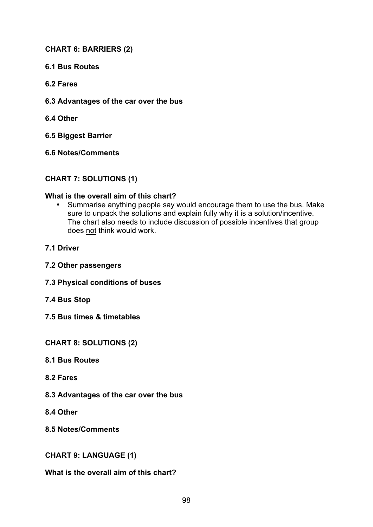## **CHART 6: BARRIERS (2)**

- **6.1 Bus Routes**
- **6.2 Fares**
- **6.3 Advantages of the car over the bus**
- **6.4 Other**

**6.5 Biggest Barrier** 

**6.6 Notes/Comments** 

#### **CHART 7: SOLUTIONS (1)**

#### **What is the overall aim of this chart?**

- Summarise anything people say would encourage them to use the bus. Make sure to unpack the solutions and explain fully why it is a solution/incentive. The chart also needs to include discussion of possible incentives that group does not think would work.
- **7.1 Driver**
- **7.2 Other passengers**
- **7.3 Physical conditions of buses**
- **7.4 Bus Stop**
- **7.5 Bus times & timetables**

**CHART 8: SOLUTIONS (2)** 

- **8.1 Bus Routes**
- **8.2 Fares**
- **8.3 Advantages of the car over the bus**
- **8.4 Other**

**8.5 Notes/Comments** 

**CHART 9: LANGUAGE (1)** 

**What is the overall aim of this chart?**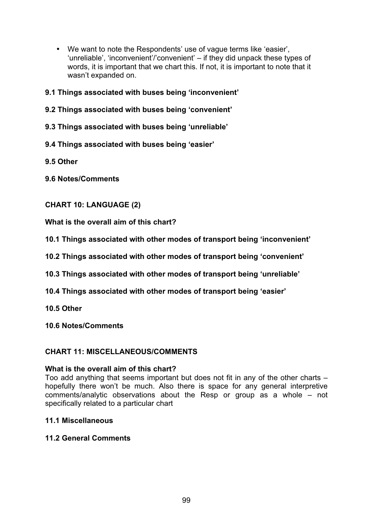- We want to note the Respondents' use of vague terms like 'easier', 'unreliable', 'inconvenient'/'convenient' – if they did unpack these types of words, it is important that we chart this. If not, it is important to note that it wasn't expanded on.
- **9.1 Things associated with buses being 'inconvenient'**
- **9.2 Things associated with buses being 'convenient'**
- **9.3 Things associated with buses being 'unreliable'**
- **9.4 Things associated with buses being 'easier'**
- **9.5 Other**
- **9.6 Notes/Comments**

## **CHART 10: LANGUAGE (2)**

**What is the overall aim of this chart?** 

- **10.1 Things associated with other modes of transport being 'inconvenient'**
- **10.2 Things associated with other modes of transport being 'convenient'**
- **10.3 Things associated with other modes of transport being 'unreliable'**
- **10.4 Things associated with other modes of transport being 'easier'**
- **10.5 Other**
- **10.6 Notes/Comments**

#### **CHART 11: MISCELLANEOUS/COMMENTS**

#### **What is the overall aim of this chart?**

Too add anything that seems important but does not fit in any of the other charts – hopefully there won't be much. Also there is space for any general interpretive comments/analytic observations about the Resp or group as a whole – not specifically related to a particular chart

#### **11.1 Miscellaneous**

#### **11.2 General Comments**